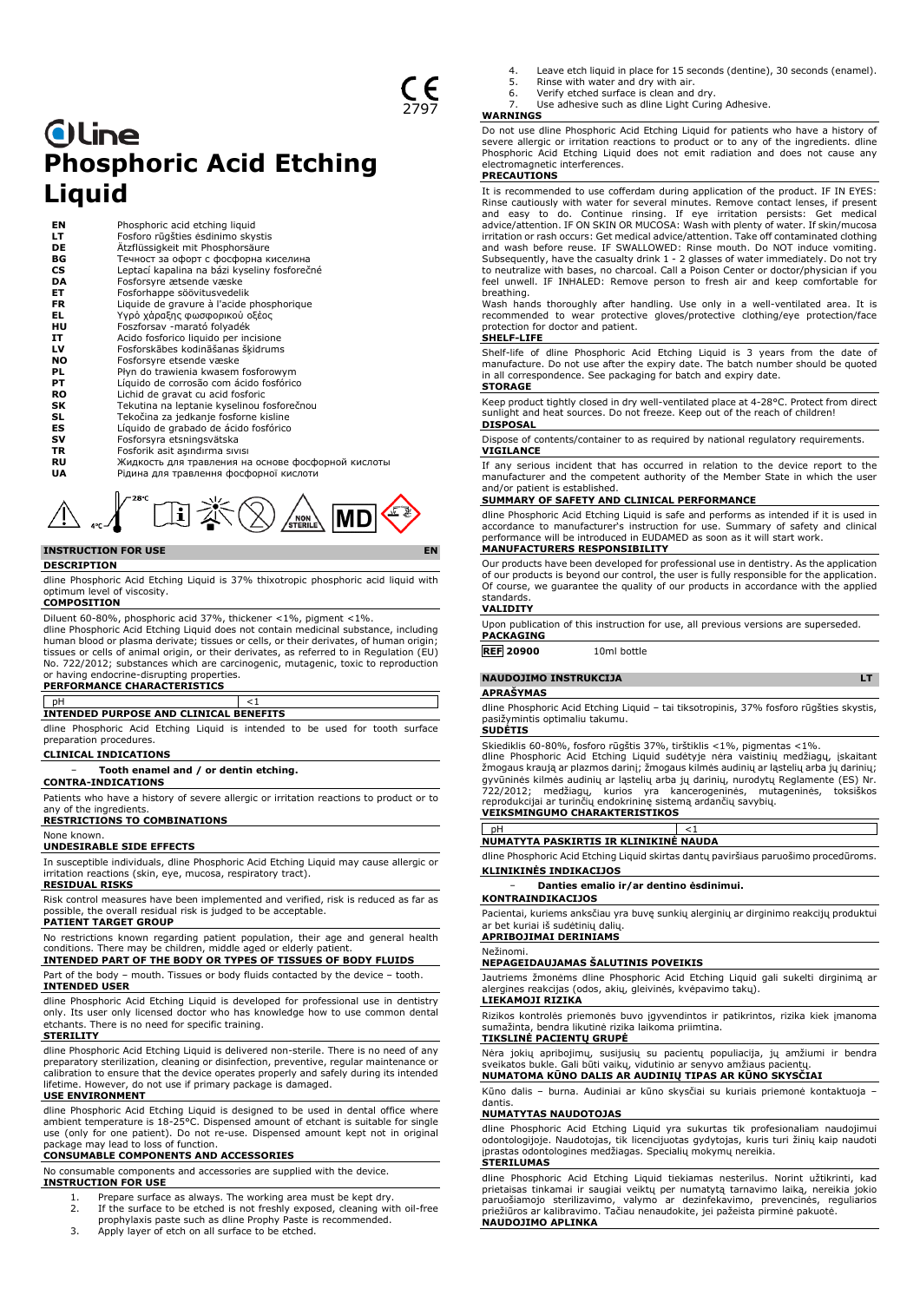# **Oline Phosphoric Acid Etching Liquid**

| EN  | Phosphoric acid etching liquid                     |
|-----|----------------------------------------------------|
| LТ  | Fosforo rūgšties ėsdinimo skystis                  |
| DE  | Ätzflüssigkeit mit Phosphorsäure                   |
| ВG  | Течност за офорт с фосфорна киселина               |
| CS  | Leptací kapalina na bázi kyseliny fosforečné       |
| DA  | Fosforsyre ætsende væske                           |
| ET  | Fosforhappe söövitusvedelik                        |
| FR. | Liquide de gravure à l'acide phosphorique          |
| EL. | Υγρό χάραξης φωσφορικού οξέος                      |
| HU  | Foszforsav -marató folyadék                        |
| IT. | Acido fosforico liguido per incisione              |
| LV  | Fosforskābes kodināšanas šķidrums                  |
| NO. | Fosforsyre etsende væske                           |
| PL. | Płyn do trawienia kwasem fosforowym                |
| PТ  | Líquido de corrosão com ácido fosfórico            |
| RO  | Lichid de gravat cu acid fosforic                  |
| SΚ  | Tekutina na leptanie kyselinou fosforečnou         |
| SL  | Tekočina za jedkanje fosforne kisline              |
| ES  | Líquido de grabado de ácido fosfórico              |
| sv  | Fosforsyra etsningsvätska                          |
| TR  | Fosforik asit asındırma sıvısı                     |
| RU  | Жидкость для травления на основе фосфорной кислоты |
| UA  | Рідина для травлення фосфорної кислоти             |



# **DESCRIPTION**

dline Phosphoric Acid Etching Liquid is 37% thixotropic phosphoric acid liquid with optimum level of viscosity.

## **COMPOSITION**

Diluent 60-80%, phosphoric acid 37%, thickener <1%, pigment <1%. dline Phosphoric Acid Etching Liquid does not contain medicinal substance, including human blood or plasma derivate; tissues or cells, or their derivates, of human origin; tissues or cells of animal origin, or their derivates, as referred to in Regulation (EU) No. 722/2012; substances which are carcinogenic, mutagenic, toxic to reproduction or having endocrine-disrupting properties.

## **PERFORMANCE CHARACTERISTICS**

## pH  $<1$

**INTENDED PURPOSE AND CLINICAL BENEFITS**

dline Phosphoric Acid Etching Liquid is intended to be used for tooth surface preparation procedures.

### **CLINICAL INDICATIONS**

− **Tooth enamel and / or dentin etching.**

## **CONTRA-INDICATIONS**

Patients who have a history of severe allergic or irritation reactions to product or to any of the ingredients.

## **RESTRICTIONS TO COMBINATIONS**

None known.

## **UNDESIRABLE SIDE EFFECTS**

In susceptible individuals, dline Phosphoric Acid Etching Liquid may cause allergic or irritation reactions (skin, eye, mucosa, respiratory tract).

## **RESIDUAL RISKS**

Risk control measures have been implemented and verified, risk is reduced as far as possible, the overall residual risk is judged to be acceptable.

## **PATIENT TARGET GROUP**

No restrictions known regarding patient population, their age and general health conditions. There may be children, middle aged or elderly patient.

## **INTENDED PART OF THE BODY OR TYPES OF TISSUES OF BODY FLUIDS**

Part of the body – mouth. Tissues or body fluids contacted by the device – tooth. **INTENDED USER**

dline Phosphoric Acid Etching Liquid is developed for professional use in dentistry only. Its user only licensed doctor who has knowledge how to use common dental etchants. There is no need for specific training.

### **STERILITY**

dline Phosphoric Acid Etching Liquid is delivered non-sterile. There is no need of any preparatory sterilization, cleaning or disinfection, preventive, regular maintenance or calibration to ensure that the device operates properly and safely during its intended lifetime. However, do not use if primary package is damaged.

### **USE ENVIRONMENT**

dline Phosphoric Acid Etching Liquid is designed to be used in dental office where ambient temperature is 18-25°C. Dispensed amount of etchant is suitable for single use (only for one patient). Do not re-use. Dispensed amount kept not in original package may lead to loss of function.

## **CONSUMABLE COMPONENTS AND ACCESSORIES**

No consumable components and accessories are supplied with the device.

- **INSTRUCTION FOR USE**
	- 1. Prepare surface as always. The working area must be kept dry.<br>2. If the surface to be etched is not freshly exposed, cleaning wit 2. If the surface to be etched is not freshly exposed, cleaning with oil-free prophylaxis paste such as dline Prophy Paste is recommended.
	- 3. Apply layer of etch on all surface to be etched.
- Leave etch liquid in place for 15 seconds (dentine), 30 seconds (enamel).
- 5. Rinse with water and dry with air. 6. Verify etched surface is clean and dry.
- Use adhesive such as dline Light Curing Adhesive.

## **WARNINGS**

Do not use dline Phosphoric Acid Etching Liquid for patients who have a history of severe allergic or irritation reactions to product or to any of the ingredients. dline Phosphoric Acid Etching Liquid does not emit radiation and does not cause any electromagnetic interferences.

## **PRECAUTIONS**

It is recommended to use cofferdam during application of the product. IF IN EYES: Rinse cautiously with water for several minutes. Remove contact lenses, if present and easy to do. Continue rinsing. If eye irritation persists: Get medical advice/attention. IF ON SKIN OR MUCOSA: Wash with plenty of water. If skin/mucosa irritation or rash occurs: Get medical advice/attention. Take off contaminated clothing and wash before reuse. IF SWALLOWED: Rinse mouth. Do NOT induce vomiting. Subsequently, have the casualty drink 1 - 2 glasses of water immediately. Do not try to neutralize with bases, no charcoal. Call a Poison Center or doctor/physician if you feel unwell. IF INHALED: Remove person to fresh air and keep comfortable for breathing.

Wash hands thoroughly after handling. Use only in a well-ventilated area. It is recommended to wear protective gloves/protective clothing/eye protection/face protection for doctor and patient.

## **SHELF-LIFE**

Shelf-life of dline Phosphoric Acid Etching Liquid is 3 years from the date of manufacture. Do not use after the expiry date. The batch number should be quoted in all correspondence. See packaging for batch and expiry date. **STORAGE**

Keep product tightly closed in dry well-ventilated place at 4-28°C. Protect from direct sunlight and heat sources. Do not freeze. Keep out of the reach of children! **DISPOSAL**

Dispose of contents/container to as required by national regulatory requirements. **VIGILANCE**

If any serious incident that has occurred in relation to the device report to the manufacturer and the competent authority of the Member State in which the user and/or patient is established.

## **SUMMARY OF SAFETY AND CLINICAL PERFORMANCE**

dline Phosphoric Acid Etching Liquid is safe and performs as intended if it is used in accordance to manufacturer's instruction for use. Summary of safety and clinical performance will be introduced in EUDAMED as soon as it will start work.

## **MANUFACTURERS RESPONSIBILITY**

Our products have been developed for professional use in dentistry. As the application of our products is beyond our control, the user is fully responsible for the application. Of course, we guarantee the quality of our products in accordance with the applied standards. **VALIDITY**

Upon publication of this instruction for use, all previous versions are superseded. **PACKAGING**

**REF 20900** 10ml bottle

## **NAUDOJIMO INSTRUKCIJA LT**

## **APRAŠYMAS**

dline Phosphoric Acid Etching Liquid – tai tiksotropinis, 37% fosforo rūgšties skystis, pasižymintis optimaliu takumu.

### **SUDĖTIS**

Skiediklis 60-80%, fosforo rūgštis 37%, tirštiklis <1%, pigmentas <1%.

dline Phosphoric Acid Etching Liquid sudėtyje nėra vaistinių medžiagų, įskaitant žmogaus kraują ar plazmos darinį; žmogaus kilmės audinių ar ląstelių arba jų darinių; gyvūninės kilmės audinių ar ląstelių arba jų darinių, nurodytų Reglamente (ES) Nr.<br>722/2012; medžiagų, kurios yra kancerogeninės, mutageninės, toksiškos<br>reprodukcijai ar turinčių endokrininę sistemą ardančių sa

## pH <1

dline Phosphoric Acid Etching Liquid skirtas dantų paviršiaus paruošimo procedūroms. **KLINIKINĖS INDIKACIJOS**

## − **Danties emalio ir/ar dentino ėsdinimui.**

## **KONTRAINDIKACIJOS**

Pacientai, kuriems anksčiau yra buvę sunkių alerginių ar dirginimo reakcijų produktui ar bet kuriai iš sudėtinių dalių.

## **APRIBOJIMAI DERINIAMS**

### Nežinomi. **NEPAGEIDAUJAMAS ŠALUTINIS POVEIKIS**

Jautriems žmonėms dline Phosphoric Acid Etching Liquid gali sukelti dirginimą ar alerginės reakcijas (odos, akių, gleivinės, kvėpavimo takų).

## **LIEKAMOJI RIZIKA**

Rizikos kontrolės priemonės buvo įgyvendintos ir patikrintos, rizika kiek įmanoma sumažinta, bendra likutinė rizika laikoma priimtina.

### **TIKSLINĖ PACIENTŲ GRUPĖ**

Nėra jokių apribojimų, susijusių su pacientų populiacija, jų amžiumi ir bendra sveikatos bukle. Gali būti vaikų, vidutinio ar senyvo amžiaus pacientų. **NUMATOMA KŪNO DALIS AR AUDINIŲ TIPAS AR KŪNO SKYSČIAI**

Kūno dalis – burna. Audiniai ar kūno skysčiai su kuriais priemonė kontaktuoja – dantis.

## **NUMATYTAS NAUDOTOJAS**

dline Phosphoric Acid Etching Liquid yra sukurtas tik profesionaliam naudojimui odontologijoje. Naudotojas, tik licencijuotas gydytojas, kuris turi žinių kaip naudoti įprastas odontologines medžiagas. Specialių mokymų nereikia.

## **STERILUMAS**

dline Phosphoric Acid Etching Liquid tiekiamas nesterilus. Norint užtikrinti, kad prietaisas tinkamai ir saugiai veiktų per numatytą tarnavimo laiką, nereikia jokio<br>paruošiamojo sterilizavimo, valymo ar dezinfekavimo, prevencinės, reguliarios<br>priežiūros ar kalibravimo. Tačiau nenaudokite, jei pažeista p **NAUDOJIMO APLINKA**

**NUMATYTA PASKIRTIS IR KLINIKINĖ NAUDA**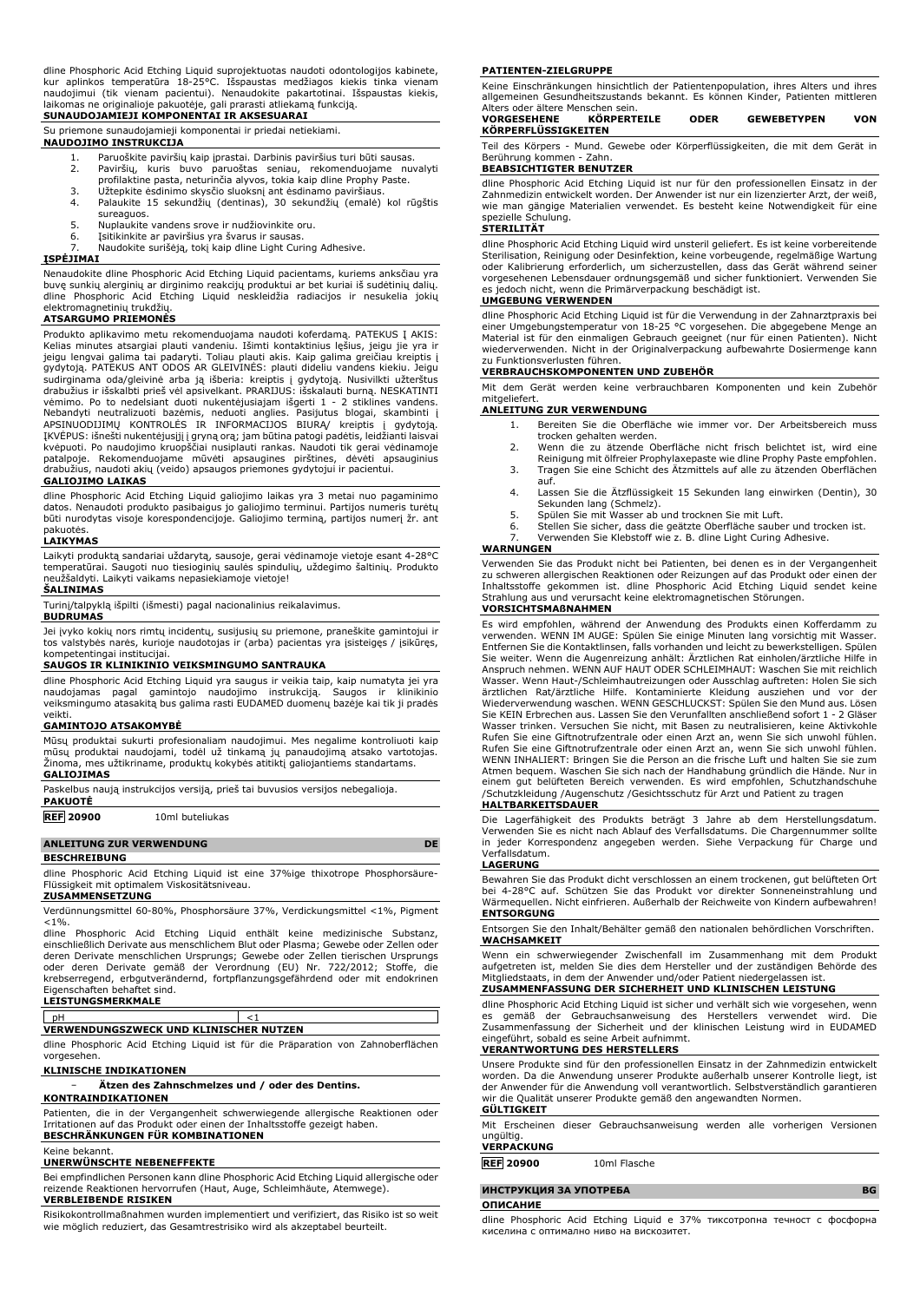dline Phosphoric Acid Etching Liquid suprojektuotas naudoti odontologijos kabinete, kur aplinkos temperatūra 18-25°C. Išspaustas medžiagos kiekis tinka vienam<br>naudojimui (tik vienam pacientui). Nenaudokite pakartotinai. Išspaustas kiekis,<br>laikomas ne originalioje pakuotėje, gali prarasti atliekamą funkcij

## **SUNAUDOJAMIEJI KOMPONENTAI IR AKSESUARAI** Su priemone sunaudojamieji komponentai ir priedai netiekiami.

## **NAUDOJIMO INSTRUKCIJA**

1. Paruoškite paviršių kaip įprastai. Darbinis paviršius turi būti sausas.<br>2. Paviršių, kuris buvo paruoštas seniau, rekomenduojame nuv

- 2. Paviršių, kuris buvo paruoštas seniau, rekomenduojame nuvalyti profilaktine pasta, neturinčia alyvos, tokia kaip dline Prophy Paste.
- 
- 3. Užtepkite ėsdinimo skysčio sluoksnį ant ėsdinamo paviršiaus. Palaukite 15 sekundžių (dentinas), 30 sekundžių (emalė) kol rūgštis sureaguos.
- 5. Nuplaukite vandens srove ir nudžiovinkite oru.<br>6. Isitikinkite ar paviršius vra švarus ir sausas.
- 

6. Įsitikinkite ar paviršius yra švarus ir sausas. 7. Naudokite surišėją, tokį kaip dline Light Curing Adhesive.

## **ĮSPĖJIMAI**

Nenaudokite dline Phosphoric Acid Etching Liquid pacientams, kuriems anksčiau yra buvę sunkių alerginių ar dirginimo reakcijų produktui ar bet kuriai iš sudėtinių dalių. dline Phosphoric Acid Etching Liquid neskleidžia radiacijos ir nesukelia jokių elektromagnetinių trukdžių.

## **ATSARGUMO PRIEMONĖS**

Produkto aplikavimo metu rekomenduojama naudoti koferdamą. PATEKUS Į AKIS: Kelias minutes atsargiai plauti vandeniu. Išimti kontaktinius lęšius, jeigu jie yra ir<br>jeigu lengvai galima tai padaryti. Toliau plauti akis. Kaip galima greičiau kreiptis į<br>gydytoją. PATEKUS ANT ODOS AR GLEIVINĖS: plauti vėmimo. Po to nedelsiant duoti nukentėjusiajam išgerti 1 - 2 stiklines vandens.<br>Nebandyti neutralizuoti bazėmis, neduoti anglies. Pasijutus blogai, skambinti į<br>APSINUODIJIMŲ KONTROLĖS IR INFORMACIJOS BIURĄ/ kreiptis į gydy drabužius, naudoti akių (veido) apsaugos priemones gydytojui ir pacientui.

## **GALIOJIMO LAIKAS**

dline Phosphoric Acid Etching Liquid galiojimo laikas yra 3 metai nuo pagaminimo datos. Nenaudoti produkto pasibaigus jo galiojimo terminui. Partijos numeris turėtų būti nurodytas visoje korespondencijoje. Galiojimo terminą, partijos numerį žr. ant pakuotės.

## **LAIKYMAS**

Laikyti produktą sandariai uždarytą, sausoje, gerai vėdinamoje vietoje esant 4-28°C temperatūrai. Saugoti nuo tiesioginių saulės spindulių, uždegimo šaltinių. Produkto neužšaldyti. Laikyti vaikams nepasiekiamoje vietoje!

## **ŠALINIMAS**

Turinį/talpyklą išpilti (išmesti) pagal nacionalinius reikalavimus.

## **BUDRUMAS**

Jei įvyko kokių nors rimtų incidentų, susijusių su priemone, praneškite gamintojui ir tos valstybės narės, kurioje naudotojas ir (arba) pacientas yra įsisteigęs / įsikūręs, kompetentingai institucijai.

## **SAUGOS IR KLINIKINIO VEIKSMINGUMO SANTRAUKA**

dline Phosphoric Acid Etching Liquid yra saugus ir veikia taip, kaip numatyta jei yra naudojamas pagal gamintojo naudojimo instrukciją. Saugos ir klinikinio veiksmingumo atasakitą bus galima rasti EUDAMED duomenų bazėje kai tik ji pradės veikti.

### **GAMINTOJO ATSAKOMYBĖ**

Mūsų produktai sukurti profesionaliam naudojimui. Mes negalime kontroliuoti kaip mūsų produktai naudojami, todėl už tinkamą jų panaudojimą atsako vartotojas. Žinoma, mes užtikriname, produktų kokybės atitiktį galiojantiems standartams. **GALIOJIMAS**

| Paskelbus naują instrukcijos versiją, prieš tai buvusios versijos nebegalioja.<br><b>PAKUOTE</b> |                 |  |  |
|--------------------------------------------------------------------------------------------------|-----------------|--|--|
| <b>REF 20900</b>                                                                                 | 10ml buteliukas |  |  |

### **ANLEITUNG ZUR VERWENDUNG DE**

**BESCHREIBUNG**

dline Phosphoric Acid Etching Liquid ist eine 37%ige thixotrope Phosphorsäure-Flüssigkeit mit optimalem Viskositätsniveau.

### **ZUSAMMENSETZUNG**

Verdünnungsmittel 60-80%, Phosphorsäure 37%, Verdickungsmittel <1%, Pigment

<1%. dline Phosphoric Acid Etching Liquid enthält keine medizinische Substanz, einschließlich Derivate aus menschlichem Blut oder Plasma; Gewebe oder Zellen oder deren Derivate menschlichen Ursprungs; Gewebe oder Zellen tierischen Ursprungs oder deren Derivate gemäß der Verordnung (EU) Nr. 722/2012; Stoffe, die krebserregend, erbgutverändernd, fortpflanzungsgefährdend oder mit endokrinen Eigenschaften behaftet sind.

## **LEISTUNGSMERKMALE**

# pH <1 **VERWENDUNGSZWECK UND KLINISCHER NUTZEN**

dline Phosphoric Acid Etching Liquid ist für die Präparation von Zahnoberflächen vorgesehen.

## **KLINISCHE INDIKATIONEN**

− **Ätzen des Zahnschmelzes und / oder des Dentins.**

## **KONTRAINDIKATIONEN**

Patienten, die in der Vergangenheit schwerwiegende allergische Reaktionen oder Irritationen auf das Produkt oder einen der Inhaltsstoffe gezeigt haben. **BESCHRÄNKUNGEN FÜR KOMBINATIONEN**

## Keine bekannt.

## **UNERWÜNSCHTE NEBENEFFEKTE**

Bei empfindlichen Personen kann dline Phosphoric Acid Etching Liquid allergische oder reizende Reaktionen hervorrufen (Haut, Auge, Schleimhäute, Atemwege). **VERBLEIBENDE RISIKEN**

Risikokontrollmaßnahmen wurden implementiert und verifiziert, das Risiko ist so weit wie möglich reduziert, das Gesamtrestrisiko wird als akzeptabel beurteilt.

### **PATIENTEN-ZIELGRUPPE**

Keine Einschränkungen hinsichtlich der Patientenpopulation, ihres Alters und ihres allgemeinen Gesundheitszustands bekannt. Es können Kinder, Patienten mittleren Alters oder ältere Menschen sein. **VORGESEHENE KÖRPERTEILE ODER GEWEBETYPEN VON**

| ,,,,,,,,,,,,,,      | NYN LIVILLE | . | ,,,,,,,,,,,,,,, | . |
|---------------------|-------------|---|-----------------|---|
| KÖRPERFLÜSSIGKEITEN |             |   |                 |   |
|                     |             |   |                 |   |
|                     |             |   |                 |   |

Teil des Körpers - Mund. Gewebe oder Körperflüssigkeiten, die mit dem Gerät in Berührung kommen - Zahn.

## **BEABSICHTIGTER BENUTZER**

dline Phosphoric Acid Etching Liquid ist nur für den professionellen Einsatz in der Zahnmedizin entwickelt worden. Der Anwender ist nur ein lizenzierter Arzt, der weiß, wie man gängige Materialien verwendet. Es besteht keine Notwendigkeit für eine spezielle Schulung.

## **STERILITÄT**

dline Phosphoric Acid Etching Liquid wird unsteril geliefert. Es ist keine vorbereitende Sterilisation, Reinigung oder Desinfektion, keine vorbeugende, regelmäßige Wartung oder Kalibrierung erforderlich, um sicherzustellen, dass das Gerät während seiner vorgesehenen Lebensdauer ordnungsgemäß und sicher funktioniert. Verwenden Sie es jedoch nicht, wenn die Primärverpackung beschädigt ist.

## **UMGEBUNG VERWENDEN**

dline Phosphoric Acid Etching Liquid ist für die Verwendung in der Zahnarztpraxis bei<br>einer Umgebungstemperatur von 18-25 °C vorgesehen. Die abgegebene Menge<br>Material ist für den einmaligen Gebrauch geeignet (nur für einen wiederverwenden. Nicht in der Originalverpackung aufbewahrte Dosiermenge kann zu Funktionsverlusten führen.

### **VERBRAUCHSKOMPONENTEN UND ZUBEHÖR**

Mit dem Gerät werden keine verbrauchbaren Komponenten und kein Zubehör mitgeliefer

### **ANLEITUNG ZUR VERWENDUNG**

- 1. Bereiten Sie die Oberfläche wie immer vor. Der Arbeitsbereich muss trocken gehalten werden.
- 2. Wenn die zu ätzende Oberfläche nicht frisch belichtet ist, wird eine
- Reinigung mit ölfreier Prophylaxepaste wie dline Prophy Paste empfohlen. 3. Tragen Sie eine Schicht des Ätzmittels auf alle zu ätzenden Oberflächen auf.
- 4. Lassen Sie die Ätzflüssigkeit 15 Sekunden lang einwirken (Dentin), 30 Sekunden lang (Schmelz).
- 5. Spülen Sie mit Wasser ab und trocknen Sie mit Luft.
- 6. Stellen Sie sicher, dass die geätzte Oberfläche sauber und trocken ist.
- Verwenden Sie Klebstoff wie z. B. dline Light Curing Adhesive.

### **WARNUNGEN**

Verwenden Sie das Produkt nicht bei Patienten, bei denen es in der Vergangenheit zu schweren allergischen Reaktionen oder Reizungen auf das Produkt oder einen der Inhaltsstoffe gekommen ist. dline Phosphoric Acid Etching Liquid sendet keine Strahlung aus und verursacht keine elektromagnetischen Störungen. **VORSICHTSMAßNAHMEN**

Es wird empfohlen, während der Anwendung des Produkts einen Kofferdamm zu<br>verwenden. WENN IM AUGE: Spülen Sie einige Minuten lang vorsichtig mit Wasser.<br>Entfernen Sie die Kontaktlinsen, falls vorhanden und leicht zu bewerk Sie weiter. Wenn die Augenreizung anhält: Ärztlichen Rat einholen/ärztliche Hilfe in Anspruch nehmen. WENN AUF HAUT ODER SCHLEIMHAUT: Waschen Sie mit reichlich Wasser. Wenn Haut-/Schleimhautreizungen oder Ausschlag auftreten: Holen Sie sich ärztlichen Rat/ärztliche Hilfe. Kontaminierte Kleidung ausziehen und vor der Wiederverwendung waschen. WENN GESCHLUCKST: Spülen Sie den Mund aus. Lösen Sie KEIN Erbrechen aus. Lassen Sie den Verunfallten anschließend sofort 1 - 2 Gläser Wasser trinken. Versuchen Sie nicht, mit Basen zu neutralisieren, keine Aktivkohle Rufen Sie eine Giftnotrufzentrale oder einen Arzt an, wenn Sie sich unwohl fühlen.<br>Rufen Sie eine Giftnotrufzentrale oder einen Arzt an, wenn Sie sich unwohl fühlen.<br>WENN INHALIERT: Bringen Sie die Person an die frische Lu Atmen bequem. Waschen Sie sich nach der Handhabung gründlich die Hände. Nur in<br>einem gut belüfteten Bereich verwenden. Es wird empfohlen, Schutzhandschuhe<br>/Schutzkleidung /Augenschutz /Gesichtsschutz für Arzt und P

### **HALTBARKEITSDAUER**

Die Lagerfähigkeit des Produkts beträgt 3 Jahre ab dem Herstellungsdatum. Verwenden Sie es nicht nach Ablauf des Verfallsdatums. Die Chargennummer sollte in jeder Korrespondenz angegeben werden. Siehe Verpackung für Charge und Verfallsdatum.

### **LAGERUNG**

Bewahren Sie das Produkt dicht verschlossen an einem trockenen, gut belüfteten Ort bei 4-28°C auf. Schützen Sie das Produkt vor direkter Sonneneinstrahlung und Wärmequellen. Nicht einfrieren. Außerhalb der Reichweite von Kindern aufbewahren! **ENTSORGUNG**

Entsorgen Sie den Inhalt/Behälter gemäß den nationalen behördlichen Vorschriften. **WACHSAMKEIT**

Wenn ein schwerwiegender Zwischenfall im Zusammenhang mit dem Produkt aufgetreten ist, melden Sie dies dem Hersteller und der zuständigen Behörde des Mitgliedstaats, in dem der Anwender und/oder Patient niedergelassen ist. **ZUSAMMENFASSUNG DER SICHERHEIT UND KLINISCHEN LEISTUNG**

dline Phosphoric Acid Etching Liquid ist sicher und verhält sich wie vorgesehen, wenn<br>es gemäß der Gebrauchsanweisung des Herstellers verwendet wird. Die<br>Zusammenfassung der Sicherheit und der klinischen Leistung

## **VERANTWORTUNG DES HERSTELLERS**

Unsere Produkte sind für den professionellen Einsatz in der Zahnmedizin entwickelt worden. Da die Anwendung unserer Produkte außerhalb unserer Kontrolle liegt, ist der Anwender für die Anwendung voll verantwortlich. Selbstverständlich garantieren wir die Qualität unserer Produkte gemäß den angewandten Normen. **GÜLTIGKEIT**

Mit Erscheinen dieser Gebrauchsanweisung werden alle vorherigen Versionen ungültig. **VERPACKUNG**

**REF 20900** 10ml Flasche

**ИНСТРУКЦИЯ ЗА УПОТРЕБА BG ОПИСАНИЕ**

dline Phosphoric Acid Etching Liquid е 37% тиксотропна течност с фосфорна киселина с оптимално ниво на вискозитет.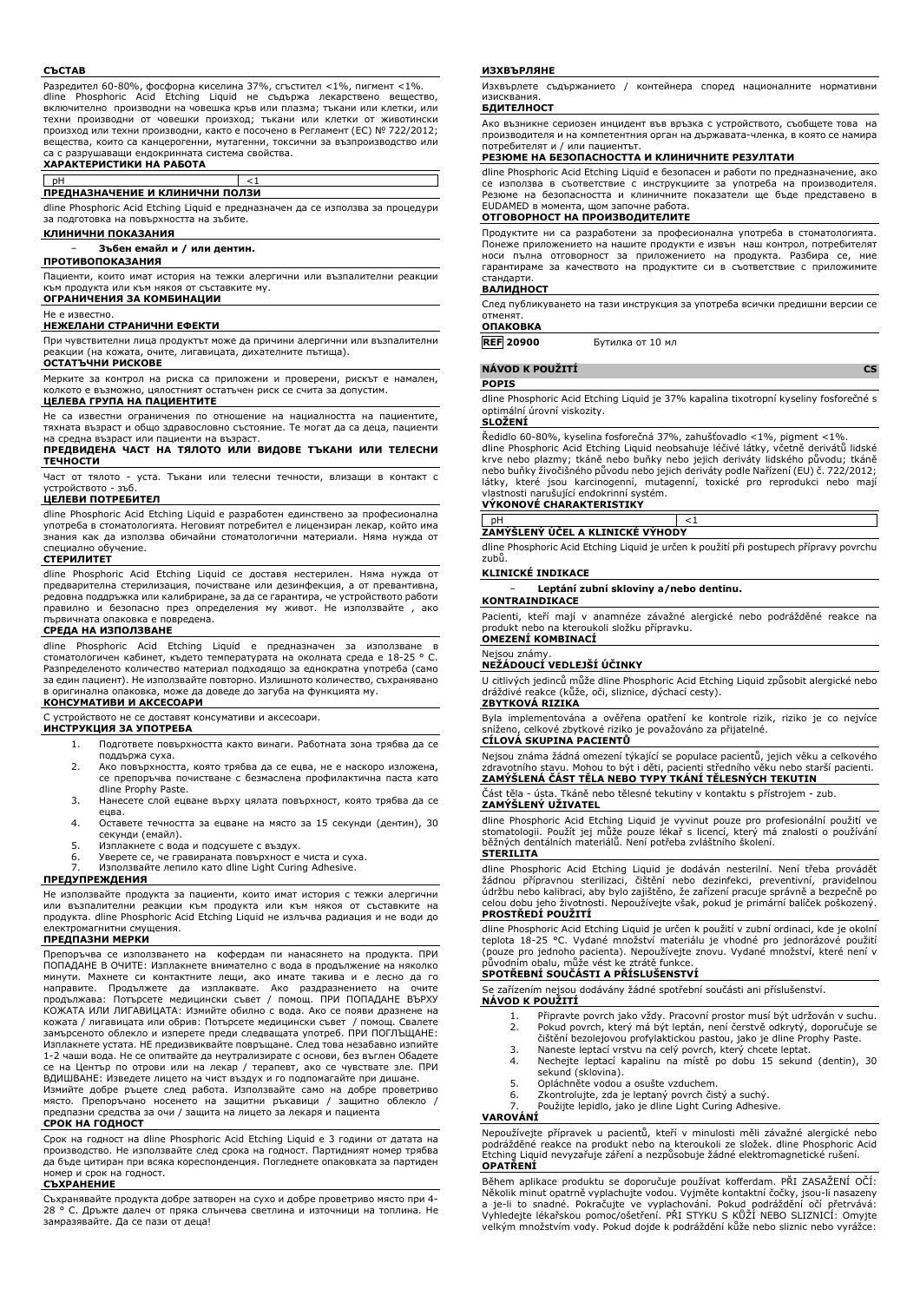### **СЪСТАВ**

Разредител 60-80%, фосфорна киселина 37%, сгъстител <1%, пигмент <1%. dline Phosphoric Acid Etching Liquid не съдържа лекарствено вещество, включително производни на човешка кръв или плазма; тъкани или клетки, или техни производни от човешки произход; тъкани или клетки от животински произход или техни производни, както е посочено в Регламент (ЕС) № 722/2012; вещества, които са канцерогенни, мутагенни, токсични за възпроизводство или са с разрушаващи ендокринната система свойства. **ХАРАКТЕРИСТИКИ НА РАБОТА**

# pH <1 **ПРЕДНАЗНАЧЕНИЕ И КЛИНИЧНИ ПОЛЗИ**

dline Phosphoric Acid Etching Liquid е предназначен да се използва за процедури за подготовка на повърхността на зъбите.

### **КЛИНИЧНИ ПОКАЗАНИЯ**

### − **Зъбен емайл и / или дентин.**

**ПРОТИВОПОКАЗАНИЯ**

Пациенти, които имат история на тежки алергични или възпалителни реакции към продукта или към някоя от съставките му. **ОГРАНИЧЕНИЯ ЗА КОМБИНАЦИИ**

## Не е известно.

**НЕЖЕЛАНИ СТРАНИЧНИ ЕФЕКТИ**

При чувствителни лица продуктът може да причини алергични или възпалителни реакции (на кожата, очите, лигавицата, дихателните пътища).

## **ОСТАТЪЧНИ РИСКОВЕ**

Мерките за контрол на риска са приложени и проверени, рискът е намален, колкото е възможно, цялостният остатъчен риск се счита за допустим.

## **ЦЕЛЕВА ГРУПА НА ПАЦИЕНТИТЕ**

Не са известни ограничения по отношение на нациалността на пациентите, тяхната възраст и общо здравословно състояние. Те могат да са деца, пациенти на средна възраст или пациенти на възраст. **ПРЕДВИДЕНА ЧАСТ НА ТЯЛОТО ИЛИ ВИДОВЕ ТЪКАНИ ИЛИ ТЕЛЕСНИ**

# **ТЕЧНОСТИ**

Част от тялото - уста. Тъкани или телесни течности, влизащи в контакт с устройството - зъб.

### **ЦЕЛЕВИ ПОТРЕБИТЕЛ**

dline Phosphoric Acid Etching Liquid е разработен единствено за професионална употреба в стоматологията. Неговият потребител е лицензиран лекар, който има знания как да използва обичайни стоматологични материали. Няма нужда от специално обучение.

## **СТЕРИЛИТЕТ**

dline Phosphoric Acid Etching Liquid се доставя нестерилен. Няма нужда от предварителна стерилизация, почистване или дезинфекция, а от превантивна, редовна поддръжка или калибриране, за да се гарантира, че устройството работи правилно и безопасно през определения му живот. Не използвайте , ако първичната опаковка е повредена.

### **СРЕДА НА ИЗПОЛЗВАНЕ**

dline Phosphoric Acid Etching Liquid е предназначен за използване в стоматологичен кабинет, където температурата на околната среда е 18-25 ° C. Разпределеното количество материал подходящо за еднократна употреба (само за един пациент). Не използвайте повторно. Излишното количество, съхранявано в оригинална опаковка, може да доведе до загуба на функцията му.

## **КОНСУМАТИВИ И АКСЕСОАРИ**

С устройството не се доставят консумативи и аксесоари.

**ИНСТРУКЦИЯ ЗА УПОТРЕБА**

- 1. Подгответе повърхността както винаги. Работната зона трябва да се поддържа суха.
- 2. Ако повърхността, която трябва да се ецва, не е наскоро изложена, се препоръчва почистване с безмаслена профилактична паста като dline Prophy Paste.
- 3. Нанесете слой ецване върху цялата повърхност, която трябва да се ецва.
- 4. Оставете течността за ецване на място за 15 секунди (дентин), 30 секунди (емайл).
- 5. Изплакнете с вода и подсушете с въздух.
- 6. Уверете се, че гравираната повърхност е чиста и суха. 7. Използвайте лепило като dline Light Curing Adhesive.

## **ПРЕДУПРЕЖДЕНИЯ**

Не използвайте продукта за пациенти, които имат история с тежки алергични или възпалителни реакции към продукта или към някоя от съставките на продукта. dline Phosphoric Acid Etching Liquid не излъчва радиация и не води до ,<br>громагнитни смущения.

### **ПРЕДПАЗНИ МЕРКИ**

Препоръчва се използването на кофердам пи нанасянето на продукта. ПРИ ПОПАДАНЕ В ОЧИТЕ: Изплакнете внимателно с вода в продължение на няколко минути. Махнете си контактните лещи, ако имате такива и е лесно да го направите. Продължете да изплаквате. Ако раздразнението на очите продължава: Потърсете медицински съвет / помощ. ПРИ ПОПАДАНЕ ВЪРХУ КОЖАТА ИЛИ ЛИГАВИЦАТА: Измийте обилно с вода. Ако се появи дразнене на кожата / лигавицата или обрив: Потърсете медицински съвет / помощ. Свалете замърсеното облекло и изперете преди следващата употреб. ПРИ ПОГЛЪЩАНЕ: Изплакнете устата. НЕ предизвиквайте повръщане. След това незабавно изпийте 1-2 чаши вода. Не се опитвайте да неутрализирате с основи, без въглен Обадете се на Център по отрови или на лекар / терапевт, ако се чувствате зле. ПРИ ВДИШВАНЕ: Изведете лицето на чист въздух и го подпомагайте при дишане. Измийте добре ръцете след работа. Използвайте само на добре проветриво

място. Препоръчано носенето на защитни ръкавици / защитно облекло / предпазни средства за очи / защита на лицето за лекаря и пациента **СРОК НА ГОДНОСТ**

Срок на годност на dline Phosphoric Acid Etching Liquid е 3 години от датата на производство. Не използвайте след срока на годност. Партидният номер трябва да бъде цитиран при всяка кореспонденция. Погледнете опаковката за партиден номер и срок на годност.

### **СЪХРАНЕНИЕ**

Съхранявайте продукта добре затворен на сухо и добре проветриво място при 4- 28 ° C. Дръжте далеч от пряка слънчева светлина и източници на топлина. Не замразявайте. Да се пази от деца!

### **ИЗХВЪРЛЯНЕ**

Изхвърлете съдържанието / контейнера според националните нормативни изисквания.

## **БДИТЕЛНОСТ**

Ако възникне сериозен инцидент във връзка с устройството, съобщете това на производителя и на компетентния орган на държавата-членка, в която се намира потребителят и / или пациентът.

### **РЕЗЮМЕ НА БЕЗОПАСНОСТТА И КЛИНИЧНИТЕ РЕЗУЛТАТИ**

dline Phosphoric Acid Etching Liquid е безопасен и работи по предназначение, ако се използва в съответствие с инструкциите за употреба на производителя. Резюме на безопасността и клиничните показатели ще бъде представено в EUDAMED в момента, щом започне работа.

## **ОТГОВОРНОСТ НА ПРОИЗВОДИТЕЛИТЕ**

Продуктите ни са разработени за професионална употреба в стоматологията. Понеже приложението на нашите продукти е извън наш контрол, потребителят носи пълна отговорност за приложението на продукта. Разбира се, ние гарантираме за качеството на продуктите си в съответствие с приложимите стандарти.

### **ВАЛИДНОСТ**

След публикуването на тази инструкция за употреба всички предишни версии се отменят. **ОПАКОВКА**

**REF 20900** Бутилка от 10 мл

### **NÁVOD K POUŽITÍ CS POPIS**

dline Phosphoric Acid Etching Liquid je 37% kapalina tixotropní kyseliny fosforečné s optimální úrovní viskozity.

## **SLOŽENÍ**

Ředidlo 60-80%, kyselina fosforečná 37%, zahušťovadlo <1%, pigment <1%. dline Phosphoric Acid Etching Liquid neobsahuje léčivé látky, včetně derivátů lidské krve nebo plazmy; tkáně nebo buňky nebo jejich deriváty lidského původu; tkáně nebo buňky živočišného původu nebo jejich deriváty podle Nařízení (EU) č. 722/2012; látky, které jsou karcinogenní, mutagenní, toxické pro reprodukci nebo mají vlastnosti narušující endokrinní systém. **VÝKONOVÉ CHARAKTERISTIKY**

pH <1 **ZAMÝŠLENÝ ÚČEL A KLINICKÉ VÝHODY**

dline Phosphoric Acid Etching Liquid je určen k použití při postupech přípravy povrchu zubů.

### **KLINICKÉ INDIKACE**

− **Leptání zubní skloviny a/nebo dentinu.**

## **KONTRAINDIKACE**

Pacienti, kteří mají v anamnéze závažné alergické nebo podrážděné reakce na produkt nebo na kteroukoli složku přípravku. **OMEZENÍ KOMBINACÍ**

## Nejsou známy.

**NEŽÁDOUCÍ VEDLEJŠÍ ÚČINKY**

U citlivých jedinců může dline Phosphoric Acid Etching Liquid způsobit alergické nebo dráždivé reakce (kůže, oči, sliznice, dýchací cesty).

## **ZBYTKOVÁ RIZIKA**

Byla implementována a ověřena opatření ke kontrole rizik, riziko je co nejvíce sníženo, celkové zbytkové riziko je považováno za přijatelné. **CÍLOVÁ SKUPINA PACIENTŮ**

Nejsou známa žádná omezení týkající se populace pacientů, jejich věku a celkového zdravotního stavu. Mohou to být i děti, pacienti středního věku nebo starší pacienti. **ZAMÝŠLENÁ ČÁST TĚLA NEBO TYPY TKÁNÍ TĚLESNÝCH TEKUTIN**

Část těla - ústa. Tkáně nebo tělesné tekutiny v kontaktu s přístrojem - zub. **ZAMÝŠLENÝ UŽIVATEL**

dline Phosphoric Acid Etching Liquid je vyvinut pouze pro profesionální použití ve<br>stomatologii. Použít jej může pouze lékař s licencí, který má znalosti o používání<br>běžných dentálních materiálů. Není potřeba zvláštního šk

## **STERILITA**

dline Phosphoric Acid Etching Liquid je dodáván nesterilní. Není třeba provádět žádnou přípravnou sterilizaci, čištění nebo dezinfekci, preventivní, pravidelnou údržbu nebo kalibraci, aby bylo zajištěno, že zařízení pracuje správně a bezpečně po celou dobu jeho životnosti. Nepoužívejte však, pokud je primární balíček poškozený. **PROSTŘEDÍ POUŽITÍ**

dline Phosphoric Acid Etching Liquid je určen k použití v zubní ordinaci, kde je okolní teplota 18-25 °C. Vydané množství materiálu je vhodné pro jednorázové použití (pouze pro jednoho pacienta). Nepoužívejte znovu. Vydané množství, které není v původním obalu, může vést ke ztrátě funkce.

### **SPOTŘEBNÍ SOUČÁSTI A PŘÍSLUŠENSTVÍ**

Se zařízením nejsou dodávány žádné spotřební součásti ani příslušenství. **NÁVOD K POUŽITÍ**

- 1. Připravte povrch jako vždy. Pracovní prostor musí být udržován v suchu.<br>2. Pokud povrch, který má být leptán, není čerstvě odkrytý, doporučuje se 2. Pokud povrch, který má být leptán, není čerstvě odkrytý, doporučuje se čištění bezolejovou profylaktickou pastou, jako je dline Prophy Paste.
- 
- 3. Naneste leptací vrstvu na celý povrch, který chcete leptat. 4. Nechejte leptací kapalinu na místě po dobu 15 sekund (dentin), 30 sekund (sklovina).
- 5. Opláchněte vodou a osušte vzduchem.
- 6. Zkontrolujte, zda je leptaný povrch čistý a suchý. 7. Použijte lepidlo, jako je dline Light Curing Adhesive.
- 

## **VAROVÁNÍ**

Nepoužívejte přípravek u pacientů, kteří v minulosti měli závažné alergické nebo podrážděné reakce na produkt nebo na kteroukoli ze složek. dline Phosphoric Acid Etching Liquid nevyzařuje záření a nezpůsobuje žádné elektromagnetické rušení. **OPATŘENÍ**

Během aplikace produktu se doporučuje používat kofferdam. PŘI ZASAŽENÍ OČÍ: Několik minut opatrně vyplachujte vodou. Vyjměte kontaktní čočky, jsou-li nasazeny a je-li to snadné. Pokračujte ve vyplachování. Pokud podráždění očí přetrvává: Vyhledejte lékařskou pomoc/ošetření. PŘI STYKU S KŮŽÍ NEBO SLIZNICÍ: Omyjte velkým množstvím vody. Pokud dojde k podráždění kůže nebo sliznic nebo vyrážce: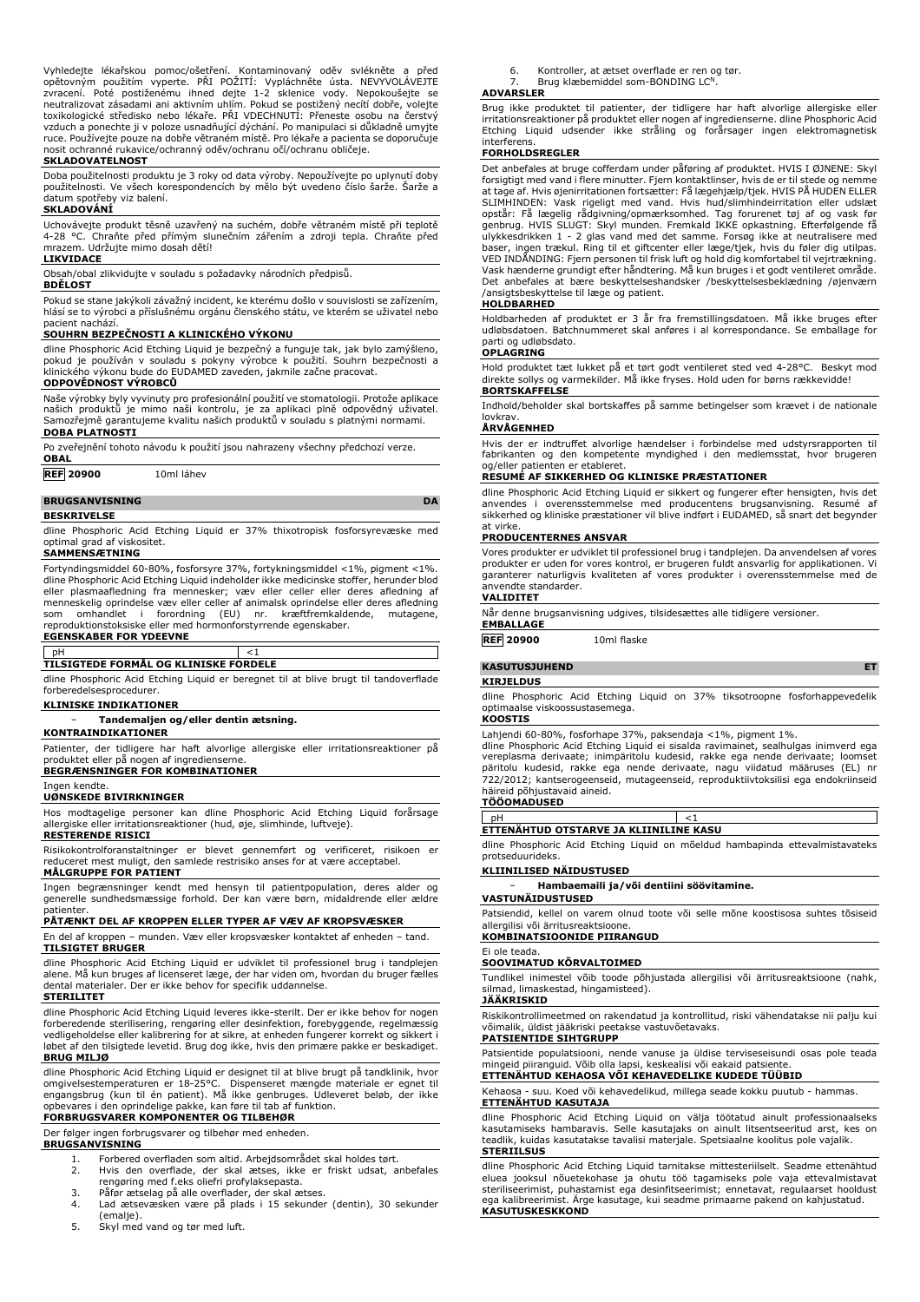Vyhledejte lékařskou pomoc/ošetření. Kontaminovaný oděv svlékněte a před opětovným použitím vyperte. PŘI POŽITÍ: Vypláchněte ústa. NEVYVOLÁVEJTE zvracení. Poté postiženému ihned dejte 1-2 sklenice vody. Nepokoušejte se neutralizovat zásadami ani aktivním uhlím. Pokud se postižený necítí dobře, volejte toxikologické středisko nebo lékaře. PRI VDECHNUTI: Přeneste osobu na čerstvý<br>vzduch a ponechte ji v poloze usnadňující dýchání. Po manipulaci si důkladně umyjte ruce. Používejte pouze na dobře větraném místě. Pro lékaře a pacienta se doporučuje nosit ochranné rukavice/ochranný oděv/ochranu očí/ochranu obličeje.

### **SKLADOVATELNOST**

Doba použitelnosti produktu je 3 roky od data výroby. Nepoužívejte po uplynutí doby použitelnosti. Ve všech korespondencích by mělo být uvedeno číslo šarže. Šarže a datum spotřeby viz balení.

## **SKLADOVÁNÍ**

Uchovávejte produkt těsně uzavřený na suchém, dobře větraném místě při teplotě 4-28 °C. Chraňte před přímým slunečním zářením a zdroji tepla. Chraňte před mrazem. Udržujte mimo dosah dětí!

## **LIKVIDACE**

Obsah/obal zlikvidujte v souladu s požadavky národních předpisů.

## **BDĚLOST**

Pokud se stane jakýkoli závažný incident, ke kterému došlo v souvislosti se zařízením, hlásí se to výrobci a příslušnému orgánu členského státu, ve kterém se uživatel nebo

# pacient nachází. **SOUHRN BEZPEČNOSTI A KLINICKÉHO VÝKONU**

dline Phosphoric Acid Etching Liquid je bezpečný a funguje tak, jak bylo zamýšleno, pokud je používán v souladu s pokyny výrobce k použití. Souhrn bezpečnosti a klinického výkonu bude do EUDAMED zaveden, jakmile začne pracovat. **ODPOVĚDNOST VÝROBCŮ**

Naše výrobky byly vyvinuty pro profesionální použití ve stomatologii. Protože aplikace<br>našich produktů je mimo naši kontrolu, je za aplikaci plně odpovědný uživatel.<br>Samozřejmě garantujeme kvalitu naších produkt **DOBA PLATNOSTI**

Po zveřejnění tohoto návodu k použití jsou nahrazeny všechny předchozí verze. **OBAL**

**REF 20900** 10ml láhev

**BRUGSANVISNING** 

### **BESKRIVELSE**

dline Phosphoric Acid Etching Liquid er 37% thixotropisk fosforsyrevæske med optimal grad af viskositet.

## **SAMMENSÆTNING**

Fortyndingsmiddel 60-80%, fosforsyre 37%, fortykningsmiddel <1%, pigment <1%. dline Phosphoric Acid Etching Liquid indeholder ikke medicinske stoffer, herunder blod eller plasmaafledning fra mennesker; væv eller celler eller deres afledning af menneskelig oprindelse væv eller celler af animalsk oprindelse eller deres afledning som omhandlet i forordning (EU) nr. kræftfremkaldende, mutagene, reproduktionstoksiske eller med hormonforstyrrende egenskaber.

## **EGENSKABER FOR YDEEVNE**

## pH <1 **TILSIGTEDE FORMÅL OG KLINISKE FORDELE**

dline Phosphoric Acid Etching Liquid er beregnet til at blive brugt til tandoverflade forberedelsesprocedurer.

**KLINISKE INDIKATIONER**

## − **Tandemaljen og/eller dentin ætsning.**

**KONTRAINDIKATIONER**

Patienter, der tidligere har haft alvorlige allergiske eller irritationsreaktioner på produktet eller på nogen af ingredienserne. **BEGRÆNSNINGER FOR KOMBINATIONER**

Ingen kendte.

### **UØNSKEDE BIVIRKNINGER**

Hos modtagelige personer kan dline Phosphoric Acid Etching Liquid forårsage allergiske eller irritationsreaktioner (hud, øje, slimhinde, luftveje). **RESTERENDE RISICI**

Risikokontrolforanstaltninger er blevet gennemført og verificeret, risikoen er reduceret mest muligt, den samlede restrisiko anses for at være acceptabel.

## **MÅLGRUPPE FOR PATIENT**

Ingen begrænsninger kendt med hensyn til patientpopulation, deres alder og generelle sundhedsmæssige forhold. Der kan være børn, midaldrende eller ældre ,<br>patienter

## **PÅTÆNKT DEL AF KROPPEN ELLER TYPER AF VÆV AF KROPSVÆSKER**

En del af kroppen – munden. Væv eller kropsvæsker kontaktet af enheden – tand. **TILSIGTET BRUGER**

dline Phosphoric Acid Etching Liquid er udviklet til professionel brug i tandplejen alene. Må kun bruges af licenseret læge, der har viden om, hvordan du bruger fælles dental materialer. Der er ikke behov for specifik uddannelse.

### **STERILITET**

dline Phosphoric Acid Etching Liquid leveres ikke-sterilt. Der er ikke behov for nogen forberedende sterilisering, rengøring eller desinfektion, forebyggende, regelmæssig vedligeholdelse eller kalibrering for at sikre, at enheden fungerer korrekt og sikkert i løbet af den tilsigtede levetid. Brug dog ikke, hvis den primære pakke er beskadiget. **BRUG MILJØ**

dline Phosphoric Acid Etching Liquid er designet til at blive brugt på tandklinik, hvor omgivelsestemperaturen er 18-25°C. Dispenseret mængde materiale er egnet til engangsbrug (kun til én patient). Må ikke genbruges. Udleveret beløb, der ikke opbevares i den oprindelige pakke, kan føre til tab af funktion. **FORBRUGSVARER KOMPONENTER OG TILBEHØR**

## Der følger ingen forbrugsvarer og tilbehør med enheden.

### **BRUGSANVISNING**

- 1. Forbered overfladen som altid. Arbejdsområdet skal holdes tørt.
- 2. Hvis den overflade, der skal ætses, ikke er friskt udsat, anbefales rengøring med f.eks oliefri profylaksepasta.
- 3. Påfør ætselag på alle overflader, der skal ætses.
- 4. Lad ætsevæsken være på plads i 15 sekunder (dentin), 30 sekunder (emalje).
- 5. Skyl med vand og tør med luft.
- 6. Kontroller, at ætset overflade er ren og tør.
- Brug klæbemiddel som-BONDING LC<sup>N</sup>

## **ADVARSLER**

Brug ikke produktet til patienter, der tidligere har haft alvorlige allergiske eller irritationsreaktioner på produktet eller nogen af ingredienserne. dline Phosphoric Acid Etching Liquid udsender ikke stråling og forårsager ingen elektromagnetisk interferens.

### **FORHOLDSREGLER**

Det anbefales at bruge cofferdam under påføring af produktet. HVIS I ØJNENE: Skyl forsigtigt med vand i flere minutter. Fjern kontaktlinser, hvis de er til stede og nemme at tage af. Hvis øjenirritationen fortsætter: Få lægehjælp/tjek. HVIS PÅ HUDEN ELLER SLIMHINDEN: Vask rigeligt med vand. Hvis hud/slimhindeirritation eller udslæt opstår: Få lægelig rådgivning/opmærksomhed. Tag forurenet tøj af og vask før genbrug. HVIS SLUGT: Skyl munden. Fremkald IKKE opkastning. Efterfølgende få ulykkesdrikken 1 - 2 glas vand med det samme. Forsøg ikke at neutralisere med<br>baser, ingen trækul. Ring til et giftcenter eller læge/tjek, hvis du føler dig utilpas.<br>VED INDÅNDING: Fjern personen til frisk luft og hold dig Vask hænderne grundigt efter håndtering. Må kun bruges i et godt ventileret område. Det anbefales at bære beskyttelseshandsker /beskyttelsesbeklædning /øjenværn /ansigtsbeskyttelse til læge og patient.

## **HOLDBARHED**

Holdbarheden af produktet er 3 år fra fremstillingsdatoen. Må ikke bruges efter udløbsdatoen. Batchnummeret skal anføres i al korrespondance. Se emballage for parti og udløbsdato. **OPLAGRING**

Hold produktet tæt lukket på et tørt godt ventileret sted ved 4-28°C. Beskyt mod direkte sollys og varmekilder. Må ikke fryses. Hold uden for børns rækkevidde! **BORTSKAFFELSE**

Indhold/beholder skal bortskaffes på samme betingelser som krævet i de nationale

# lovkrav. **ÅRVÅGENHED**

Hvis der er indtruffet alvorlige hændelser i forbindelse med udstyrsrapporten til fabrikanten og den kompetente myndighed i den medlemsstat, hvor brugeren og/eller patienten er etableret.

### **RESUMÉ AF SIKKERHED OG KLINISKE PRÆSTATIONER**

dline Phosphoric Acid Etching Liquid er sikkert og fungerer efter hensigten, hvis det<br>anvendes i overensstemmelse med producentens brugsanvisning. Resumé<br>sikkerhed og kliniske præstationer vil blive indført i EUDAMED at virke.

### **PRODUCENTERNES ANSVAR**

Vores produkter er udviklet til professionel brug i tandplejen. Da anvendelsen af vores<br>produkter er uden for vores kontrol, er brugeren fuldt ansvarlig for applikationen. Vi<br>garanterer naturligvis kvaliteten af vores anvendte standarder.

## **VALIDITET**

Når denne brugsanvisning udgives, tilsidesættes alle tidligere versioner.

**EMBALLAGE REF 20900** 10ml flaske

## **KASUTUSJUHEND ET**

## **KIRJELDUS**

dline Phosphoric Acid Etching Liquid on 37% tiksotroopne fosforhappevedelik optimaalse viskoossustasemega.

## **KOOSTIS**

Lahjendi 60-80%, fosforhape 37%, paksendaja <1%, pigment 1%.

dline Phosphoric Acid Etching Liquid ei sisalda ravimainet, sealhulgas inimverd ega vereplasma derivaate; inimpäritolu kudesid, rakke ega nende derivaate; loomset päritolu kudesid, rakke ega nende derivaate, nagu viidatud määruses (EL) nr 722/2012; kantserogeenseid, mutageenseid, reproduktiivtoksilisi ega endokriinseid häireid põhjustavaid aineid.

## **TÖÖOMADUSED**

pH <1 **ETTENÄHTUD OTSTARVE JA KLIINILINE KASU**

dline Phosphoric Acid Etching Liquid on mõeldud hambapinda ettevalmistavateks protseduurideks.

## **KLIINILISED NÄIDUSTUSED**

− **Hambaemaili ja/või dentiini söövitamine.**

## **VASTUNÄIDUSTUSED**

Patsiendid, kellel on varem olnud toote või selle mõne koostisosa suhtes tõsiseid allergilisi või ärritusreaktsioone.

## **KOMBINATSIOONIDE PIIRANGUD**

### Ei ole teada. **SOOVIMATUD KÕRVALTOIMED**

Tundlikel inimestel võib toode põhjustada allergilisi või ärritusreaktsioone (nahk, silmad, limaskestad, hingamisteed).

## **JÄÄKRISKID**

Riskikontrollimeetmed on rakendatud ja kontrollitud, riski vähendatakse nii palju kui võimalik, üldist jääkriski peetakse vastuvõetavaks.

## **PATSIENTIDE SIHTGRUPP**

Patsientide populatsiooni, nende vanuse ja üldise terviseseisundi osas pole teada mingeid piiranguid. Võib olla lapsi, keskealisi või eakaid patsiente. **ETTENÄHTUD KEHAOSA VÕI KEHAVEDELIKE KUDEDE TÜÜBID**

## Kehaosa - suu. Koed või kehavedelikud, millega seade kokku puutub - hammas.

**ETTENÄHTUD KASUTAJA**

dline Phosphoric Acid Etching Liquid on välja töötatud ainult professionaalseks kasutamiseks hambaravis. Selle kasutajaks on ainult litsentseeritud arst, kes on teadlik, kuidas kasutatakse tavalisi materjale. Spetsiaalne koolitus pole vajalik. **STERIILSUS**

dline Phosphoric Acid Etching Liquid tarnitakse mittesteriilselt. Seadme ettenähtud eluea jooksul nõuetekohase ja ohutu töö tagamiseks pole vaja ettevalmistavat steriliseerimist, puhastamist ega desinfitseerimist; ennetavat, regulaarset hooldust ega kalibreerimist. Ärge kasutage, kui seadme primaarne pakend on kahjustatud. **KASUTUSKESKKOND**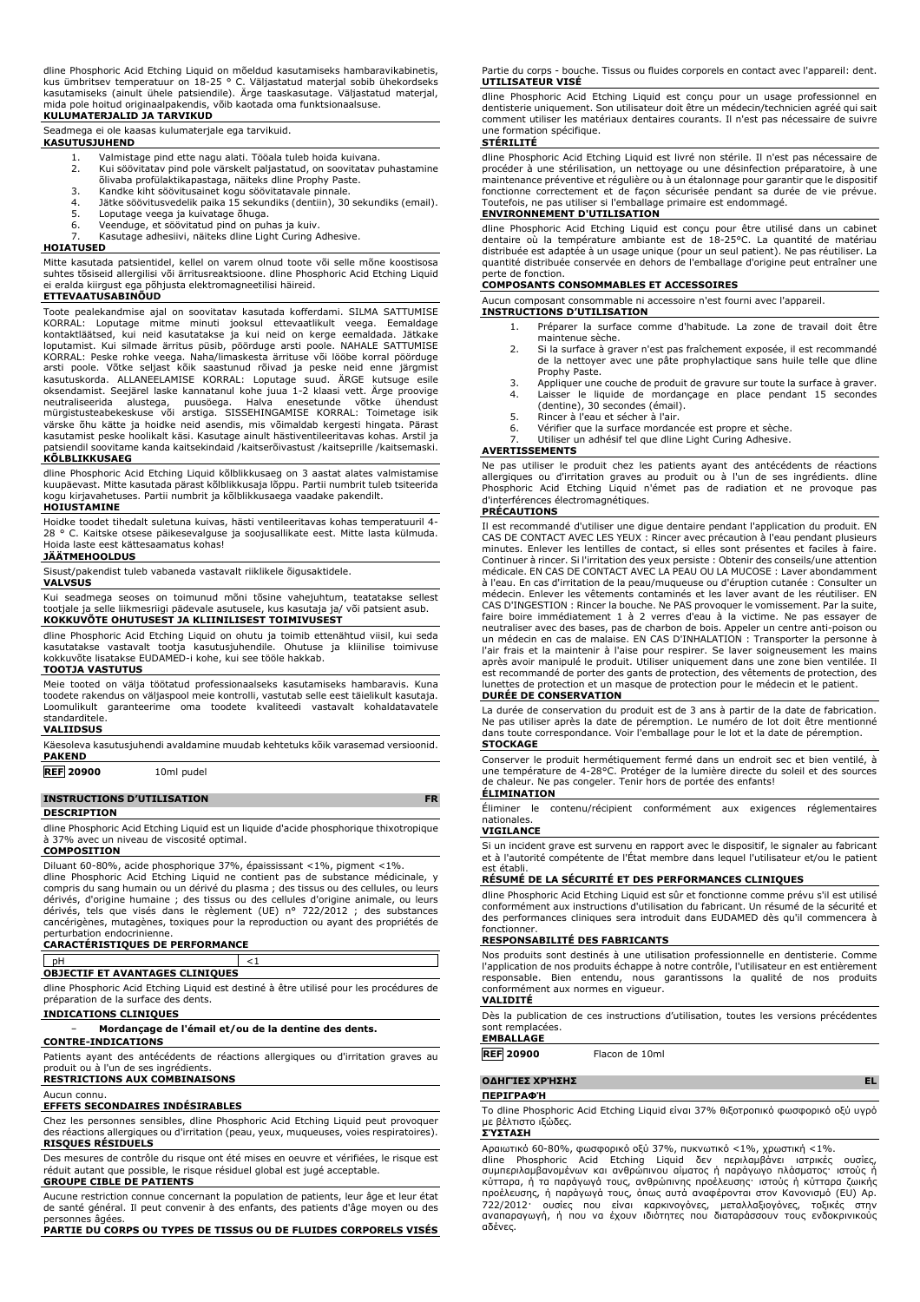dline Phosphoric Acid Etching Liquid on mõeldud kasutamiseks hambaravikabinetis,<br>kus ümbritsev temperatuur on 18-25 ° C. Väljastatud materjal sobib ühekordseks<br>kasutamiseks (ainult ühele patsiendile). Ärge taaskasutage. Vä mida pole hoitud originaalpakendis, võib kaotada oma funktsionaalsuse. **KULUMATERJALID JA TARVIKUD**

Seadmega ei ole kaasas kulumaterjale ega tarvikuid. **KASUTUSJUHEND**

- - 1. Valmistage pind ette nagu alati. Tööala tuleb hoida kuivana. 2. Kui söövitatav pind pole värskelt paljastatud, on soovitatav puhastamine õlivaba profülaktikapastaga, näiteks dline Prophy Paste.
	-
	- 3. Kandke kiht söövitusainet kogu söövitatavale pinnale.<br>4. Jätke söövitusvedelik paika 15 sekundiks (dentiin), 30<br>5. Loputage veega ja kuivatage õhuga. 4. Jätke söövitusvedelik paika 15 sekundiks (dentiin), 30 sekundiks (email). 5. Loputage veega ja kuivatage õhuga.
	- 6. Veenduge, et söövitatud pind on puhas ja kuiv.
	- Kasutage adhesiivi, näiteks dline Light Curing Adhesive.

### **HOIATUSED**

Mitte kasutada patsientidel, kellel on varem olnud toote või selle mõne koostisosa suhtes tõsiseid allergilisi või ärritusreaktsioone. dline Phosphoric Acid Etching Liquid ei eralda kiirgust ega põhjusta elektromagneetilisi häireid.

## **ETTEVAATUSABINÕUD**

Toote pealekandmise ajal on soovitatav kasutada kofferdami. SILMA SATTUMISE KORRAL: Loputage mitme minuti jooksul ettevaatlikult veega. Eemaldage kontaktläätsed, kui neid kasutatakse ja kui neid on kerge eemaldada. Jätkake loputamist. Kui silmade ärritus püsib, pöörduge arsti poole. NAHALE SATTUMISE KORRAL: Peske rohke veega. Naha/limaskesta ärrituse või lööbe korral pöörduge<br>arsti poole. Võtke seljast kõik saastunud rõivad ja peske neid enne järgmist<br>kasutuskorda. ALLANEELAMISE KORRAL: Loputage suud. ÄRGE kutsu oksendamist. Seejärel laske kannatanul kohe juua 1-2 klaasi vett. Ärge proovige neutraliseerida alustega, puusöega. Halva enesetunde võtke ühendust mürgistusteabekeskuse või arstiga. SISSEHINGAMISE KORRAL: Toimetage isik värske õhu kätte ja hoidke neid asendis, mis võimaldab kergesti hingata. Pärast kasutamist peske hoolikalt käsi. Kasutage ainult hästiventileeritavas kohas. Arstil ja patsiendil soovitame kanda kaitsekindaid /kaitserõivastust /kaitseprille /kaitsemaski. **KÕLBLIKKUSAEG**

dline Phosphoric Acid Etching Liquid kõlblikkusaeg on 3 aastat alates valmistamise kuupäevast. Mitte kasutada pärast kõlblikkusaja lõppu. Partii numbrit tuleb tsiteerida kogu kirjavahetuses. Partii numbrit ja kõlblikkusaega vaadake pakendilt.

## **HOIUSTAMINE**

Hoidke toodet tihedalt suletuna kuivas, hästi ventileeritavas kohas temperatuuril 4- 28 ° C. Kaitske otsese päikesevalguse ja soojusallikate eest. Mitte lasta külmuda. Hoida laste eest kättesaamatus kohas! **JÄÄTMEHOOLDUS**

Sisust/pakendist tuleb vabaneda vastavalt riiklikele õigusaktidele.

## **VALVSUS**

Kui seadmega seoses on toimunud mõni tõsine vahejuhtum, teatatakse sellest tootjale ja selle liikmesriigi pädevale asutusele, kus kasutaja ja/ või patsient asub. **KOKKUVÕTE OHUTUSEST JA KLIINILISEST TOIMIVUSEST**

dline Phosphoric Acid Etching Liquid on ohutu ja toimib ettenähtud viisil, kui seda kasutatakse vastavalt tootja kasutusjuhendile. Ohutuse ja kliinilise toimivuse kokkuvõte lisatakse EUDAMED-i kohe, kui see tööle hakkab.

### **TOOTJA VASTUTUS**

Meie tooted on välja töötatud professionaalseks kasutamiseks hambaravis. Kuna toodete rakendus on väljaspool meie kontrolli, vastutab selle eest täielikult kasutaja. Loomulikult garanteerime oma toodete kvaliteedi vastavalt kohaldatavatele standarditele.

### **VALIIDSUS**

Käesoleva kasutusjuhendi avaldamine muudab kehtetuks kõik varasemad versioonid. **PAKEND**

### **REF 20900** 10ml pudel

**INSTRUCTIONS D'UTILISATION FR**

### **DESCRIPTION**

dline Phosphoric Acid Etching Liquid est un liquide d'acide phosphorique thixotropique à 37% avec un niveau de viscosité optimal.

## **COMPOSITION**

Diluant 60-80%, acide phosphorique 37%, épaississant <1%, pigment <1%. dline Phosphoric Acid Etching Liquid ne contient pas de substance médicinale, y compris du sang humain ou un dérivé du plasma ; des tissus ou des cellules, ou leurs<br>dérivés, d'origine humaine ; des tissus ou des cellules d'origine animale, ou leurs<br>dérivés, tels que visés dans le règlement (UE cancérigènes, mutagènes, toxiques pour la reproduction ou ayant des propriétés de perturbation endocrinienne.

### **CARACTÉRISTIQUES DE PERFORMANCE**

| <b>OBJECTIF ET AVANTAGES CLINIOUES</b> |  |
|----------------------------------------|--|

dline Phosphoric Acid Etching Liquid est destiné à être utilisé pour les procédures de

### préparation de la surface des dents. **INDICATIONS CLINIQUES**

− **Mordançage de l'émail et/ou de la dentine des dents.**

## **CONTRE-INDICATIONS**

Patients ayant des antécédents de réactions allergiques ou d'irritation graves au produit ou à l'un de ses ingrédients. **RESTRICTIONS AUX COMBINAISONS**

Aucun connu.

## **EFFETS SECONDAIRES INDÉSIRABLES**

Chez les personnes sensibles, dline Phosphoric Acid Etching Liquid peut provoquer des réactions allergiques ou d'irritation (peau, yeux, muqueuses, voies respiratoires). **RISQUES RÉSIDUELS**

Des mesures de contrôle du risque ont été mises en oeuvre et vérifiées, le risque est réduit autant que possible, le risque résiduel global est jugé acceptable. **GROUPE CIBLE DE PATIENTS**

Aucune restriction connue concernant la population de patients, leur âge et leur état de santé général. Il peut convenir à des enfants, des patients d'âge moyen ou des personnes âgées.

**PARTIE DU CORPS OU TYPES DE TISSUS OU DE FLUIDES CORPORELS VISÉS**

Partie du corps - bouche. Tissus ou fluides corporels en contact avec l'appareil: dent. **UTILISATEUR VISÉ**

dline Phosphoric Acid Etching Liquid est conçu pour un usage professionnel en dentisterie uniquement. Son utilisateur doit être un médecin/technicien agréé qui sait comment utiliser les matériaux dentaires courants. Il n'est pas nécessaire de suivre une formation spécifique.

### **STÉRILITÉ**

dline Phosphoric Acid Etching Liquid est livré non stérile. Il n'est pas nécessaire de procéder à une stérilisation, un nettoyage ou une désinfection préparatoire, à une maintenance préventive et régulière ou à un étalonnage pour garantir que le dispositif fonctionne correctement et de façon sécurisée pendant sa durée de vie prévue. Toutefois, ne pas utiliser si l'emballage primaire est endommagé. **ENVIRONNEMENT D'UTILISATION**

dline Phosphoric Acid Etching Liquid est conçu pour être utilisé dans un cabinet dentaire où la température ambiante est de 18-25°C. La quantité de matériau distribuée est adaptée à un usage unique (pour un seul patient). Ne pas réutiliser. La quantité distribuée conservée en dehors de l'emballage d'origine peut entraîner une perte de fonction.

### **COMPOSANTS CONSOMMABLES ET ACCESSOIRES**

Aucun composant consommable ni accessoire n'est fourni avec l'appareil. **INSTRUCTIONS D'UTILISATION**

- - 1. Préparer la surface comme d'habitude. La zone de travail doit être maintenue sèche.
	- 2. Si la surface à graver n'est pas fraîchement exposée, il est recommandé de la nettoyer avec une pâte prophylactique sans huile telle que dline Prophy Paste.
	- 3. Appliquer une couche de produit de gravure sur toute la surface à graver. Laisser le liquide de mordançage en place pendant 15 secondes (dentine), 30 secondes (émail).
	- 5. Rincer à l'eau et sécher à l'air.<br>6. Vérifier que la surface mordan
	- Vérifier que la surface mordancée est propre et sèche.
	- Utiliser un adhésif tel que dline Light Curing Adhesive.

### **AVERTISSEMENTS**

Ne pas utiliser le produit chez les patients ayant des antécédents de réactions allergiques ou d'irritation graves au produit ou à l'un de ses ingrédients. dline Phosphoric Acid Etching Liquid n'émet pas de radiation et ne provoque pas d'interférences électromagnétiques.

### **PRÉCAUTIONS**

Il est recommandé d'utiliser une digue dentaire pendant l'application du produit. EN CAS DE CONTACT AVEC LES YEUX : Rincer avec précaution à l'eau pendant plusieurs minutes. Enlever les lentilles de contact, si elles sont présentes et faciles à faire. Continuer à rincer. Si l'irritation des yeux persiste : Obtenir des conseils/une attention médicale. EN CAS DE CONTACT AVEC LA PEAU OU LA MUCOSE : Laver abondamment à l'eau. En cas d'irritation de la peau/muqueuse ou d'éruption cutanée : Consulter un médecin. Enlever les vêtements contaminés et les laver avant de les réutiliser. EN CAS D'INGESTION : Rincer la bouche. Ne PAS provoquer le vomissement. Par la suite, faire boire immédiatement 1 à 2 verres d'eau à la victime. Ne pas essayer de neutraliser avec des bases, pas de charbon de bois. Appeler un centre anti-poison ou un médecin en cas de malaise. EN CAS D'INHALATION : Transporter la personne à l'air frais et la maintenir à l'aise pour respirer. Se laver soigneusement les mains après avoir manipulé le produit. Utiliser uniquement dans une zone bien ventilée. Il est recommandé de porter des gants de protection, des vêtements de protection, des lunettes de protection et un masque de protection pour le médecin et le patient.

### **DURÉE DE CONSERVATION**

La durée de conservation du produit est de 3 ans à partir de la date de fabrication. Ne pas utiliser après la date de péremption. Le numéro de lot doit être mentionné dans toute correspondance. Voir l'emballage pour le lot et la date de péremption. **STOCKAGE**

Conserver le produit hermétiquement fermé dans un endroit sec et bien ventilé, à une température de 4-28°C. Protéger de la lumière directe du soleil et des sources de chaleur. Ne pas congeler. Tenir hors de portée des enfants! **ÉLIMINATION**

Éliminer le contenu/récipient conformément aux exigences réglementaires nationales.

## **VIGILANCE**

Si un incident grave est survenu en rapport avec le dispositif, le signaler au fabricant et à l'autorité compétente de l'État membre dans lequel l'utilisateur et/ou le patient est établi.

## **RÉSUMÉ DE LA SÉCURITÉ ET DES PERFORMANCES CLINIQUES**

dline Phosphoric Acid Etching Liquid est sûr et fonctionne comme prévu s'il est utilisé conformément aux instructions d'utilisation du fabricant. Un résumé de la sécurité et des performances cliniques sera introduit dans EUDAMED dès qu'il commencera à fonctionne

### **RESPONSABILITÉ DES FABRICANTS**

Nos produits sont destinés à une utilisation professionnelle en dentisterie. Comme l'application de nos produits échappe à notre contrôle, l'utilisateur en est entièrement responsable. Bien entendu, nous garantissons la qualité de nos produits conformément aux normes en vigueur. **VALIDITÉ**

Dès la publication de ces instructions d'utilisation, toutes les versions précédentes sont remplacées. **EMBALLAGE**

## **REF 20900** Flacon de 10ml

**ΟΔΗΓΊΕΣ ΧΡΉΣΗΣ EL**

## **ΠΕΡΙΓΡΑΦΉ**

Το dline Phosphoric Acid Etching Liquid είναι 37% θιξοτροπικό φωσφορικό οξύ υγρό με βέλτιστο ιξώδες.

## **ΣΎΣΤΑΣΗ**

Αραιωτικό 60-80%, φωσφορικό οξύ 37%, πυκνωτικό <1%, χρωστική <1%. dline Phosphoric Acid Etching Liquid δεν περιλαμβάνει ιατρικές ουσίες, συμπεριλαμβανομένων και ανθρώπινου αίματος ή παράγωγο πλάσματος· ιστούς ή κύτταρα, ή τα παράγωγά τους, ανθρώπινης προέλευσης· ιστούς ή κύτταρα ζωικής<br>προέλευσης, ή παράγωγά τους, όπως αυτά αναφέρονται στον Κανονισμό (EU) Ap.<br>722/2012· ουσίες που είναι καρκινογόνες, μεταλλαξιογόνες, τοξικέ αδένες.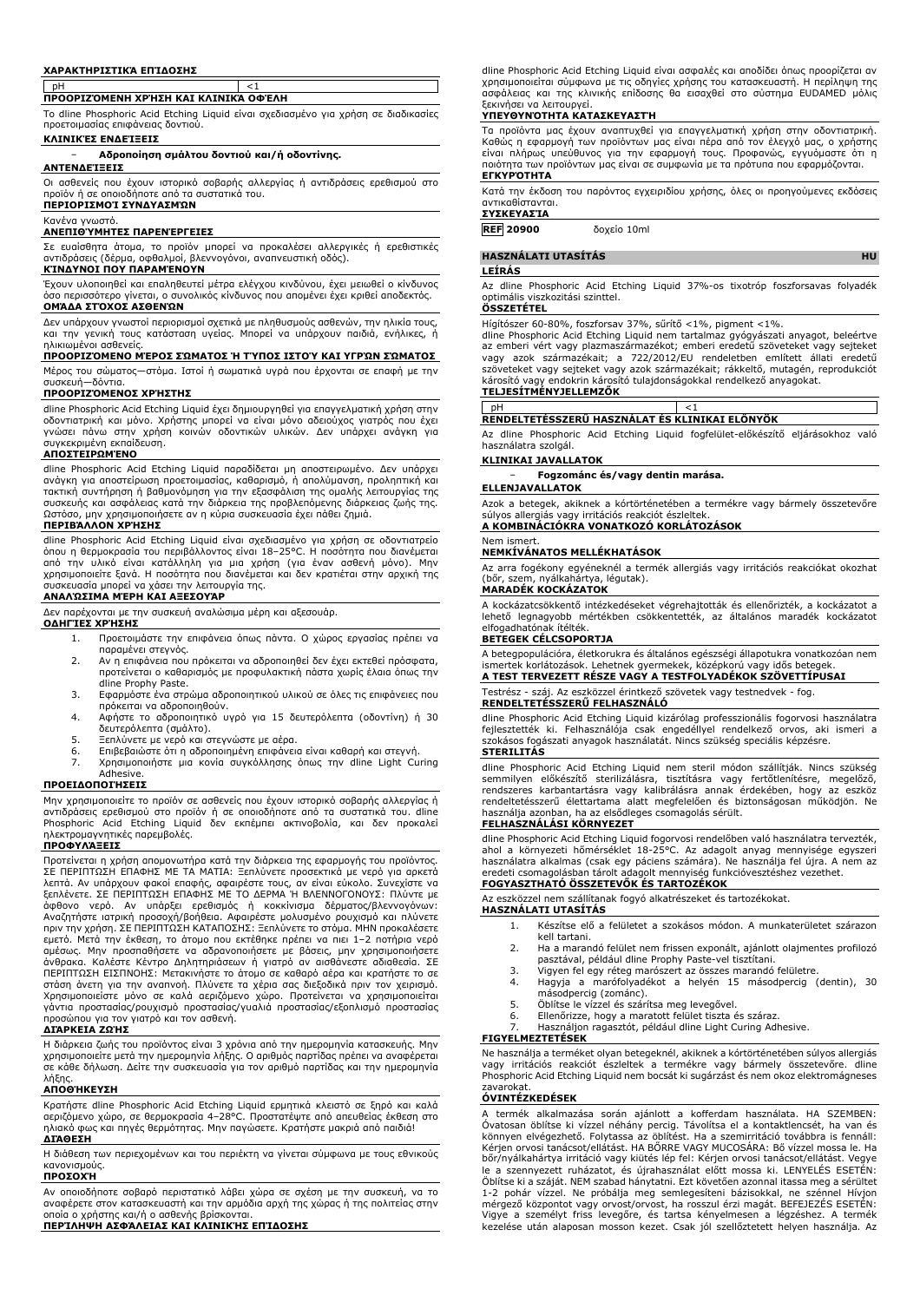### **ΧΑΡΑΚΤΗΡΙΣΤΙΚΆ ΕΠΊΔΟΣΗΣ**

# pH <1 **ΠΡΟΟΡΙΖΌΜΕΝΗ ΧΡΉΣΗ ΚΑΙ ΚΛΙΝΙΚΆ ΟΦΈΛΗ**

Το dline Phosphoric Acid Etching Liquid είναι σχεδιασμένο για χρήση σε διαδικασίες προετοιμασίας επιφάνειας δοντιού.

### **ΚΛΙΝΙΚΈΣ ΕΝΔΕΊΞΕΙΣ**

### − **Αδροποίηση σμάλτου δοντιού και/ή οδοντίνης.**

### **ΑΝΤΕΝΔΕΊΞΕΙΣ**

Οι ασθενείς που έχουν ιστορικό σοβαρής αλλεργίας ή αντιδράσεις ερεθισμού στο προϊόν ή σε οποιοδήποτε από τα συστατικά του.

## **ΠΕΡΙΟΡΙΣΜΟΊ ΣΥΝΔΥΑΣΜΏΝ**

## Κανένα γνωστό.

**ΑΝΕΠΙΘΎΜΗΤΕΣ ΠΑΡΕΝΈΡΓΕΙΕΣ**

Σε ευαίσθητα άτομα, το προϊόν μπορεί να προκαλέσει αλλεργικές ή ερεθιστικές αντιδράσεις (δέρμα, οφθαλμοί, βλεννογόνοι, αναπνευστική οδός). **ΚΊΝΔΥΝΟΙ ΠΟΥ ΠΑΡΑΜΈΝΟΥΝ**

Έχουν υλοποιηθεί και επαληθευτεί μέτρα ελέγχου κινδύνου, έχει μειωθεί ο κίνδυνος όσο περισσότερο γίνεται, ο συνολικός κίνδυνος που απομένει έχει κριθεί αποδεκτός.

## **ΟΜΆΔΑ ΣΤΌΧΟΣ ΑΣΘΕΝΏΝ**

Δεν υπάρχουν γνωστοί περιορισμοί σχετικά με πληθυσμούς ασθενών, την ηλικία τους, και την γενική τους κατάσταση υγείας. Μπορεί να υπάρχουν παιδιά, ενήλικες, ή ηλικιωμένοι ασθενείς.

## **ΠΡΟΟΡΙΖΌΜΕΝΟ ΜΈΡΟΣ ΣΏΜΑΤΟΣ Ή ΤΎΠΟΣ ΙΣΤΟΎ ΚΑΙ ΥΓΡΏΝ ΣΏΜΑΤΟΣ**

Μέρος του σώματος—στόμα. Ιστοί ή σωματικά υγρά που έρχονται σε επαφή με την συσκευή—δόντια.

## **ΠΡΟΟΡΙΖΌΜΕΝΟΣ ΧΡΉΣΤΗΣ**

dline Phosphoric Acid Etching Liquid έχει δημιουργηθεί για επαγγελματική χρήση στην οδοντιατρική και μόνο. Χρήστης μπορεί να είναι μόνο αδειούχος γιατρός που έχει γνώσει πάνω στην χρήση κοινών οδοντικών υλικών. Δεν υπάρχει ανάγκη για συγκεκριμένη εκπαίδευση.

## **ΑΠΟΣΤΕΙΡΩΜΈΝΟ**

dline Phosphoric Acid Etching Liquid παραδίδεται μη αποστειρωμένο. Δεν υπάρχει<br>ανάγκη για αποστείρωση προετοιμασίας, καθαρισμό, ή απολύμανση, προληπτική και<br>τακτική συντήρηση ή βαθμονόμηση για την εξασφάλιση της ομαλής λε συσκευής και ασφάλειας κατά την διάρκεια της προβλεπόμενης διάρκειας ζωής της. Ωστόσο, μην χρησιμοποιήσετε αν η κύρια συσκευασία έχει πάθει ζημιά. **ΠΕΡΙΒΆΛΛΟΝ ΧΡΉΣΗΣ**

dline Phosphoric Acid Etching Liquid είναι σχεδιασμένο για χρήση σε οδοντιατρείο όπου η θερμοκρασία του περιβάλλοντος είναι 18–25°C. Η ποσότητα που διανέμεται από την υλικό είναι κατάλληλη για μια χρήση (για έναν ασθενή μόνο). Μην χρησιμοποιείτε ξανά. Η ποσότητα που διανέμεται και δεν κρατιέται στην αρχική της συσκευασία μπορεί να χάσει την λειτουργία της.

## **ΑΝΑΛΏΣΙΜΑ ΜΈΡΗ ΚΑΙ ΑΞΕΣΟΥΆΡ**

Δεν παρέχονται με την συσκευή αναλώσιμα μέρη και αξεσουάρ.

## **ΟΔΗΓΊΕΣ ΧΡΉΣΗΣ**

- 1. Προετοιμάστε την επιφάνεια όπως πάντα. Ο χώρος εργασίας πρέπει να
- παραμένει στεγνός. 2. Αν η επιφάνεια που πρόκειται να αδροποιηθεί δεν έχει εκτεθεί πρόσφατα, προτείνεται ο καθαρισμός με προφυλακτική πάστα χωρίς έλαια όπως την
- dline Prophy Paste. 3. Εφαρμόστε ένα στρώμα αδροποιητικού υλικού σε όλες τις επιφάνειες που πρόκειται να αδροποιηθούν.
- 4. Αφήστε το αδροποιητικό υγρό για 15 δευτερόλεπτα (οδοντίνη) ή 30 δευτερόλεπτα (σμάλτο).
- 5. Ξεπλύνετε με νερό και στεγνώστε με αέρα. 6. Επιβεβαιώστε ότι η αδροποιημένη επιφάνεια είναι καθαρή και στεγνή.
- 7. Χρησιμοποιήστε μια κονία συγκόλλησης όπως την dline Light Curing Adhesive.

## **ΠΡΟΕΙΔΟΠΟΙΉΣΕΙΣ**

Μην χρησιμοποιείτε το προϊόν σε ασθενείς που έχουν ιστορικό σοβαρής αλλεργίας ή αντιδράσεις ερεθισμού στο προϊόν ή σε οποιοδήποτε από τα συστατικά του. dline Phosphoric Acid Etching Liquid δεν εκπέμπει ακτινοβολία, και δεν προκαλεί ηλεκτρομαγνητικές παρεμβολές.

## **ΠΡΟΦΥΛΆΞΕΙΣ**

Προτείνεται η χρήση απομονωτήρα κατά την διάρκεια της εφαρμογής του προϊόντος. ΣΕ ΠΕΡΙΠΤΩΣΗ ΕΠΑΦΗΣ ΜΕ ΤΑ ΜΑΤΙΑ: Ξεπλύνετε προσεκτικά με νερό για αρκετά λεπτά. Αν υπάρχουν φακοί επαφής, αφαιρέστε τους, αν είναι εύκολο. Συνεχίστε να ξεπλένετε. ΣΕ ΠΕΡΙΠΤΩΣΗ ΕΠΑΦΗΣ ΜΕ ΤΟ ΔΕΡΜΑ Ή ΒΛΕΝΝΟΓΟΝΟΥΣ: Πλύντε με άφθονο νερό. Αν υπάρξει ερεθισμός ή κοκκίνισμα δέρματος/βλεννογόνων:<br>Αναζητήστε ιατρική προσοχή/βοήθεια.Αφαιρέστε μολυσμένο ρουχισμό και πλύνετε<br>πριντην χρήση.ΣΕ ΠΕΡΙΠΤΩΣΗ ΚΑΤΑΠΟΣΗΣ:Ξεπλύνετε το στόμα.ΜΗΝ προκαλέσετε<br>εμετ άνθρακα. Καλέστε Κέντρο Δηλητηριάσεων ή γιατρό αν αισθάνεστε αδιαθεσία. ΣΕ<br>ΠΕΡΙΠΤΩΣΗ ΕΙΣΠΝΟΗΣ: Μετακινήστε το άτομο σε καθαρό αέρα και κρατήστε το σε<br>στάση άνετη για την αναπνοή. Πλύνετε τα χέρια σας διεξοδικά πριν τον χε προσώπου για τον γιατρό και τον ασθενή.

## **ΔΙΆΡΚΕΙΑ ΖΩΉΣ**

Η διάρκεια ζωής του προϊόντος είναι 3 χρόνια από την ημερομηνία κατασκευής. Μην<br>χρησιμοποιείτε μετά την ημερομηνία λήξης. Ο αριθμός παρτίδας πρέπει να αναφέρεται<br>σε κάθε δήλωση. Δείτε την συσκευασία για τον αριθμό παρτίδα λήξης.

## **ΑΠΟΘΉΚΕΥΣΗ**

Κρατήστε dline Phosphoric Acid Etching Liquid ερμητικά κλειστό σε ξηρό και καλά αεριζόμενο χώρο, σε θερμοκρασία 4–28°C. Προστατέψτε από απευθείας έκθεση στο ηλιακό φως και πηγές θερμότητας. Μην παγώσετε. Κρατήστε μακριά από παιδιά! **ΔΙΆΘΕΣΗ**

Η διάθεση των περιεχομένων και του περιέκτη να γίνεται σύμφωνα με τους εθνικούς κανονισμούς.

### **ΠΡΟΣΟΧΉ**

Αν οποιοδήποτε σοβαρό περιστατικό λάβει χώρα σε σχέση με την συσκευή, να το αναφέρετε στον κατασκευαστή και την αρμόδια αρχή της χώρας ή της πολιτείας στην οποία ο χρήστης και/ή ο ασθενής βρίσκονται.

**ΠΕΡΊΛΗΨΗ ΑΣΦΆΛΕΙΑΣ ΚΑΙ ΚΛΙΝΙΚΉΣ ΕΠΊΔΟΣΗΣ**

dline Phosphoric Acid Etching Liquid είναι ασφαλές και αποδίδει όπως προορίζεται αν χρησιμοποιείται σύμφωνα με τις οδηγίες χρήσης του κατασκευαστή. Η περίληψη της ασφάλειας και της κλινικής επίδοσης θα εισαχθεί στο σύστημα EUDAMED μόλις ξεκινήσει να λειτουργεί.

### **ΥΠΕΥΘΥΝΌΤΗΤΑ ΚΑΤΑΣΚΕΥΑΣΤΉ**

Τα προϊόντα μας έχουν αναπτυχθεί για επαγγελματική χρήση στην οδοντιατρική. Καθώς η εφαρμογή των προϊόντων μας είναι πέρα από τον έλεγχό μας, ο χρήστης είναι πλήρως υπεύθυνος για την εφαρμογή τους. Προφανώς, εγγυόμαστε ότι η ποιότητα των προϊόντων μας είναι σε συμφωνία με τα πρότυπα που εφαρμόζονται. **ΕΓΚΥΡΌΤΗΤΑ**

Κατά την έκδοση του παρόντος εγχειριδίου χρήσης, όλες οι προηγούμενες εκδόσεις αντικαθίστανται.

## **ΣΥΣΚΕΥΑΣΊΑ**

**REF 20900** δοχείο 10ml

## **HASZNÁLATI UTASÍTÁS HU**

### **LEÍRÁS**

Az dline Phosphoric Acid Etching Liquid 37%-os tixotróp foszforsavas folyadék optimális viszkozitási szinttel. **ÖSSZETÉTEL**

Hígítószer 60-80%, foszforsav 37%, sűrítő <1%, pigment <1%. dline Phosphoric Acid Etching Liquid nem tartalmaz gyógyászati anyagot, beleértve az emberi vért vagy plazmaszármazékot; emberi eredetü szöveteket vagy sejteket<br>vagy azok származékait; a 722/2012/EU rendeletben említett állati eredetű<br>szöveteket vagy sejteket vagy azok származékait; rákkeltő, mu károsító vagy endokrin károsító tulajdonságokkal rendelkező anyagokat. **TELJESÍTMÉNYJELLEMZŐK**

### pH <1 **RENDELTETÉSSZERŰ HASZNÁLAT ÉS KLINIKAI ELŐNYÖK**

Az dline Phosphoric Acid Etching Liquid fogfelület-előkészítő eljárásokhoz való használatra szolgál.

### **KLINIKAI JAVALLATOK**

− **Fogzománc és/vagy dentin marása.**

### **ELLENJAVALLATOK**

Azok a betegek, akiknek a kórtörténetében a termékre vagy bármely összetevőre súlyos allergiás vagy irritációs reakciót észleltek. **A KOMBINÁCIÓKRA VONATKOZÓ KORLÁTOZÁSOK**

### Nem ismert.

## **NEMKÍVÁNATOS MELLÉKHATÁSOK**

Az arra fogékony egyéneknél a termék allergiás vagy irritációs reakciókat okozhat (bőr, szem, nyálkahártya, légutak). **MARADÉK KOCKÁZATOK**

A kockázatcsökkentő intézkedéseket végrehajtották és ellenőrizték, a kockázatot a lehető legnagyobb mértékben csökkentették, az általános maradék kockázatot elfogadhatónak ítélték. **BETEGEK CÉLCSOPORTJA**

A betegpopulációra, életkorukra és általános egészségi állapotukra vonatkozóan nem ismertek korlátozások. Lehetnek gyermekek, középkorú vagy idős betegek. **A TEST TERVEZETT RÉSZE VAGY A TESTFOLYADÉKOK SZÖVETTÍPUSAI**

# Testrész - száj. Az eszközzel érintkező szövetek vagy testnedvek - fog.

**RENDELTETÉSSZERŰ FELHASZNÁLÓ** dline Phosphoric Acid Etching Liquid kizárólag professzionális fogorvosi használatra fejlesztették ki. Felhasználója csak engedéllyel rendelkező orvos, aki ismeri a

szokásos fogászati anyagok használatát. Nincs szükség speciális képzésre. **STERILITÁS**

dline Phosphoric Acid Etching Liquid nem steril módon szállítják. Nincs szükség semmilyen előkészítő sterilizálásra, tisztításra vagy fertőtlenítésre, megelőző, rendszeres karbantartásra vagy kalibrálásra annak érdekében, hogy az eszköz rendeltetésszerű élettartama alatt megfelelően és biztonságosan működjön. Ne használja azonban, ha az elsődleges csomagolás sérült.

## **FELHASZNÁLÁSI KÖRNYEZET**

dline Phosphoric Acid Etching Liquid fogorvosi rendelőben való használatra tervezték, ahol a környezeti hőmérséklet 18-25°C. Az adagolt anyag mennyisége egyszeri használatra alkalmas (csak egy páciens számára). Ne használja fel újra. A nem az eredeti csomagolásban tárolt adagolt mennyiség funkcióvesztéshez vezethet.

## **FOGYASZTHATÓ ÖSSZETEVŐK ÉS TARTOZÉKOK**

Az eszközzel nem szállítanak fogyó alkatrészeket és tartozékokat. **HASZNÁLATI UTASÍTÁS**

- 1. Készítse elő a felületet a szokásos módon. A munkaterületet szárazon kell tartani.
- 2. Ha a marandó felület nem frissen exponált, ajánlott olajmentes profilozó pasztával, például dline Prophy Paste-vel tisztítani.
- 3. Vigyen fel egy réteg marószert az összes marandó felületre.
- 4. Hagyja a marófolyadékot a helyén 15 másodpercig (dentin), 30 másodpercig (zománc). 5. Öblítse le vízzel és szárítsa meg levegővel.
- 
- 6. Ellenőrizze, hogy a maratott felület tiszta és száraz.
- Használjon ragasztót, például dline Light Curing Adhesive.

## **FIGYELMEZTETÉSEK**

Ne használja a terméket olyan betegeknél, akiknek a kórtörténetében súlyos allergiás vagy irritációs reakciót észleltek a termékre vagy bármely összetevőre. dline Phosphoric Acid Etching Liquid nem bocsát ki sugárzást és nem okoz elektromágneses zavarokat.

## **ÓVINTÉZKEDÉSEK**

A termék alkalmazása során ajánlott a kofferdam használata. HA SZEMBEN: Óvatosan öblítse ki vízzel néhány percig. Távolítsa el a kontaktlencsét, ha van és könnyen elvégezhető. Folytassa az öblítést. Ha a szemirritáció továbbra is fennáll: Kérjen orvosi tanácsot/ellátást. HA BŐRRE VAGY MUCOSÁRA: Bő vízzel mossa le. Ha bőr/nyálkahártya irritáció vagy kiütés lép fel: Kérjen orvosi tanácsot/ellátást. Vegye le a szennyezett ruházatot, és újrahasználat előtt mossa ki. LENYELÉS ESETÉN: Öblítse ki a száját. NEM szabad hánytatni. Ezt követően azonnal itassa meg a sérültet 1-2 pohár vízzel. Ne próbálja meg semlegesíteni bázisokkal, ne szénnel Hívjon mérgező központot vagy orvost/orvost, ha rosszul érzi magát. BEFEJEZÉS ESETÉN: Vigye a személyt friss levegőre, és tartsa kényelmesen a légzéshez. A termék kezelése után alaposan mosson kezet. Csak jól szellőztetett helyen használja. Az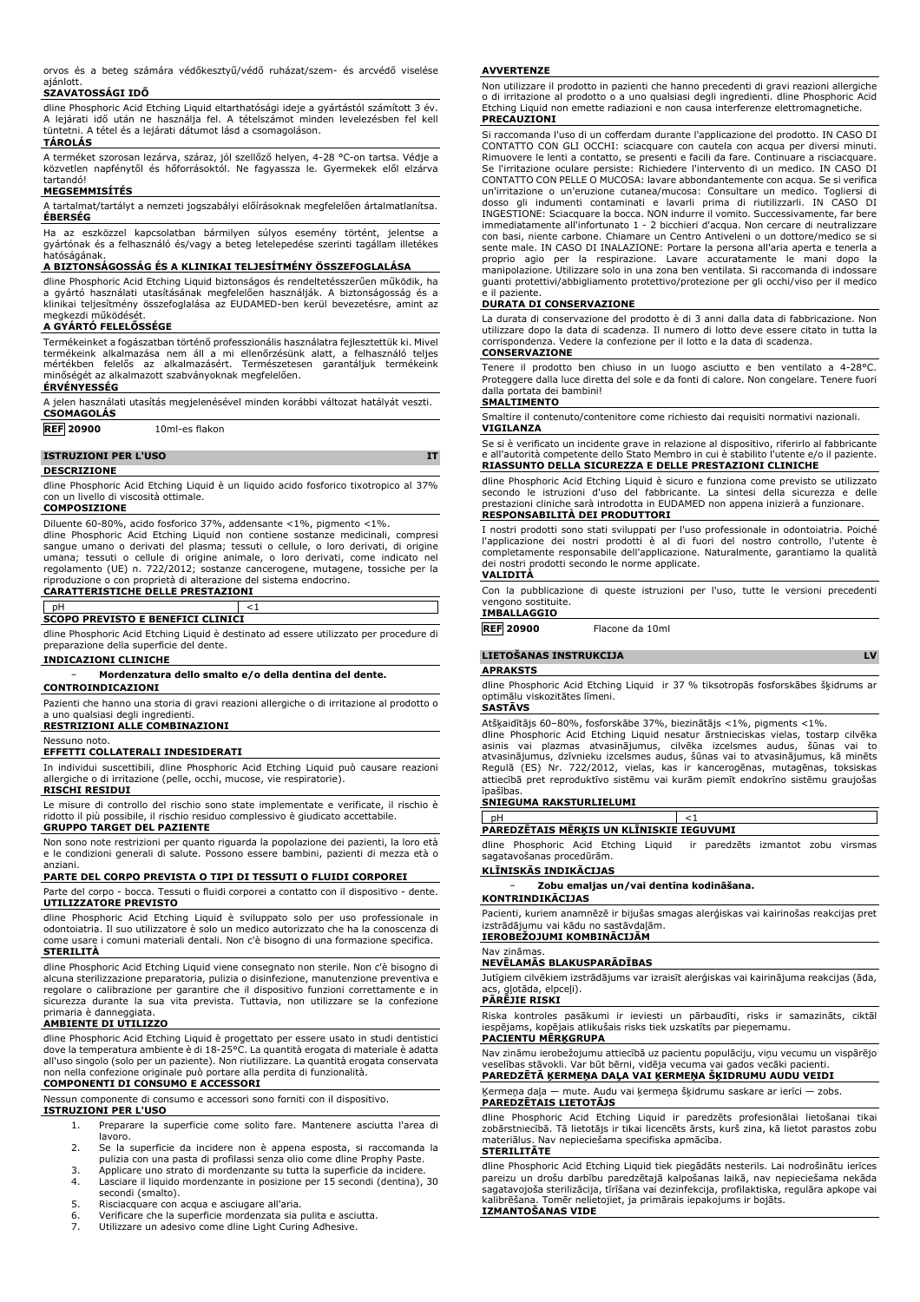orvos és a beteg számára védőkesztyű/védő ruházat/szem- és arcvédő viselése ajánlott.

## **SZAVATOSSÁGI IDŐ**

dline Phosphoric Acid Etching Liquid eltarthatósági ideje a gyártástól számított 3 év. A lejárati idő után ne használja fel. A tételszámot minden levelezésben fel kell tüntetni. A tétel és a lejárati dátumot lásd a csomagoláson.

## **TÁROLÁS**

A terméket szorosan lezárva, száraz, jól szellőző helyen, 4-28 °C-on tartsa. Védje a közvetlen napfénytől és hőforrásoktól. Ne fagyassza le. Gyermekek elől elzárva tartandó!

## **MEGSEMMISÍTÉS**

A tartalmat/tartályt a nemzeti jogszabályi előírásoknak megfelelően ártalmatlanítsa. **ÉBERSÉG**

Ha az eszközzel kapcsolatban bármilyen súlyos esemény történt, jelentse a gyártónak és a felhasználó és/vagy a beteg letelepedése szerinti tagállam illetékes hatóságának.

## **A BIZTONSÁGOSSÁG ÉS A KLINIKAI TELJESÍTMÉNY ÖSSZEFOGLALÁSA**

dline Phosphoric Acid Etching Liquid biztonságos és rendeltetésszerűen működik, ha a gyártó használati utasításának megfelelően használják. A biztonságosság és a klinikai teljesítmény összefoglalása az EUDAMED-ben kerül bevezetésre, amint az megkezdi működését.

## **A GYÁRTÓ FELELŐSSÉGE**

Termékeinket a fogászatban történő professzionális használatra fejlesztettük ki. Mivel termékeink alkalmazása nem áll a mi ellenőrzésünk alatt, a felhasználó teljes mértékben felelős az alkalmazásért. Természetesen garantáljuk termékeink minőségét az alkalmazott szabványoknak megfelelően. **ÉRVÉNYESSÉG**

## A jelen használati utasítás megjelenésével minden korábbi változat hatályát veszti.

**CSOMAGOLÁS**

## **REF 20900** 10ml-es flakon

**ISTRUZIONI PER L'USO IT**

### **DESCRIZIONE**

dline Phosphoric Acid Etching Liquid è un liquido acido fosforico tixotropico al 37% con un livello di viscosità ottimale.

### **COMPOSIZIONE**

Diluente 60-80%, acido fosforico 37%, addensante <1%, pigmento <1%. dline Phosphoric Acid Etching Liquid non contiene sostanze medicinali, compresi sangue umano o derivati del plasma; tessuti o cellule, o loro derivati, di origine umana; tessuti o cellule di origine animale, o loro derivati, come indicato nel regolamento (UE) n. 722/2012; sostanze cancerogene, mutagene, tossiche per la riproduzione o con proprietà di alterazione del sistema endocrino.

### **CARATTERISTICHE DELLE PRESTAZIONI**

## pH <1

**SCOPO PREVISTO E BENEFICI CLINICI**

dline Phosphoric Acid Etching Liquid è destinato ad essere utilizzato per procedure di preparazione della superficie del dente.

### **INDICAZIONI CLINICHE**

### − **Mordenzatura dello smalto e/o della dentina del dente.**

**CONTROINDICAZIONI**

Pazienti che hanno una storia di gravi reazioni allergiche o di irritazione al prodotto o a uno qualsiasi degli ingredienti.

## **RESTRIZIONI ALLE COMBINAZIONI**

Nessuno noto.

**EFFETTI COLLATERALI INDESIDERATI**

In individui suscettibili, dline Phosphoric Acid Etching Liquid può causare reazioni allergiche o di irritazione (pelle, occhi, mucose, vie respiratorie). **RISCHI RESIDUI**

Le misure di controllo del rischio sono state implementate e verificate, il rischio è ridotto il più possibile, il rischio residuo complessivo è giudicato accettabile. **GRUPPO TARGET DEL PAZIENTE**

Non sono note restrizioni per quanto riguarda la popolazione dei pazienti, la loro età e le condizioni generali di salute. Possono essere bambini, pazienti di mezza età o anziani.

## **PARTE DEL CORPO PREVISTA O TIPI DI TESSUTI O FLUIDI CORPOREI**

Parte del corpo - bocca. Tessuti o fluidi corporei a contatto con il dispositivo - dente. **UTILIZZATORE PREVISTO**

dline Phosphoric Acid Etching Liquid è sviluppato solo per uso professionale in odontoiatria. Il suo utilizzatore è solo un medico autorizzato che ha la conoscenza di come usare i comuni materiali dentali. Non c'è bisogno di una formazione specifica. **STERILITÀ**

dline Phosphoric Acid Etching Liquid viene consegnato non sterile. Non c'è bisogno di alcuna sterilizzazione preparatoria, pulizia o disinfezione, manutenzione preventiva e regolare o calibrazione per garantire che il dispositivo funzioni correttamente e in sicurezza durante la sua vita prevista. Tuttavia, non utilizzare se la confezione primaria è danneggiata.

## **AMBIENTE DI UTILIZZO**

dline Phosphoric Acid Etching Liquid è progettato per essere usato in studi dentistici dove la temperatura ambiente è di 18-25°C. La quantità erogata di materiale è adatta all'uso singolo (solo per un paziente). Non riutilizzare. La quantità erogata conservata non nella confezione originale può portare alla perdita di funzionalità.

# **COMPONENTI DI CONSUMO E ACCESSORI**

Nessun componente di consumo e accessori sono forniti con il dispositivo.

**ISTRUZIONI PER L'USO**

- 1. Preparare la superficie come solito fare. Mantenere asciutta l'area di lavoro.
- 2. Se la superficie da incidere non è appena esposta, si raccomanda la pulizia con una pasta di profilassi senza olio come dline Prophy Paste.
- 3. Applicare uno strato di mordenzante su tutta la superficie da incidere. 4. Lasciare il liquido mordenzante in posizione per 15 secondi (dentina), 30 secondi (smalto).
- 
- 5. Risciacquare con acqua e asciugare all'aria. 6. Verificare che la superficie mordenzata sia pulita e asciutta.
- 7. Utilizzare un adesivo come dline Light Curing Adhesive.

### **AVVERTENZE**

Non utilizzare il prodotto in pazienti che hanno precedenti di gravi reazioni allergiche o di irritazione al prodotto o a uno qualsiasi degli ingredienti. dline Phosphoric Acid Etching Liquid non emette radiazioni e non causa interferenze elettromagnetiche. **PRECAUZIONI**

Si raccomanda l'uso di un cofferdam durante l'applicazione del prodotto. IN CASO DI CONTATTO CON GLI OCCHI: sciacquare con cautela con acqua per diversi minuti. Rimuovere le lenti a contatto, se presenti e facili da fare. Continuare a risciacquare. Se l'irritazione oculare persiste: Richiedere l'intervento di un medico. IN CASO DI CONTATTO CON PELLE O MUCOSA: lavare abbondantemente con acqua. Se si verifica un'irritazione o un'eruzione cutanea/mucosa: Consultare un medico. Togliersi di dosso gli indumenti contaminati e lavarli prima di riutilizzarli. IN CASO DI INGESTIONE: Sciacquare la bocca. NON indurre il vomito. Successivamente, far bere immediatamente all'infortunato 1 - 2 bicchieri d'acqua. Non cercare di neutralizzare con basi, niente carbone. Chiamare un Centro Antiveleni o un dottore/medico se si sente male. IN CASO DI INALAZIONE: Portare la persona all'aria aperta e tenerla a proprio agio per la respirazione. Lavare accuratamente le mani dopo la manipolazione. Utilizzare solo in una zona ben ventilata. Si raccomanda di indossare guanti protettivi/abbigliamento protettivo/protezione per gli occhi/viso per il medico e il paziente.

## **DURATA DI CONSERVAZIONE**

La durata di conservazione del prodotto è di 3 anni dalla data di fabbricazione. Non utilizzare dopo la data di scadenza. Il numero di lotto deve essere citato in tutta la corrispondenza. Vedere la confezione per il lotto e la data di scadenza. **CONSERVAZIONE**

Tenere il prodotto ben chiuso in un luogo asciutto e ben ventilato a 4-28°C. Proteggere dalla luce diretta del sole e da fonti di calore. Non congelare. Tenere fuori dalla portata dei bambini!

## **SMALTIMENTO**

Smaltire il contenuto/contenitore come richiesto dai requisiti normativi nazionali. **VIGILANZA**

Se si è verificato un incidente grave in relazione al dispositivo, riferirlo al fabbricante e all'autorità competente dello Stato Membro in cui è stabilito l'utente e/o il paziente. **RIASSUNTO DELLA SICUREZZA E DELLE PRESTAZIONI CLINICHE**

dline Phosphoric Acid Etching Liquid è sicuro e funziona come previsto se utilizzato secondo le istruzioni d'uso del fabbricante. La sintesi della sicurezza e delle prestazioni cliniche sarà introdotta in EUDAMED non appena inizierà a funzionare.

## **RESPONSABILITÀ DEI PRODUTTORI**

I nostri prodotti sono stati sviluppati per l'uso professionale in odontoiatria. Poiché l'applicazione dei nostri prodotti è al di fuori del nostro controllo, l'utente è completamente responsabile dell'applicazione. Naturalmente, garantiamo la qualità dei nostri prodotti secondo le norme applicate.

## **VALIDITÀ**

Con la pubblicazione di queste istruzioni per l'uso, tutte le versioni precedenti vengono sostituite.

## **IMBALLAGGIO**

**REF 20900** Flacone da 10ml

**LIETOŠANAS INSTRUKCIJA LV**

### **APRAKSTS**

dline Phosphoric Acid Etching Liquid ir 37 % tiksotropās fosforskābes šķidrums ar optimālu viskozitātes līmeni.

### **SASTĀVS**

Atšķaidītājs 60–80%, fosforskābe 37%, biezinātājs <1%, pigments <1%. dline Phosphoric Acid Etching Liquid nesatur ārstnieciskas vielas, tostarp cilvēka asinis vai plazmas atvasinājumus, cilvēka izcelsmes audus, šūnas vai to atvasinājumus, dzīvnieku izcelsmes audus, šūnas vai to atvasinājumus, kā minēts Regulā (ES) Nr. 722/2012, vielas, kas ir kancerogēnas, mutagēnas, toksiskas attiecībā pret reproduktīvo sistēmu vai kurām piemīt endokrīno sistēmu graujošas īpašības.

## **SNIEGUMA RAKSTURLIELUMI**

| PAREDZETAIS MERKIS UN KLĪNISKIE IEGUVUMI |  |
|------------------------------------------|--|
|                                          |  |

dline Phosphoric Acid Etching Liquid ir paredzēts izmantot zobu virsmas sagatavošanas procedūrām.

# **KLĪNISKĀS INDIKĀCIJAS**

− **Zobu emaljas un/vai dentīna kodināšana.**

## **KONTRINDIKĀCIJAS**

Pacienti, kuriem anamnēzē ir bijušas smagas alerģiskas vai kairinošas reakcijas pret izstrādājumu vai kādu no sastāvdaļām.

## **IEROBEŽOJUMI KOMBINĀCIJĀM** Nav zināmas.

## **NEVĒLAMĀS BLAKUSPARĀDĪBAS**

Jutīgiem cilvēkiem izstrādājums var izraisīt alerģiskas vai kairinājuma reakcijas (āda, e... <del>.</del>.<br>alotāda, elpceļi).

### **PĀRĒJIE RISKI**

Riska kontroles pasākumi ir ieviesti un pārbaudīti, risks ir samazināts, ciktāl iespējams, kopējais atlikušais risks tiek uzskatīts par pieņemamu.

## **PACIENTU MĒRĶGRUPA**

Nav zināmu ierobežojumu attiecībā uz pacientu populāciju, viņu vecumu un vispārējo veselības stāvokli. Var būt bērni, vidēja vecuma vai gados vecāki pacienti. **PAREDZĒTĀ ĶERMEŅA DAĻA VAI ĶERMEŅA ŠĶIDRUMU AUDU VEIDI**

Ķermeņa daļa — mute. Audu vai ķermeņa šķidrumu saskare ar ierīci — zobs. **PAREDZĒTAIS LIETOTĀJS**

dline Phosphoric Acid Etching Liquid ir paredzēts profesionālai lietošanai tikai zobārstniecībā. Tā lietotājs ir tikai licencēts ārsts, kurš zina, kā lietot parastos zobu materiālus. Nav nepieciešama specifiska apmācība. **STERILITĀTE**

dline Phosphoric Acid Etching Liquid tiek piegādāts nesterils. Lai nodrošinātu ierīces pareizu un drošu darbību paredzētajā kalpošanas laikā, nav nepieciešama nekāda sagatavojoša sterilizācija, tīrīšana vai dezinfekcija, profilaktiska, regulāra apkope vai kalibrēšana. Tomēr nelietojiet, ja primārais iepakojums ir bojāts. **IZMANTOŠANAS VIDE**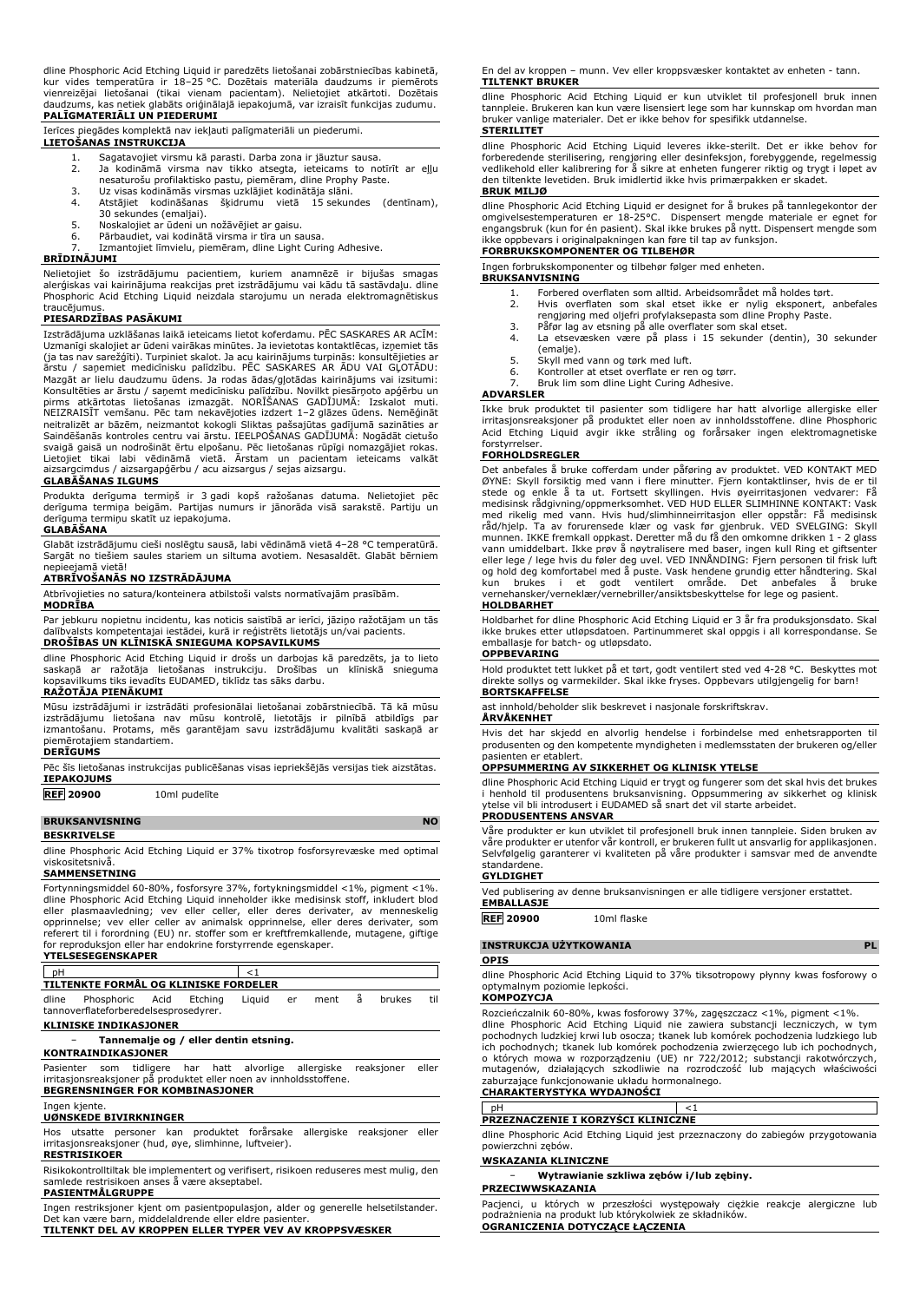dline Phosphoric Acid Etching Liquid ir paredzēts lietošanai zobārstniecības kabinetā,<br>kur vides temperatūra ir 18–25 °C. Dozētais materiāla daudzums ir piemērots<br>vienreizējai lietošanai (tikai vienam pacienta daudzums, kas netiek glabāts oriģinālajā iepakojumā, var izraisīt funkcijas zudumu. **PALĪGMATERIĀLI UN PIEDERUMI**

Ierīces piegādes komplektā nav iekļauti palīgmateriāli un piederumi.

- **LIETOŠANAS INSTRUKCIJA**
	- 1. Sagatavojiet virsmu kā parasti. Darba zona ir jāuztur sausa.<br>2. Ja kodināmā virsma nav tikko atsegta, ieteicams to no 2. Ja kodināmā virsma nav tikko atsegta, ieteicams to notīrīt ar eļļu nesaturošu profilaktisko pastu, piemēram, dline Prophy Paste.
	-
	- 3. Uz visas kodināmās virsmas uzklājiet kodinātāja slāni.
	- 4. Atstājiet kodināšanas šķidrumu vietā 15 sekundes (dentīnam), 30 sekundes (emaljai).
	- 5. Noskalojiet ar ūdeni un nožāvējiet ar gaisu.<br>6. Pārbaudiet, vai kodinātā virsma ir tīra un sa
	- 6. Pārbaudiet, vai kodinātā virsma ir tīra un sausa. 7. Izmantojiet līmvielu, piemēram, dline Light Curing Adhesive.

**BRĪDINĀJUMI**

Nelietojiet šo izstrādājumu pacientiem, kuriem anamnēzē ir bijušas smagas alerģiskas vai kairinājuma reakcijas pret izstrādājumu vai kādu tā sastāvdaļu. dline Phosphoric Acid Etching Liquid neizdala starojumu un nerada elektromagnētiskus traucējumus.

### **PIESARDZĪBAS PASĀKUMI**

Izstrādājuma uzklāšanas laikā ieteicams lietot koferdamu. PĒC SASKARES AR ACĪM: Uzmanīgi skalojiet ar ūdeni vairākas minūtes. Ja ievietotas kontaktlēcas, izņemiet tās<br>(ja tas nav sarežģīti). Turpiniet skalot. Ja acu kairinājums turpinās: konsultējieties ar<br>ārstu / saņemiet medicīnisku palīdzību. PĒC S Konsultēties ar ārstu / saņemt medicīnisku palīdzību. Novilkt piesārņoto apģērbu un pirms atkārtotas lietošanas izmazgāt. NORISANAS GADIJUMA: Izskalot muti.<br>NEIZRAISĪT vemšanu. Pēc tam nekavējoties izdzert 1–2 glāzes ūdens. Nemēģināt neitralizēt ar bāzēm, neizmantot kokogli Sliktas pašsajūtas gadījumā sazināties ar Saindēšanās kontroles centru vai ārstu. IEELPOŠANAS GADĪJUMĀ: Nogādāt cietušo svaigā gaisā un nodrošināt ērtu elpošanu. Pēc lietošanas rūpīgi nomazgājiet rokas. Lietojiet tikai labi vēdināmā vietā. Ārstam un pacientam ieteicams valkāt aizsargcimdus / aizsargapģērbu / acu aizsargus / sejas aizsargu.

## **GLABĀŠANAS ILGUMS**

Produkta derīguma termiņš ir 3 gadi kopš ražošanas datuma. Nelietojiet pēc derīguma termiņa beigām. Partijas numurs ir jānorāda visā sarakstē. Partiju un derīguma termiņu skatīt uz iepakojuma.

## **GLABĀŠANA**

Glabāt izstrādājumu cieši noslēgtu sausā, labi vēdināmā vietā 4–28 °C temperatūrā. Sargāt no tiešiem saules stariem un siltuma avotiem. Nesasaldēt. Glabāt bērniem nepieejamā vietā!

### **ATBRĪVOŠANĀS NO IZSTRĀDĀJUMA**

Atbrīvojieties no satura/konteinera atbilstoši valsts normatīvajām prasībām.

### **MODRĪBA**

Par jebkuru nopietnu incidentu, kas noticis saistībā ar ierīci, jāziņo ražotājam un tās dalībvalsts kompetentajai iestādei, kurā ir reģistrēts lietotājs un/vai pacients. **DROŠĪBAS UN KLĪNISKĀ SNIEGUMA KOPSAVILKUMS**

dline Phosphoric Acid Etching Liquid ir drošs un darbojas kā paredzēts, ja to lieto saskaņā ar ražotāja lietošanas instrukciju. Drošības un klīniskā snieguma kopsavilkums tiks ievadīts EUDAMED, tiklīdz tas sāks darbu. **RAŽOTĀJA PIENĀKUMI**

Mūsu izstrādājumi ir izstrādāti profesionālai lietošanai zobārstniecībā. Tā kā mūsu izstrādājumu lietošana nav mūsu kontrolē, lietotājs ir pilnībā atbildīgs par izmantošanu. Protams, mēs garantējam savu izstrādājumu kvalitāti saskaņā ar piemērotajiem standartiem.

### **DERĪGUMS**

Pēc šīs lietošanas instrukcijas publicēšanas visas iepriekšējās versijas tiek aizstātas. **IEPAKOJUMS**

## **REF 20900** 10ml pudelīte

## **BRUKSANVISNING** NO

**BESKRIVELSE** dline Phosphoric Acid Etching Liquid er 37% tixotrop fosforsyrevæske med optimal viskositetsnivå.

## **SAMMENSETNING**

Fortynningsmiddel 60-80%, fosforsyre 37%, fortykningsmiddel <1%, pigment <1%. dline Phosphoric Acid Etching Liquid inneholder ikke medisinsk stoff, inkludert blod<br>eller plasmaavledning; vev eller celler, eller deres derivater, av menneskelig<br>opprinnelse; vev eller celler av animalsk opprinnelse, ell for reproduksjon eller har endokrine forstyrrende egenskaper.

## **YTELSESEGENSKAPER** pH  $<1$ **TILTENKTE FORMÅL OG KLINISKE FORDELER** dline Phosphoric Acid Etching Liquid er ment å brukes til tannoverflateforberedelsesprosedyrer.

**KLINISKE INDIKASJONER**

## − **Tannemalje og / eller dentin etsning.**

**KONTRAINDIKASJONER**

Pasienter som tidligere har hatt alvorlige allergiske reaksjoner eller irritasjonsreaksjoner på produktet eller noen av innholdsstoffene. **BEGRENSNINGER FOR KOMBINASJONER**

### Ingen kjente.

**UØNSKEDE BIVIRKNINGER**

Hos utsatte personer kan produktet forårsake allergiske reaksjoner eller irritasjonsreaksjoner (hud, øye, slimhinne, luftveier). **RESTRISIKOER**

Risikokontrolltiltak ble implementert og verifisert, risikoen reduseres mest mulig, den samlede restrisikoen anses å være akseptabel.

## **PASIENTMÅLGRUPPE**

Ingen restriksjoner kjent om pasientpopulasjon, alder og generelle helsetilstander.<br>Det kan være barn, middelaldrende eller eldre pasienter.<br>**TILTENKT DEL AV KROPPEN ELLER TYPER VEV AV KROPPSVÆSKER** 

En del av kroppen – munn. Vev eller kroppsvæsker kontaktet av enheten - tann. **TILTENKT BRUKER**

## dline Phosphoric Acid Etching Liquid er kun utviklet til profesjonell bruk innen tannpleie. Brukeren kan kun være lisensiert lege som har kunnskap om hvordan man bruker vanlige materialer. Det er ikke behov for spesifikk utdannelse.

**STERILITET**

dline Phosphoric Acid Etching Liquid leveres ikke-sterilt. Det er ikke behov for forberedende sterilisering, rengjøring eller desinfeksjon, forebyggende, regelmessig vedlikehold eller kalibrering for å sikre at enheten fungerer riktig og trygt i løpet av den tiltenkte levetiden. Bruk imidlertid ikke hvis primærpakken er skadet. **BRUK MILJØ**

dline Phosphoric Acid Etching Liquid er designet for å brukes på tannlegekontor der<br>omgivelsestemperaturen er 18-25°C. Dispensert mengde materiale er egnet for<br>engangsbruk (kun for én pasient). Skal ikke brukes på nytt. D

### **FORBRUKSKOMPONENTER OG TILBEHØR** Ingen forbrukskomponenter og tilbehør følger med enheten.

## **BRUKSANVISNING**

- 
- 1. Forbered overflaten som alltid. Arbeidsområdet må holdes tørt.<br>2. Hvis overflaten som skal etset ikke er nylig eksponert, anbefales<br>rengjøring med oljefri profylaksepasta som dline Prophy Paste.<br>3. Påfør lag av etsning
- 
- 4. La etsevæsken være på plass i 15 sekunder (dentin), 30 sekunder (emalje).
- 5. Skyll med vann og tørk med luft.<br>6. Kontroller at etset overflate er re
- Kontroller at etset overflate er ren og tørr.
- Bruk lim som dline Light Curing Adhesive.

## **ADVARSLER**

Ikke bruk produktet til pasienter som tidligere har hatt alvorlige allergiske eller irritasjonsreaksjoner på produktet eller noen av innholdsstoffene. dline Phosphoric Acid Etching Liquid avgir ikke stråling og forårsaker ingen elektromagnetiske forstyrrelser.

### **FORHOLDSREGLER**

Det anbefales å bruke cofferdam under påføring av produktet. VED KONTAKT MED ØYNE: Skyll forsiktig med vann i flere minutter. Fjern kontaktlinser, hvis de er til stede og enkle å ta ut. Fortsett skyllingen. Hvis øyeirritasjonen vedvarer: Få medisinsk rådgivning/oppmerksomhet. VED HUD ELLER SLIMHINNE KONTAKT: Vask med rikelig med vann. Hvis hud/slimhinneirritasjon eller oppstår: Få medisinsk råd/hjelp. Ta av forurensede klær og vask før gjenbruk. VED SVELGING: Skyll munnen. IKKE fremkall oppkast. Deretter må du få den omkomne drikken 1 - 2 glass<br>vann umiddelbart. Ikke prøv å nøytralisere med baser, ingen kull Ring et giftsenter<br>eller lege / lege hvis du føler deg uvel. VED INNÅNDING: og hold deg komfortabel med å puste. Vask hendene grundig etter håndtering. Skal kun brukes i et godt ventilert område. Det anbefales å bruke vernehansker/verneklær/vernebriller/ansiktsbeskyttelse for lege og pasient.

### **HOLDBARHET**

Holdbarhet for dline Phosphoric Acid Etching Liquid er 3 år fra produksjonsdato. Skal ikke brukes etter utløpsdatoen. Partinummeret skal oppgis i all korrespondanse. Se emballasje for batch- og utløpsdato.

## **OPPBEVARING**

Hold produktet tett lukket på et tørt, godt ventilert sted ved 4-28 °C. Beskyttes mot direkte sollys og varmekilder. Skal ikke fryses. Oppbevars utilgjengelig for barn! **BORTSKAFFELSE**

ast innhold/beholder slik beskrevet i nasjonale forskriftskrav.

## **ÅRVÅKENHET**

Hvis det har skjedd en alvorlig hendelse i forbindelse med enhetsrapporten til produsenten og den kompetente myndigheten i medlemsstaten der brukeren og/eller pasienten er etablert.

## **OPPSUMMERING AV SIKKERHET OG KLINISK YTELSE**

dline Phosphoric Acid Etching Liquid er trygt og fungerer som det skal hvis det brukes i henhold til produsentens bruksanvisning. Oppsummering av sikkerhet og klinisk ytelse vil bli introdusert i EUDAMED så snart det vil starte arbeidet. **PRODUSENTENS ANSVAR**

Våre produkter er kun utviklet til profesjonell bruk innen tannpleie. Siden bruken av våre produkter er utenfor vår kontroll, er brukeren fullt ut ansvarlig for applikasjonen. Selvfølgelig garanterer vi kvaliteten på våre produkter i samsvar med de anvendte standardene.

# **GYLDIGHET**

Ved publisering av denne bruksanvisningen er alle tidligere versjoner erstattet. **EMBALLASJE**

## **REF 20900** 10ml flaske

## **INSTRUKCJA UŻYTKOWANIA PL**

### **OPIS**

dline Phosphoric Acid Etching Liquid to 37% tiksotropowy płynny kwas fosforowy o optymalnym poziomie lepkości.

## **KOMPOZYCJA**

Rozcieńczalnik 60-80%, kwas fosforowy 37%, zagęszczacz <1%, pigment <1%. dline Phosphoric Acid Etching Liquid nie zawiera substancji leczniczych, w tym pochodnych ludzkiej krwi lub osocza; tkanek lub komórek pochodzenia ludzkiego lub ich pochodnych; tkanek lub komórek pochodzenia zwierzęcego lub ich pochodnych, o których mowa w rozporządzeniu (UE) nr 722/2012; substancji rakotwórczych, mutagenów, działających szkodliwie na rozrodczość lub mających właściwości zaburzające funkcjonowanie układu hormonalnego.

## **CHARAKTERYSTYKA WYDAJNOŚCI**

pH  $<1$ **PRZEZNACZENIE I KORZYŚCI KLINICZNE**

dline Phosphoric Acid Etching Liquid jest przeznaczony do zabiegów przygotowania powierzchni zębów.

### **WSKAZANIA KLINICZNE**

− **Wytrawianie szkliwa zębów i/lub zębiny. PRZECIWWSKAZANIA**

Pacjenci, u których w przeszłości występowały ciężkie reakcje alergiczne lub podrażnienia na produkt lub którykolwiek ze składników. **OGRANICZENIA DOTYCZĄCE ŁĄCZENIA**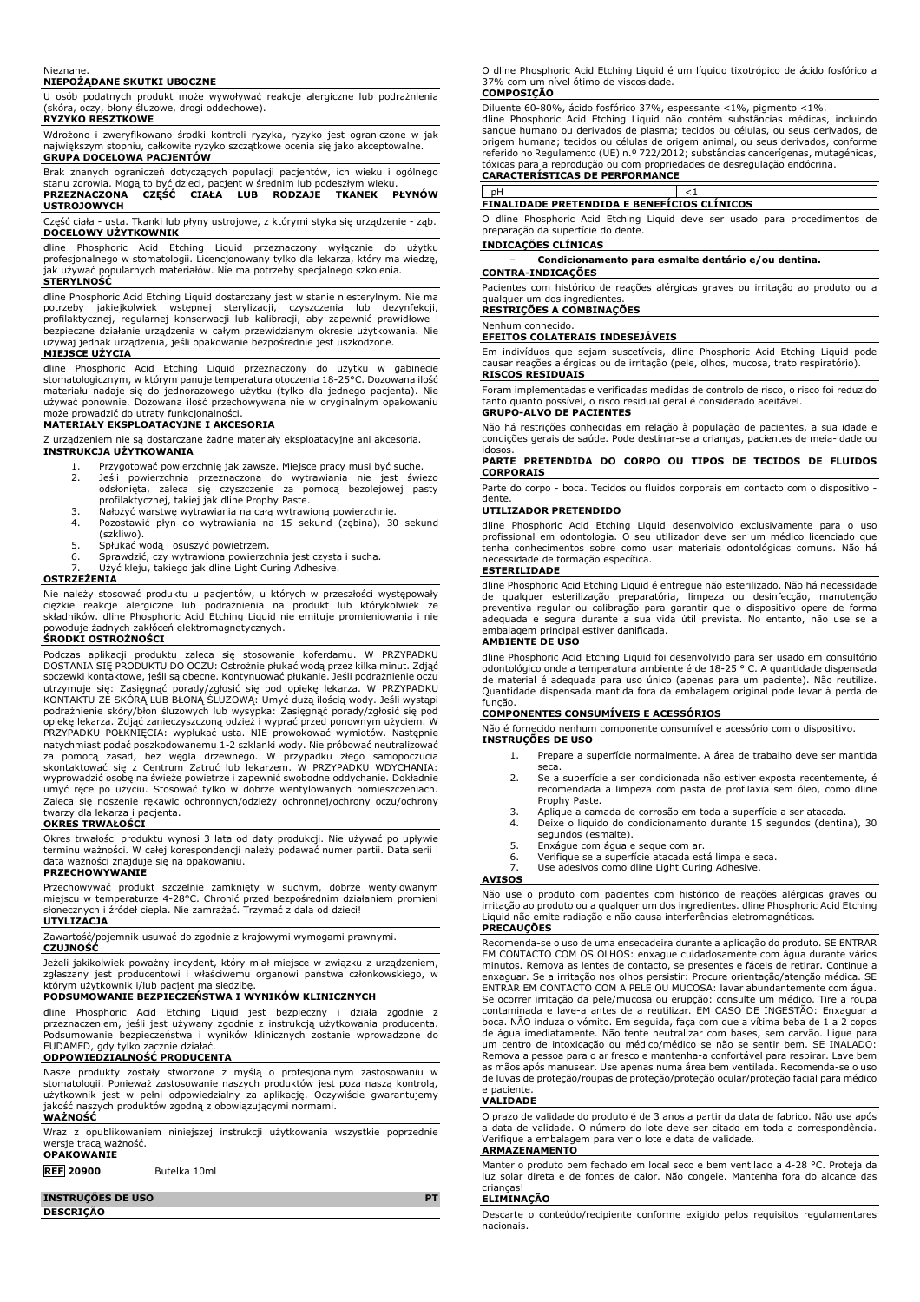### Nieznane.

## **NIEPOŻĄDANE SKUTKI UBOCZNE**

U osób podatnych produkt może wywoływać reakcje alergiczne lub podrażnienia (skóra, oczy, błony śluzowe, drogi oddechowe). **RYZYKO RESZTKOWE**

Wdrożono i zweryfikowano środki kontroli ryzyka, ryzyko jest ograniczone w jak największym stopniu, całkowite ryzyko szczątkowe ocenia się jako akceptowalne. **GRUPA DOCELOWA PACJENTÓW**

## Brak znanych ograniczeń dotyczących populacji pacjentów, ich wieku i ogólnego stanu zdrowia. Mogą to być dzieci, pacjent w średnim lub podeszłym wieku. **PRZEZNACZONA CZĘŚĆ CIAŁA LUB RODZAJE TKANEK PŁYNÓW USTROJOWYCH**

Część ciała - usta. Tkanki lub płyny ustrojowe, z którymi styka się urządzenie - ząb. **DOCELOWY UŻYTKOWNIK**

dline Phosphoric Acid Etching Liquid przeznaczony wyłącznie do użytku profesjonalnego w stomatologii. Licencjonowany tylko dla lekarza, który ma wiedzę, jak używać popularnych materiałów. Nie ma potrzeby specjalnego szkolenia. **STERYLNOŚĆ**

dline Phosphoric Acid Etching Liquid dostarczany jest w stanie niesterylnym. Nie ma potrzeby jakiejkolwiek wstępnej sterylizacji, czyszczenia lub dezynfekcji,<br>profilaktycznej, regularnej konserwacji lub kalibracji, aby zapewnić prawidłowe i<br>bezpieczne-działanie-urządzenia-w-całym-przewidzianym-okresie-uży używaj jednak urządzenia, jeśli opakowanie bezpośrednie jest uszkodzone. **MIEJSCE UŻYCIA**

dline Phosphoric Acid Etching Liquid przeznaczony do użytku w gabinecie stomatologicznym, w którym panuje temperatura otoczenia 18-25°C. Dozowana ilość materiału nadaje się do jednorazowego użytku (tylko dla jednego pacjenta). Nie używać ponownie. Dozowana ilość przechowywana nie w oryginalnym opakowaniu może prowadzić do utraty funkcjonalności.

## **MATERIAŁY EKSPLOATACYJNE I AKCESORIA**

Z urządzeniem nie są dostarczane żadne materiały eksploatacyjne ani akcesoria.

**INSTRUKCJA UŻYTKOWANIA**

- 1. Przygotować powierzchnię jak zawsze. Miejsce pracy musi być suche.<br>2. Deśli powierzchnia przeznaczona do wytrawiania nie jest świeżo<br>odsłonięta, zaleca się czyszczenie za pomocą bezolejowej pasty<br>profilaktycznej, takiej
- 3. Nałożyć warstwę wytrawiania na całą wytrawioną powierzchnię. Pozostawić płyn do wytrawiania na 15 sekund (zębina), 30 sekund
- (szkliwo).
- 5. Spłukać wodą i osuszyć powietrzem.<br>6. Sprawdzić, czy wytrawiona powierzc
- 6. Sprawdzić, czy wytrawiona powierzchnia jest czysta i sucha.
- Użyć kleju, takiego jak dline Light Curing Adhesive.

## **OSTRZEŻENIA**

Nie należy stosować produktu u pacjentów, u których w przeszłości występowały<br>ciężkie reakcje alergiczne lub podrażnienia na produkt lub którykolwiek ze<br>składników. dline Phosphoric Acid Etching Liquid nie emituje promieni powoduje żadnych zakłóceń elektromagnetycznych. **ŚRODKI OSTROŻNOŚCI**

# Podczas aplikacji produktu zaleca się stosowanie koferdamu. W PRZYPADKU DOSTANIA SIĘ PRODUKTU DO OCZU: Ostrożnie płukać wodą przez kilka minut. Zdjąć soczewki kontaktowe, jeśli są obecne. Kontynuować płukanie. Jeśli podrażnienie oczu utrzymuje się: Zasięgnąć porady/zgłosić się pod opiekę lekarza. W PRZYPADKU KONTAKTU ZE SKÓRĄ LUB BŁONĄ ŚLUZOWĄ: Umyć dużą ilością wody. Jeśli wystąpi podrażnienie skóry/błon śluzowych lub wysypka: Zasięgnąć porady/zgłosić się pod opiekę lekarza. Zdjąć zanieczyszczoną odzież i wyprać przed ponownym użyciem. W<br>PRZYPADKU POŁKNIĘCIA: wypłukać usta. NIE prowokować wymiotów. Następnie<br>natychmiast podać poszkodowanemu 1-2 szklanki wody. Nie próbowa skontaktować się z Centrum Zatruć lub lekarzem. W PRZYPADKU WDYCHANIA: wyprowadzić osobę na świeże powietrze i zapewnić swobodne oddychanie. Dokładnie umyć ręce po użyciu. Stosować tylko w dobrze wentylowanych pomieszczeniach. Zaleca się noszenie rękawic ochronnych/odzieży ochronnej/ochrony oczu/ochrony twarzy dla lekarza i pacjenta.

## **OKRES TRWAŁOŚCI**

Okres trwałości produktu wynosi 3 lata od daty produkcji. Nie używać po upływie terminu ważności. W całej korespondencji należy podawać numer partii. Data serii i data ważności znajduje się na opakowaniu.

## **PRZECHOWYWANIE**

Przechowywać produkt szczelnie zamknięty w suchym, dobrze wentylowanym<br>miejscu w temperaturze 4-28°C. Chronić przed bezpośrednim działaniem promieni<br>słonecznych i źródeł ciepła. Nie zamrażać. Trzymać z dala od dzieci!

## **UTYLIZACJA**

Zawartość/pojemnik usuwać do zgodnie z krajowymi wymogami prawnymi.

**CZUJNOŚĆ**

Jeżeli jakikolwiek poważny incydent, który miał miejsce w związku z urządzeniem, zgłaszany jest producentowi i właściwemu organowi państwa członkowskiego, w którym użytkownik i/lub pacjent ma siedzibę.

## **PODSUMOWANIE BEZPIECZEŃSTWA I WYNIKÓW KLINICZNYCH**

dline Phosphoric Acid Etching Liquid jest bezpieczny i działa zgodnie z przeznaczeniem, jeśli jest używany zgodnie z instrukcją użytkowania producenta. Podsumowanie bezpieczeństwa i wyników klinicznych zostanie wprowadzone do EUDAMED, gdy tylko zacznie działać.

## **ODPOWIEDZIALNOŚĆ PRODUCENTA**

Nasze produkty zostały stworzone z myślą o profesjonalnym zastosowaniu w stomatologii. Ponieważ zastosowanie naszych produktów jest poza naszą kontrolą, użytkownik jest w pełni odpowiedzialny za aplikację. Oczywiście gwarantujemy jakość naszych produktów zgodną z obowiązującymi normami.

## **WAŻNOŚĆ**

Wraz z opublikowaniem niniejszej instrukcji użytkowania wszystkie poprzednie wersje tracą ważność. **OPAKOWANIE**

## **REF 20900** Butelka 10ml

**INSTRUÇÕES DE USO PT DESCRIÇÃO**

O dline Phosphoric Acid Etching Liquid é um líquido tixotrópico de ácido fosfórico a 37% com um nível ótimo de viscosidade. **COMPOSIÇÃO**

Diluente 60-80%, acido fosforico 37%, espessante <1%, pigmento <1%.<br>dline Phosphoric Acid Etching Liquid não contém substâncias médicas, incluindo<br>sangue humano ou derivados de plasma; tecidos ou células, ou seus derivados origem humana; tecidos ou células de origem animal, ou seus derivados, conforme referido no Regulamento (UE) n.º 722/2012; substâncias cancerígenas, mutagénicas, tóxicas para a reprodução ou com propriedades de desregulação endócrina.

**CARACTERÍSTICAS DE PERFORMANCE**

# pH <1 **FINALIDADE PRETENDIDA E BENEFÍCIOS CLÍNICOS**

O dline Phosphoric Acid Etching Liquid deve ser usado para procedimentos de preparação da superfície do dente.

## **INDICAÇÕES CLÍNICAS**

− **Condicionamento para esmalte dentário e/ou dentina.**

## **CONTRA-INDICAÇÕES**

Pacientes com histórico de reações alérgicas graves ou irritação ao produto ou a qualquer um dos ingrediente

# **RESTRIÇÕES A COMBINAÇÕES**

### Nenhum conhecido. **EFEITOS COLATERAIS INDESEJÁVEIS**

Em indivíduos que sejam suscetíveis, dline Phosphoric Acid Etching Liquid pode causar reações alérgicas ou de irritação (pele, olhos, mucosa, trato respiratório). **RISCOS RESIDUAIS**

Foram implementadas e verificadas medidas de controlo de risco, o risco foi reduzido tanto quanto possível, o risco residual geral é considerado aceitável. **GRUPO-ALVO DE PACIENTES**

# Não há restrições conhecidas em relação à população de pacientes, a sua idade e

condições gerais de saúde. Pode destinar-se a crianças, pacientes de meia-idade ou idosos.

**PARTE PRETENDIDA DO CORPO OU TIPOS DE TECIDOS DE FLUIDOS CORPORAIS**

Parte do corpo - boca. Tecidos ou fluidos corporais em contacto com o dispositivo dente.

## **UTILIZADOR PRETENDIDO**

dline Phosphoric Acid Etching Liquid desenvolvido exclusivamente para o uso profissional em odontologia. O seu utilizador deve ser um médico licenciado que tenha conhecimentos sobre como usar materiais odontológicas comuns. Não há necessidade de formação específica.

### **ESTERILIDADE**

dline Phosphoric Acid Etching Liquid é entregue não esterilizado. Não há necessidade de qualquer esterilização preparatória, limpeza ou desinfecção, manutenção preventiva regular ou calibração para garantir que o dispositivo opere de forma adequada e segura durante a sua vida útil prevista. No entanto, não use se a embalagem principal estiver danificada.

## **AMBIENTE DE USO**

dline Phosphoric Acid Etching Liquid foi desenvolvido para ser usado em consultório odontológico onde a temperatura ambiente é de 18-25 ° C. A quantidade dispensada de material é adequada para uso único (apenas para um paciente). Não reutilize. Quantidade dispensada mantida fora da embalagem original pode levar à perda de

# função. **COMPONENTES CONSUMÍVEIS E ACESSÓRIOS**

Não é fornecido nenhum componente consumível e acessório com o dispositivo. **INSTRUÇÕES DE USO**

- 1. Prepare a superfície normalmente. A área de trabalho deve ser mantida seca.
- 2. Se a superfície a ser condicionada não estiver exposta recentemente, é recomendada a limpeza com pasta de profilaxia sem óleo, como dline Prophy Paste.
- 3. Aplique a camada de corrosão em toda a superfície a ser atacada.
- Deixe o líquido do condicionamento durante 15 segundos (dentina), 30 segundos (esmalte). 5. Enxágue com água e seque com ar.
- 
- 6. Verifique se a superfície atacada está limpa e seca.
- Use adesivos como dline Light Curing Adhesive.

## **AVISOS**

Não use o produto com pacientes com histórico de reações alérgicas graves ou irritação ao produto ou a qualquer um dos ingredientes. dline Phosphoric Acid Etching Liquid não emite radiação e não causa interferências eletromagnéticas.

## **PRECAUÇÕES**

Recomenda-se o uso de uma ensecadeira durante a aplicação do produto. SE ENTRAR EM CONTACTO COM OS OLHOS: enxague cuidadosamente com água durante vários minutos. Remova as lentes de contacto, se presentes e fáceis de retirar. Continue a enxaguar. Se a irritação nos olhos persistir: Procure orientação/atenção médica. SE ENTRAR EM CONTACTO COM A PELE OU MUCOSA: lavar abundantemente com água. Se ocorrer irritação da pele/mucosa ou erupção: consulte um médico. Tire a roupa contaminada e lave-a antes de a reutilizar. EM CASO DE INGESTÃO: Enxaguar a boca. NÃO induza o vómito. Em seguida, faça com que a vítima beba de 1 a 2 copos<br>de água imediatamente. Não tente neutralizar com bases, sem carvão. Ligue para<br>um centro de intoxicação ou médico/médico se não se sentir bem Remova a pessoa para o ar fresco e mantenha-a confortável para respirar. Lave bem as mãos após manusear. Use apenas numa área bem ventilada. Recomenda-se o uso de luvas de proteção/roupas de proteção/proteção ocular/proteção facial para médico e paciente.

### **VALIDADE**

O prazo de validade do produto é de 3 anos a partir da data de fabrico. Não use após a data de validade. O número do lote deve ser citado em toda a correspondência. Verifique a embalagem para ver o lote e data de validade.

## **ARMAZENAMENTO**

Manter o produto bem fechado em local seco e bem ventilado a 4-28 °C. Proteja da luz solar direta e de fontes de calor. Não congele. Mantenha fora do alcance das crianças!

## **ELIMINAÇÃO**

Descarte o conteúdo/recipiente conforme exigido pelos requisitos regulamentares nacionais.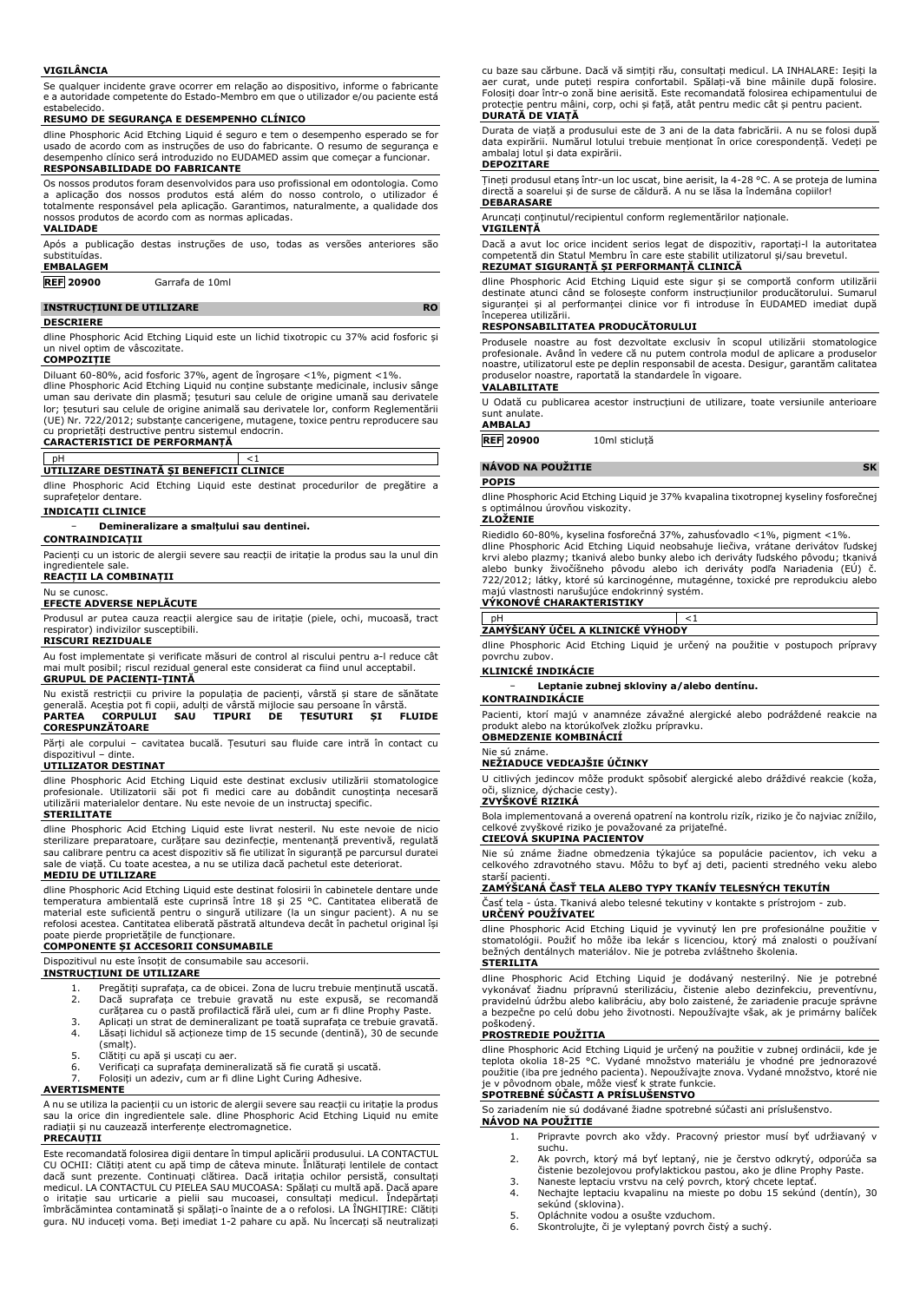### **VIGILÂNCIA**

Se qualquer incidente grave ocorrer em relação ao dispositivo, informe o fabricante e a autoridade competente do Estado-Membro em que o utilizador e/ou paciente está estabelecido.

**RESUMO DE SEGURANÇA E DESEMPENHO CLÍNICO**

dline Phosphoric Acid Etching Liquid é seguro e tem o desempenho esperado se for usado de acordo com as instruções de uso do fabricante. O resumo de segurança e desempenho clínico será introduzido no EUDAMED assim que começar a funcionar. **RESPONSABILIDADE DO FABRICANTE**

Os nossos produtos foram desenvolvidos para uso profissional em odontologia. Como a aplicação dos nossos produtos está além do nosso controlo, o utilizador é totalmente responsável pela aplicação. Garantimos, naturalmente, a qualidade dos nossos produtos de acordo com as normas aplicadas.

## **VALIDADE**

Após a publicação destas instruções de uso, todas as versões anteriores são substituídas.

## **EMBALAGEM**

**REF 20900** Garrafa de 10ml

## **INSTRUCȚIUNI DE UTILIZARE RO**

### **DESCRIERE**

dline Phosphoric Acid Etching Liquid este un lichid tixotropic cu 37% acid fosforic și un nivel optim de vâscozitate.

## **COMPOZIȚIE**

Diluant 60-80%, acid fosforic 37%, agent de îngroșare <1%, pigment <1%. dline Phosphoric Acid Etching Liquid nu conține substanțe medicinale, inclusiv sânge uman sau derivate din plasmă; țesuturi sau celule de origine umană sau derivatele lor; țesuturi sau celule de origine animală sau derivatele lor, conform Reglementării (UE) Nr. 722/2012; substanțe cancerigene, mutagene, toxice pentru reproducere sau

cu proprietăți destructive pentru sistemul endocrin. **CARACTERISTICI DE PERFORMANȚĂ**

pH <1 **UTILIZARE DESTINATĂ ȘI BENEFICII CLINICE**

dline Phosphoric Acid Etching Liquid este destinat procedurilor de pregătire a suprafețelor dentare.

### **INDICAȚII CLINICE**

− **Demineralizare a smalțului sau dentinei.**

**CONTRAINDICAȚII**

Pacienți cu un istoric de alergii severe sau reacții de iritație la produs sau la unul din ingredientele sale.

### **REACȚII LA COMBINAȚII** Nu se cunosc.

## **EFECTE ADVERSE NEPLĂCUTE**

Produsul ar putea cauza reacții alergice sau de iritație (piele, ochi, mucoasă, tract respirator) indivizilor susceptibili.

## **RISCURI REZIDUALE**

Au fost implementate și verificate măsuri de control al riscului pentru a-l reduce cât mai mult posibil; riscul rezidual general este considerat ca fiind unul acceptabil. **GRUPUL DE PACIENȚI-ȚINTĂ**

Nu există restricții cu privire la populația de pacienți, vârstă și stare de sănătate<br>generală. Aceștia pot fi copii, adulți de vârstă mijlocie sau persoane în vârstă.<br>**PARTEA - CORPULUI - SAU - TIPURI - DE - ȚESUTURI - ȘI CORESPUNZĂTOARE**

Părți ale corpului – cavitatea bucală. Țesuturi sau fluide care intră în contact cu dispozitivul – dinte.

## **UTILIZATOR DESTINAT**

dline Phosphoric Acid Etching Liquid este destinat exclusiv utilizării stomatologice profesionale. Utilizatorii săi pot fi medici care au dobândit cunoștința necesară utilizării materialelor dentare. Nu este nevoie de un instructaj specific.

## **STERILITATE**

dline Phosphoric Acid Etching Liquid este livrat nesteril. Nu este nevoie de nicio sterilizare preparatoare, curățare sau dezinfecție, mentenanță preventivă, regulată sau calibrare pentru ca acest dispozitiv să fie utilizat în siguranță pe parcursul duratei sale de viață. Cu toate acestea, a nu se utiliza dacă pachetul este deteriorat.

## **MEDIU DE UTILIZARE**

dline Phosphoric Acid Etching Liquid este destinat folosirii în cabinetele dentare unde temperatura ambientală este cuprinsă între 18 și 25 °C. Cantitatea eliberată de material este suficientă pentru o singură utilizare (la un singur pacient). A nu se refolosi acestea. Cantitatea eliberată păstrată altundeva decât în pachetul original își

# poate pierde proprietățile de funcționare. **COMPONENTE ȘI ACCESORII CONSUMABILE**

Dispozitivul nu este însoțit de consumabile sau accesorii.

## **INSTRUCȚIUNI DE UTILIZARE**

- 1. Pregătiți suprafața, ca de obicei. Zona de lucru trebuie menținută uscată. 2. Dacă suprafața ce trebuie gravată nu este expusă, se recomandă curățarea cu o pastă profilactică fără ulei, cum ar fi dline Prophy Paste.
- 3. Aplicați un strat de demineralizant pe toată suprafața ce trebuie gravată.
- Lăsați lichidul să acționeze timp de 15 secunde (dentină), 30 de secunde
- (smalț). 5. Clătiți cu apă și uscați cu aer.
- 6. Verificați ca suprafața demineralizată să fie curată și uscată.
- 7. Folosiți un adeziv, cum ar fi dline Light Curing Adhesive.

### **AVERTISMENTE**

A nu se utiliza la pacienții cu un istoric de alergii severe sau reacții cu iritație la produs sau la orice din ingredientele sale. dline Phosphoric Acid Etching Liquid nu emite radiații și nu cauzează interferențe electromagnetice.

### **PRECAUȚII**

Este recomandată folosirea digii dentare în timpul aplicării produsului. LA CONTACTUL CU OCHII: Clătiți atent cu apă timp de câteva minute. Înlăturați lentilele de contact dacă sunt prezente. Continuați clătirea. Dacă iritația ochilor persistă, consultați medicul. LA CONTACTUL CU PIELEA SAU MUCOASA: Spălați cu multă apă. Dacă apare o iritație sau urticarie a pielii sau mucoasei, consultați medicul. Îndepărtați îmbrăcămintea contaminată și spălați-o înainte de a o refolosi. LA ÎNGHIȚIRE: Clătiți gura. NU induceți voma. Beți imediat 1-2 pahare cu apă. Nu încercați să neutralizați

cu baze sau cărbune. Dacă vă simțiți rău, consultați medicul. LA INHALARE: Ieșiți la aer curat, unde puteți respira confortabil. Spălați-vă bine mâinile după folosire. Folosiți doar într-o zonă bine aerisită. Este recomandată folosirea echipamentului de protecție pentru mâini, corp, ochi și față, atât pentru medic cât și pentru pacient. **DURATĂ DE VIAȚĂ**

Durata de viață a produsului este de 3 ani de la data fabricării. A nu se folosi după data expirării. Numărul lotului trebuie menționat în orice corespondență. Vedeți pe ambalaj lotul și data expirării. **DEPOZITARE**

Țineți produsul etanș într-un loc uscat, bine aerisit, la 4-28 °C. A se proteja de lumina directă a soarelui și de surse de căldură. A nu se lăsa la îndemâna copiilor! **DEBARASARE**

Aruncați conținutul/recipientul conform reglementărilor naționale.

**VIGILENȚĂ**

Dacă a avut loc orice incident serios legat de dispozitiv, raportați-l la autoritatea competentă din Statul Membru în care este stabilit utilizatorul și/sau brevetul. **REZUMAT SIGURANȚĂ ȘI PERFORMANȚĂ CLINICĂ**

dline Phosphoric Acid Etching Liquid este sigur și se comportă conform utilizării destinate atunci când se folosește conform instrucțiunilor producătorului. Sumarul siguranței și al performanței clinice vor fi introduse în EUDAMED imediat după începerea utilizării.

## **RESPONSABILITATEA PRODUCĂTORULUI**

Produsele noastre au fost dezvoltate exclusiv în scopul utilizării stomatologice profesionale. Având în vedere că nu putem controla modul de aplicare a produselor noastre, utilizatorul este pe deplin responsabil de acesta. Desigur, garantăm calitatea produselor noastre, raportată la standardele în vigoare. **VALABILITATE**

U Odată cu publicarea acestor instrucțiuni de utilizare, toate versiunile anterioare sunt anulate.

## **AMBALAJ**

**REF 20900** 10ml sticluță

## **NÁVOD NA POUŽITIE SK**

**POPIS**

dline Phosphoric Acid Etching Liquid je 37% kvapalina tixotropnej kyseliny fosforečnej s optimálnou úrovňou viskozity.

### **ZLOŽENIE**

Riedidlo 60-80%, kyselina fosforečná 37%, zahusťovadlo <1%, pigment <1%. dline Phosphoric Acid Etching Liquid neobsahuje liečiva, vrátane derivátov ľudskej krvi alebo plazmy; tkanivá alebo bunky alebo ich deriváty ľudského pôvodu; tkanivá alebo bunky živočíšneho pôvodu alebo ich deriváty podľa Nariadenia (EÚ) č. 722/2012; látky, ktoré sú karcinogénne, mutagénne, toxické pre reprodukciu alebo majú vlastnosti narušujúce endokrinný systém. **VÝKONOVÉ CHARAKTERISTIKY**

# pH <1 **ZAMÝŠĽANÝ ÚČEL A KLINICKÉ VÝHODY**

dline Phosphoric Acid Etching Liquid je určený na použitie v postupoch prípravy povrchu zubov.

## **KLINICKÉ INDIKÁCIE**

− **Leptanie zubnej skloviny a/alebo dentínu.**

# **KONTRAINDIKÁCIE**

Pacienti, ktorí majú v anamnéze závažné alergické alebo podráždené reakcie na produkt alebo na ktorúkoľvek zložku prípravku.

## **OBMEDZENIE KOMBINÁCIÍ** Nie sú známe.

**NEŽIADUCE VEDĽAJŠIE ÚČINKY**

U citlivých jedincov môže produkt spôsobiť alergické alebo dráždivé reakcie (koža, oči, sliznice, dýchacie cesty). **ZVYŠKOVÉ RIZIKÁ**

Bola implementovaná a overená opatrení na kontrolu rizík, riziko je čo najviac znížilo, celkové zvyškové riziko je považované za prijateľné. **CIEĽOVÁ SKUPINA PACIENTOV**

## Nie sú známe žiadne obmedzenia týkajúce sa populácie pacientov, ich veku a celkového zdravotného stavu. Môžu to byť aj deti, pacienti stredného veku alebo starší pacienti.

## **ZAMÝŠĽANÁ ČASŤ TELA ALEBO TYPY TKANÍV TELESNÝCH TEKUTÍN**

Časť tela - ústa. Tkanivá alebo telesné tekutiny v kontakte s prístrojom - zub. **URČENÝ POUŽÍVATEĽ**

dline Phosphoric Acid Etching Liquid je vyvinutý len pre profesionálne použitie v stomatológii. Použiť ho môže iba lekár s licenciou, ktorý má znalosti o používaní bežných dentálnych materiálov. Nie je potreba zvláštneho školenia. **STERILITA**

dline Phosphoric Acid Etching Liquid je dodávaný nesterilný. Nie je potrebné vykonávať žiadnu prípravnú sterilizáciu, čistenie alebo dezinfekciu, preventívnu, pravidelnú údržbu alebo kalibráciu, aby bolo zaistené, že zariadenie pracuje správne a bezpečne po celú dobu jeho životnosti. Nepoužívajte však, ak je primárny balíček poškodený.

### **PROSTREDIE POUŽITIA**

dline Phosphoric Acid Etching Liquid je určený na použitie v zubnej ordinácii, kde je teplota okolia 18-25 °C. Vydané množstvo materiálu je vhodné pre jednorazové použitie (iba pre jedného pacienta). Nepoužívajte znova. Vydané množstvo, ktoré nie je v pôvodnom obale, môže viesť k strate funkcie. **SPOTREBNÉ SÚČASTI A PRÍSLUŠENSTVO**

So zariadením nie sú dodávané žiadne spotrebné súčasti ani príslušenstvo. **NÁVOD NA POUŽITIE**

- 1. Pripravte povrch ako vždy. Pracovný priestor musí byť udržiavaný v suchu.
- 2. Ak povrch, ktorý má byť leptaný, nie je čerstvo odkrytý, odporúča sa čistenie bezolejovou profylaktickou pastou, ako je dline Prophy Paste. 3. Naneste leptaciu vrstvu na celý povrch, ktorý chcete leptať.
	-
- 4. Nechajte leptaciu kvapalinu na mieste po dobu 15 sekúnd (dentín), 30 sekúnd (sklovina). 5. Opláchnite vodou a osušte vzduchom.
- 
- 6. Skontrolujte, či je vyleptaný povrch čistý a suchý.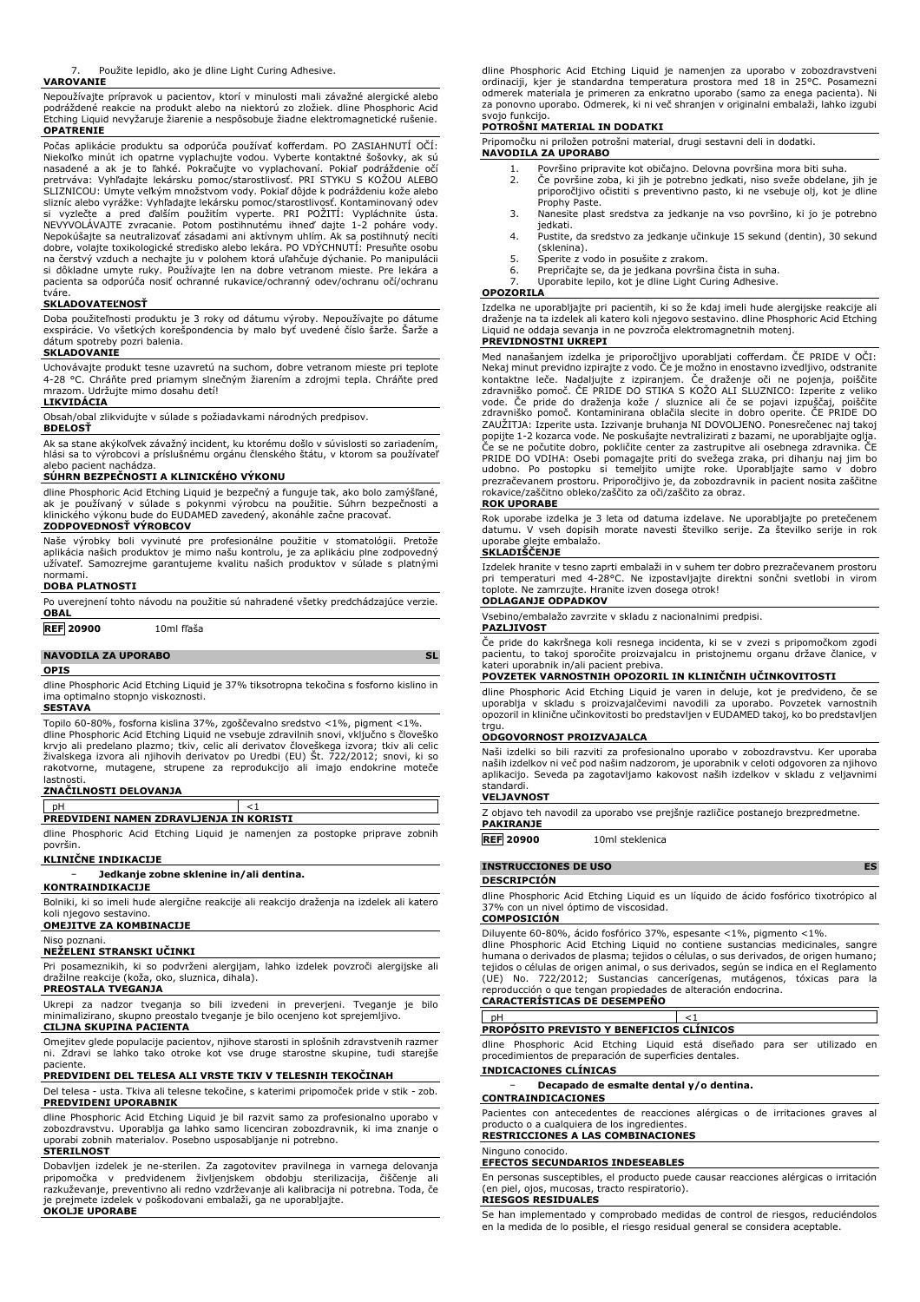### **VAROVANIE**

Nepoužívajte prípravok u pacientov, ktorí v minulosti mali závažné alergické alebo podráždené reakcie na produkt alebo na niektorú zo zložiek. dline Phosphoric Acid Etching Liquid nevyžaruje žiarenie a nespôsobuje žiadne elektromagnetické rušenie. **OPATRENIE**

Počas aplikácie produktu sa odporúča používať kofferdam. PO ZASIAHNUTÍ OČÍ: Niekoľko minút ich opatrne vyplachujte vodou. Vyberte kontaktné šošovky, ak sú<br>nasadené a ak je to ľahké. Pokračujte vo vyplachovaní. Pokiaľ podráždenie očí<br>pretrváva: Vyhľadajte lekársku pomoc/starostlivosť. PRI STYKU S K SLIZNICOU: Umyte veľkým množstvom vody. Pokiaľ dôjde k podráždeniu kože alebo slizníc alebo vyrážke: Vyhľadajte lekársku pomoc/starostlivosť. Kontaminovaný odev si vyzlečte a pred ďalším použitím vyperte. PRI POŽITÍ: Vypláchnite ústa. NEVYVOLÁVAJTE zvracanie. Potom postihnutému ihneď dajte 1-2 poháre vody. Nepokúšajte sa neutralizovať zásadami ani aktívnym uhlím. Ak sa postihnutý necíti dobre, volajte toxikologické stredisko alebo lekára. PO VDÝCHNUTÍ: Presuňte osobu na čerstvý vzduch a nechajte ju v polohem ktorá uľahčuje dýchanie. Po manipulácii si dôkladne umyte ruky. Používajte len na dobre vetranom mieste. Pre lekára a pacienta sa odporúča nosiť ochranné rukavice/ochranný odev/ochranu očí/ochranu tváre.

## **SKLADOVATEĽNOSŤ**

Doba použiteľnosti produktu je 3 roky od dátumu výroby. Nepoužívajte po dátume exspirácie. Vo všetkých korešpondencia by malo byť uvedené číslo šarže. Šarže a dátum spotreby pozri balenia. **SKLADOVANIE**

Uchovávajte produkt tesne uzavretú na suchom, dobre vetranom mieste pri teplote 4-28 °C. Chráňte pred priamym slnečným žiarením a zdrojmi tepla. Chráňte pred mrazom. Udržujte mimo dosahu detí!

## **LIKVIDÁCIA**

Obsah/obal zlikvidujte v súlade s požiadavkami národných predpisov.

## **BDELOSŤ**

Ak sa stane akýkoľvek závažný incident, ku ktorému došlo v súvislosti so zariadením, hlási sa to výrobcovi a príslušnému orgánu členského štátu, v ktorom sa používateľ alebo pacient nachádza.

### **SÚHRN BEZPEČNOSTI A KLINICKÉHO VÝKONU**

dline Phosphoric Acid Etching Liquid je bezpečný a funguje tak, ako bolo zamýšľané,<br>ak je používaný v súlade s pokynmi výrobcu na použitie. Súhrn bezpečnosti a<br>klinického výkonu bude do EUDAMED zavedený, akonáhle

## **ZODPOVEDNOSŤ VÝROBCOV**

Naše výrobky boli vyvinuté pre profesionálne použitie v stomatológii. Pretože aplikácia našich produktov je mimo našu kontrolu, je za aplikáciu plne zodpovedný užívateľ. Samozrejme garantujeme kvalitu našich produktov v súlade s platnými normami.

### **DOBA PLATNOSTI**

| <b>OBAL</b>                | Po uverejnení tohto návodu na použitie sú nahradené všetky predchádzajúce verzie. |           |
|----------------------------|-----------------------------------------------------------------------------------|-----------|
| <b>REF 20900</b>           | 10ml fľaša                                                                        |           |
| <b>NAVODILA ZA UPORABO</b> |                                                                                   | <b>SL</b> |
| <b>OPIS</b>                |                                                                                   |           |

dline Phosphoric Acid Etching Liquid je 37% tiksotropna tekočina s fosforno kislino in ima optimalno stopnjo viskoznosti.

### **SESTAVA**

Topilo 60-80%, fosforna kislina 37%, zgoščevalno sredstvo <1%, pigment <1%. dline Phosphoric Acid Etching Liquid ne vsebuje zdravilnih snovi, vključno s človeško krvjo ali predelano plazmo; tkiv, celic ali derivatov človeškega izvora; tkiv ali celic živalskega izvora ali njihovih derivatov po Uredbi (EU) Št. 722/2012; snovi, ki so rakotvorne, mutagene, strupene za reprodukcijo ali imajo endokrine moteče lastnosti.

## **ZNAČILNOSTI DELOVANJA**

pH <1 **PREDVIDENI NAMEN ZDRAVLJENJA IN KORISTI**

dline Phosphoric Acid Etching Liquid je namenjen za postopke priprave zobnih površin.

### **KLINIČNE INDIKACIJE**

− **Jedkanje zobne sklenine in/ali dentina.**

## **KONTRAINDIKACIJE**

Bolniki, ki so imeli hude alergične reakcije ali reakcijo draženja na izdelek ali katero koli njegovo sestavino. **OMEJITVE ZA KOMBINACIJE**

## Niso poznani.

**NEŽELENI STRANSKI UČINKI**

Pri posameznikih, ki so podvrženi alergijam, lahko izdelek povzroči alergijske ali dražilne reakcije (koža, oko, sluznica, dihala). **PREOSTALA TVEGANJA**

Ukrepi za nadzor tveganja so bili izvedeni in preverjeni. Tveganje je bilo minimalizirano, skupno preostalo tveganje je bilo ocenjeno kot sprejemljivo.

## **CILJNA SKUPINA PACIENTA**

Omejitev glede populacije pacientov, njihove starosti in splošnih zdravstvenih razmer ni. Zdravi se lahko tako otroke kot vse druge starostne skupine, tudi starejše paciente.

## **PREDVIDENI DEL TELESA ALI VRSTE TKIV V TELESNIH TEKOČINAH**

Del telesa - usta. Tkiva ali telesne tekočine, s katerimi pripomoček pride v stik - zob. **PREDVIDENI UPORABNIK**

dline Phosphoric Acid Etching Liquid je bil razvit samo za profesionalno uporabo v<br>zobozdravstvu. Uporablja ga lahko samo licenciran zobozdravnik, ki ima znanje o<br>uporabi zobnih materialov. Posebno usposabljanje ni potrebn **STERILNOST**

Dobavljen izdelek je ne-sterilen. Za zagotovitev pravilnega in varnega delovanja<br>pripomočka - v - predvidenem - življenjskem - obdobju - sterilizacija, - čiščenje - ali<br>razkuževanje, preventivno ali redno vzdrževanje ali k je prejmete izdelek v poškodovani embalaži, ga ne uporabljajte. **OKOLJE UPORABE**

dline Phosphoric Acid Etching Liquid je namenjen za uporabo v zobozdravstveni ordinaciji, kjer je standardna temperatura prostora med 18 in 25°C. Posamezni odmerek materiala je primeren za enkratno uporabo (samo za enega pacienta). Ni za ponovno uporabo. Odmerek, ki ni več shranjen v originalni embalaži, lahko izgubi svojo funkcijo.

## **POTROŠNI MATERIAL IN DODATKI**

Pripomočku ni priložen potrošni material, drugi sestavni deli in dodatki. **NAVODILA ZA UPORABO**

- 
- 1. Površino pripravite kot običajno. Delovna površina mora biti suha. 2. Če površine zoba, ki jih je potrebno jedkati, niso sveže obdelane, jih je priporočljivo očistiti s preventivno pasto, ki ne vsebuje olj, kot je dline
- Prophy Paste. 3. Nanesite plast sredstva za jedkanje na vso površino, ki jo je potrebno jedkati.
- 4. Pustite, da sredstvo za jedkanje učinkuje 15 sekund (dentin), 30 sekund (sklenina).
- 5. Sperite z vodo in posušite z zrakom.<br>6. Prepričajte se, da je jedkana površin
- 6. Prepričajte se, da je jedkana površina čista in suha. Uporabite lepilo, kot je dline Light Curing Adhesive.

## **OPOZORILA**

Izdelka ne uporabljajte pri pacientih, ki so že kdaj imeli hude alergijske reakcije ali draženje na ta izdelek ali katero koli njegovo sestavino. dline Phosphoric Acid Etching Liquid ne oddaja sevanja in ne povzroča elektromagnetnih motenj.

## **PREVIDNOSTNI UKREPI**

Med nanašanjem izdelka je priporočljivo uporabljati cofferdam. CE PRIDE V OCI:<br>Nekaj minut previdno izpirajte z vodo. Če je možno in enostavno izvedljivo, odstranite<br>kontaktne leče. Nadaljujte z izpiranjem. Če draženje oči zdravniško pomoč. ČE PRIDE DO STIKA S KOŽO ALI SLUZNICO: Izperite z veliko vode. Če pride do draženja kože / sluznice ali če se pojavi izpuščaj, poiščite zdravniško pomoč. Kontaminirana oblačila slecite in dobro operite. ČE PRIDE DO ZAUŽITJA: Izperite usta. Izzivanje bruhanja NI DOVOLJENO. Ponesrečenec naj takoj popijte 1-2 kozarca vode. Ne poskušajte nevtralizirati z bazami, ne uporabljajte oglja. Če se ne počutite dobro, pokličite center za zastrupitve ali osebnega zdravnika. ČE PRIDE DO VDIHA: Osebi pomagajte priti do svežega zraka, pri dihanju naj jim bo<br>udobno. Po postopku si temeljito umijte roke. Uporabljajte samo v dobro<br>prezračevanem prostoru. Priporočljivo je, da zobozdravnik in p rokavice/zaščitno obleko/zaščito za oči/zaščito za obraz.

## **ROK UPORABE**

Rok uporabe izdelka je 3 leta od datuma izdelave. Ne uporabljajte po pretečenem datumu. V vseh dopisih morate navesti številko serije. Za številko serije in rok uporabe glejte embalažo.

### **SKLADIŠČENJE**

Izdelek hranite v tesno zaprti embalaži in v suhem ter dobro prezračevanem prostoru pri temperaturi med 4-28°C. Ne izpostavljajte direktni sončni svetlobi in virom toplote. Ne zamrzujte. Hranite izven dosega otrok!

## **ODLAGANJE ODPADKOV**

Vsebino/embalažo zavrzite v skladu z nacionalnimi predpisi.

### **PAZLJIVOST**

Če pride do kakršnega koli resnega incidenta, ki se v zvezi s pripomočkom zgodi pacientu, to takoj sporočite proizvajalcu in pristojnemu organu države članice, v kateri uporabnik in/ali pacient prebiva.

### **POVZETEK VARNOSTNIH OPOZORIL IN KLINIČNIH UČINKOVITOSTI**

dline Phosphoric Acid Etching Liquid je varen in deluje, kot je predvideno, če se uporablja v skladu s proizvajalčevimi navodili za uporabo. Povzetek varnostnih opozoril in klinične učinkovitosti bo predstavljen v EUDAMED takoj, ko bo predstavljen trgu.

### **ODGOVORNOST PROIZVAJALCA**

Naši izdelki so bili razviti za profesionalno uporabo v zobozdravstvu. Ker uporaba naših izdelkov ni več pod našim nadzorom, je uporabnik v celoti odgovoren za njihovo aplikacijo. Seveda pa zagotavljamo kakovost naših izdelkov v skladu z veljavnimi standardi.

### **VELJAVNOST**

Z objavo teh navodil za uporabo vse prejšnje različice postanejo brezpredmetne.

**PAKIRANJE**

**REF 20900** 10ml steklenica

## **INSTRUCCIONES DE USO ES**

### **DESCRIPCIÓN**

dline Phosphoric Acid Etching Liquid es un líquido de ácido fosfórico tixotrópico al 37% con un nivel óptimo de viscosidad.

## **COMPOSICIÓN**

Diluyente 60-80%, ácido fosfórico 37%, espesante <1%, pigmento <1%. dline Phosphoric Acid Etching Liquid no contiene sustancias medicinales, sangre humana o derivados de plasma; tejidos o células, o sus derivados, de origen humano; tejidos o células de origen animal, o sus derivados, según se indica en el Reglamento<br>(UE) No. 722/2012: Sustancias cancerígenas, mutágenos, tóxicas para la (UE) No. 722/2012; Sustancias cancerígenas, mutágenos, tóxicas para la reproducción o que tengan propiedades de alteración endocrina.

# **CARACTERÍSTICAS DE DESEMPEÑO**

# pH <1 **PROPÓSITO PREVISTO Y BENEFICIOS CLÍNICOS**

dline Phosphoric Acid Etching Liquid está diseñado para ser utilizado en procedimientos de preparación de superficies dentales. **INDICACIONES CLÍNICAS**

## − **Decapado de esmalte dental y/o dentina.**

**CONTRAINDICACIONES**

Pacientes con antecedentes de reacciones alérgicas o de irritaciones graves al producto o a cualquiera de los ingredientes. **RESTRICCIONES A LAS COMBINACIONES**

### Ninguno conocido.

**EFECTOS SECUNDARIOS INDESEABLES**

En personas susceptibles, el producto puede causar reacciones alérgicas o irritación piel, ojos, mucosas, tracto respiratorio).

## **RIESGOS RESIDUALES**

Se han implementado y comprobado medidas de control de riesgos, reduciéndolos en la medida de lo posible, el riesgo residual general se considera aceptable.

Použite lepidlo, ako je dline Light Curing Adhesive.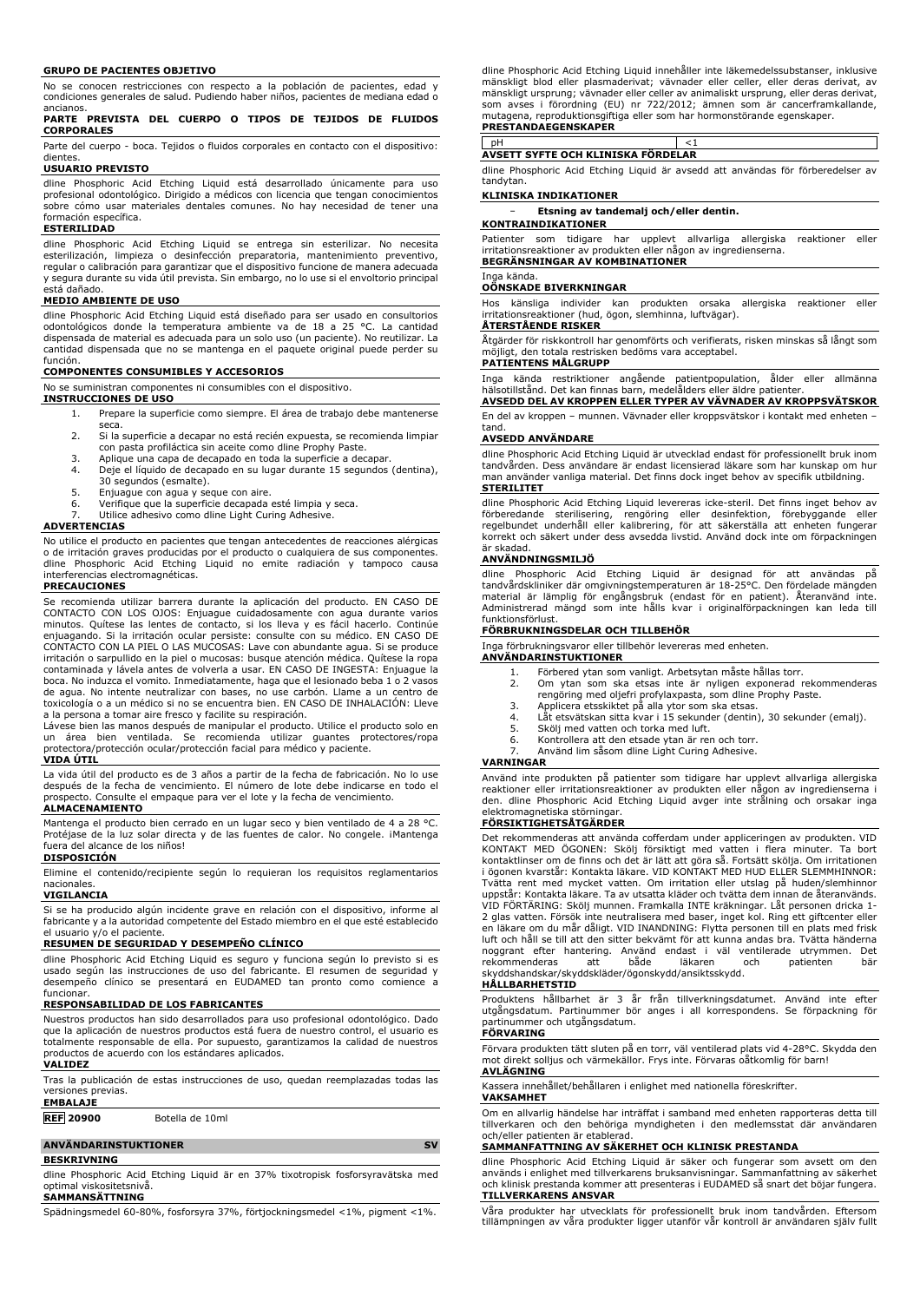### **GRUPO DE PACIENTES OBJETIVO**

No se conocen restricciones con respecto a la población de pacientes, edad y condiciones generales de salud. Pudiendo haber niños, pacientes de mediana edad o ancianos.

### **PARTE PREVISTA DEL CUERPO O TIPOS DE TEJIDOS DE FLUIDOS CORPORALES**

Parte del cuerpo - boca. Tejidos o fluidos corporales en contacto con el dispositivo: dientes

## **USUARIO PREVISTO**

dline Phosphoric Acid Etching Liquid está desarrollado únicamente para uso profesional odontológico. Dirigido a médicos con licencia que tengan conocimientos sobre cómo usar materiales dentales comunes. No hay necesidad de tener una formación específica.

## **ESTERILIDAD**

dline Phosphoric Acid Etching Liquid se entrega sin esterilizar. No necesita<br>esterliización, limpieza o desinfección preparatoria, mantenimiento preventivo,<br>regular-o-calibración-para-garantizar-que-el-dispositivo-funcione y segura durante su vida útil prevista. Sin embargo, no lo use si el envoltorio principal está dañado.

## **MEDIO AMBIENTE DE USO**

dline Phosphoric Acid Etching Liquid está diseñado para ser usado en consultorios odontológicos donde la temperatura ambiente va de 18 a 25 °C. La cantidad dispensada de material es adecuada para un solo uso (un paciente). No reutilizar. La cantidad dispensada que no se mantenga en el paquete original puede perder su función.

### **COMPONENTES CONSUMIBLES Y ACCESORIOS**

No se suministran componentes ni consumibles con el dispositivo.

## **INSTRUCCIONES DE USO**

- 1. Prepare la superficie como siempre. El área de trabajo debe mantenerse seca.
- 2. Si la superficie a decapar no está recién expuesta, se recomienda limpiar con pasta profiláctica sin aceite como dline Prophy Paste.
- 3. Aplique una capa de decapado en toda la superficie a decapar. 4. Deje el líquido de decapado en su lugar durante 15 segundos (dentina),
- 30 segundos (esmalte).
- 
- 5. Enjuague con agua y seque con aire. 6. Verifique que la superficie decapada esté limpia y seca.
- Utilice adhesivo como dline Light Curing Adhesive.

## **ADVERTENCIAS**

No utilice el producto en pacientes que tengan antecedentes de reacciones alérgicas o de irritación graves producidas por el producto o cualquiera de sus componentes. dline Phosphoric Acid Etching Liquid no emite radiación y tampoco causa interferencias electromagnéticas.

### **PRECAUCIONES**

Se recomienda utilizar barrera durante la aplicación del producto. EN CASO DE CONTACTO CON LOS OJOS: Enjuague cuidadosamente con agua durante varios minutos. Quítese las lentes de contacto, si los lleva y es fácil hacerlo. Continúe enjuagando. Si la irritación ocular persiste: consulte con su médico. EN CASO DE CONTACTO CON LA PIEL O LAS MUCOSAS: Lave con abundante agua. Si se produce irritación o sarpullido en la piel o mucosas: busque atención médica. Quítese la ropa contaminada y lávela antes de volverla a usar. EN CASO DE INGESTA: Enjuague la boca. No induzca el vomito. Inmediatamente, haga que el lesionado beba 1 o 2 vasos de agua. No intente neutralizar con bases, no use carbón. Llame a un centro de toxicología o a un médico si no se encuentra bien. EN CASO DE INHALACIÓN: Lleve

a la persona a tomar aire fresco y facilite su respiración. Lávese bien las manos después de manipular el producto. Utilice el producto solo en un área bien ventilada. Se recomienda utilizar guantes protectores/ropa<br>protectora/protección ocular/protección facial para médico y paciente.<br>**VIDA ÚTIL** 

### La vida útil del producto es de 3 años a partir de la fecha de fabricación. No lo use después de la fecha de vencimiento. El número de lote debe indicarse en todo el prospecto. Consulte el empaque para ver el lote y la fecha de vencimiento.

## **ALMACENAMIENTO**

Mantenga el producto bien cerrado en un lugar seco y bien ventilado de 4 a 28 °C. Protéjase de la luz solar directa y de las fuentes de calor. No congele. iMantenga fuera del alcance de los niños!

## **DISPOSICIÓN**

Elimine el contenido/recipiente según lo requieran los requisitos reglamentarios nacionales.

### **VIGILANCIA**

Si se ha producido algún incidente grave en relación con el dispositivo, informe al fabricante y a la autoridad competente del Estado miembro en el que esté establecido

# el usuario y/o el paciente. **RESUMEN DE SEGURIDAD Y DESEMPEÑO CLÍNICO**

dline Phosphoric Acid Etching Liquid es seguro y funciona según lo previsto si es usado según las instrucciones de uso del fabricante. El resumen de seguridad y desempeño clínico se presentará en EUDAMED tan pronto como comience a

# funcionar. **RESPONSABILIDAD DE LOS FABRICANTES**

Nuestros productos han sido desarrollados para uso profesional odontológico. Dado que la aplicación de nuestros productos está fuera de nuestro control, el usuario es totalmente responsable de ella. Por supuesto, garantizamos la calidad de nuestros productos de acuerdo con los estándares aplicados. **VALIDEZ**

Tras la publicación de estas instrucciones de uso, quedan reemplazadas todas las versiones previas.

## **EMBALAJE**

**REF 20900** Botella de 10ml

## **ANVÄNDARINSTUKTIONER SV**

## **BESKRIVNING**

dline Phosphoric Acid Etching Liquid är en 37% tixotropisk fosforsyravätska med optimal viskositetsnivå.

## **SAMMANSÄTTNING**

Spädningsmedel 60-80%, fosforsyra 37%, förtjockningsmedel <1%, pigment <1%.

dline Phosphoric Acid Etching Liquid innehâller inte läkemedelssubstanser, inklusive<br>mänskligt blod eller plasmaderivat; vävnader eller celler, eller deras derivat, av<br>mänskligt ursprung; vävnader eller celler av animalisk som avses i förordning (EU) nr 722/2012; ämnen som är cancerframkallande, mutagena, reproduktionsgiftiga eller som har hormonstörande egenskaper. **PRESTANDAEGENSKAPER**

# pH <1 **AVSETT SYFTE OCH KLINISKA FÖRDELAR**

dline Phosphoric Acid Etching Liquid är avsedd att användas för förberedelser av tandytan.

## **KLINISKA INDIKATIONER**

## − **Etsning av tandemalj och/eller dentin.**

**KONTRAINDIKATIONER** Patienter som tidigare har upplevt allvarliga allergiska reaktioner eller irritationsreaktioner av produkten eller någon av ingredienserna. **BEGRÄNSNINGAR AV KOMBINATIONER**

### ga kända **OÖNSKADE BIVERKNINGAR**

Hos känsliga individer kan produkten orsaka allergiska reaktioner eller irritationsreaktioner (hud, ögon, slemhinna, luftvägar).

## **ÅTERSTÅENDE RISKER**

Åtgärder för riskkontroll har genomförts och verifierats, risken minskas så långt som möjligt, den totala restrisken bedöms vara acceptabel. **PATIENTENS MÅLGRUPP**

# Inga kända restriktioner angäende patientpopulation, älder eller allmänna<br>hälsotillstånd. Det kan finnas barn, medelålders eller äldre patienter.<br>**AVSEDD DEL AV KROPPEN ELLER TYPER AV VÄVNADER AV KROPPSVÄTSKOR**

En del av kroppen – munnen. Vävnader eller kroppsvätskor i kontakt med enheten – tand.

### **AVSEDD ANVÄNDARE**

dline Phosphoric Acid Etching Liquid är utvecklad endast för professionellt bruk inom tandvården. Dess användare är endast licensierad läkare som har kunskap om hur man använder vanliga material. Det finns dock inget behov av specifik utbildning.

## **STERILITET**

dline Phosphoric Acid Etching Liquid levereras icke-steril. Det finns inget behov av förberedande sterilisering, rengöring eller desinfektion, förebyggande eller regelbundet underhåll eller kalibrering, för att säkerställa att enheten fungerar korrekt och säkert under dess avsedda livstid. Använd dock inte om förpackningen är skadad.

### **ANVÄNDNINGSMILJÖ**

dline Phosphoric Acid Etching Liquid är designad för att användas på tandvårdskliniker där omgivningstemperaturen är 18-25°C. Den fördelade mängden material är lämplig för engångsbruk (endast för en patient). Återanvänd inte. Administrerad mängd som inte hålls kvar i originalförpackningen kan leda till funktionsförlust.

### **FÖRBRUKNINGSDELAR OCH TILLBEHÖR**

Inga förbrukningsvaror eller tillbehör levereras med enheten.

### **ANVÄNDARINSTUKTIONER**

- 1. Förbered ytan som vanligt. Arbetsytan måste hållas torr.<br>2. Om ytan som ska etsas inte är nyligen exponerad r
- 2. Om ytan som ska etsas inte är nyligen exponerad rekommenderas rengöring med oljefri profylaxpasta, som dline Prophy Paste. 3. Applicera etsskiktet på alla ytor som ska etsas.
- 
- 4. Låt etsvätskan sitta kvar i 15 sekunder (dentin), 30 sekunder (emalj).
- 5. Skölj med vatten och torka med luft.<br>6. Kontrollera att den etsade vtan är rer
- e. Kontrollera att den etsade ytan är ren och torr.<br>6. Kontrollera att den etsade ytan är ren och torr.<br>7. Använd lim såsom dline Light Curing Adhesive. 7. Använd lim såsom dline Light Curing Adhesive.

### **VARNINGAR**

Använd inte produkten på patienter som tidigare har upplevt allvarliga allergiska reaktioner eller irritationsreaktioner av produkten eller någon av ingredienserna i den. dline Phosphoric Acid Etching Liquid avger inte strålning och orsakar inga elektromagnetiska störningar.

### **FÖRSIKTIGHETSÅTGÄRDER**

Det rekommenderas att använda cofferdam under appliceringen av produkten. VID KONTAKT MED ÖGONEN: Skölj försiktigt med vatten i flera minuter. Ta bort kontaktlinser om de finns och det är lätt att göra så. Fortsätt skölja. Om irritationen i ögonen kvarstår: Kontakta läkare. VID KONTAKT MED HUD ELLER SLEMMHINNOR: Tvätta rent med mycket vatten. Om irritation eller utslag på huden/slemhinnor uppstår: Kontakta läkare. Ta av utsatta kläder och tvätta dem innan de återanvänds. VID FORTARING: Skölj munnen. Framkalla INTE kräkningar. Låt personen dricka 1-2 glas vatten. Försök inte neutralisera med baser, inget kol. Ring ett giftcenter eller<br>en läkare om du mär dåligt. VID INANDNING: Flytta person skyddshandskar/skyddskläder/ögonskydd/ansiktsskydd.

## **HÅLLBARHETSTID**

Produktens hållbarhet är 3 år från tillverkningsdatumet. Använd inte efter utgångsdatum. Partinummer bör anges i all korrespondens. Se förpackning för partinummer och utgångsdatum.

## **FÖRVARING**

Förvara produkten tätt sluten på en torr, väl ventilerad plats vid 4-28°C. Skydda den mot direkt solljus och värmekällor. Frys inte. Förvaras oåtkomlig för barn!

### **AVLÄGNING**

Kassera innehållet/behållaren i enlighet med nationella föreskrifter.

## **VAKSAMHET**

Om en allvarlig händelse har inträffat i samband med enheten rapporteras detta till tillverkaren och den behöriga myndigheten i den medlemsstat där användaren och/eller patienten är etablerad.

## **SAMMANFATTNING AV SÄKERHET OCH KLINISK PRESTANDA**

dline Phosphoric Acid Etching Liquid är säker och fungerar som avsett om den används i enlighet med tillverkarens bruksanvisningar. Sammanfattning av säkerhet och klinisk prestanda kommer att presenteras i EUDAMED så snart det böjar fungera. **TILLVERKARENS ANSVAR**

Våra produkter har utvecklats för professionellt bruk inom tandvården. Eftersom tillämpningen av våra produkter ligger utanför vår kontroll är användaren själv fullt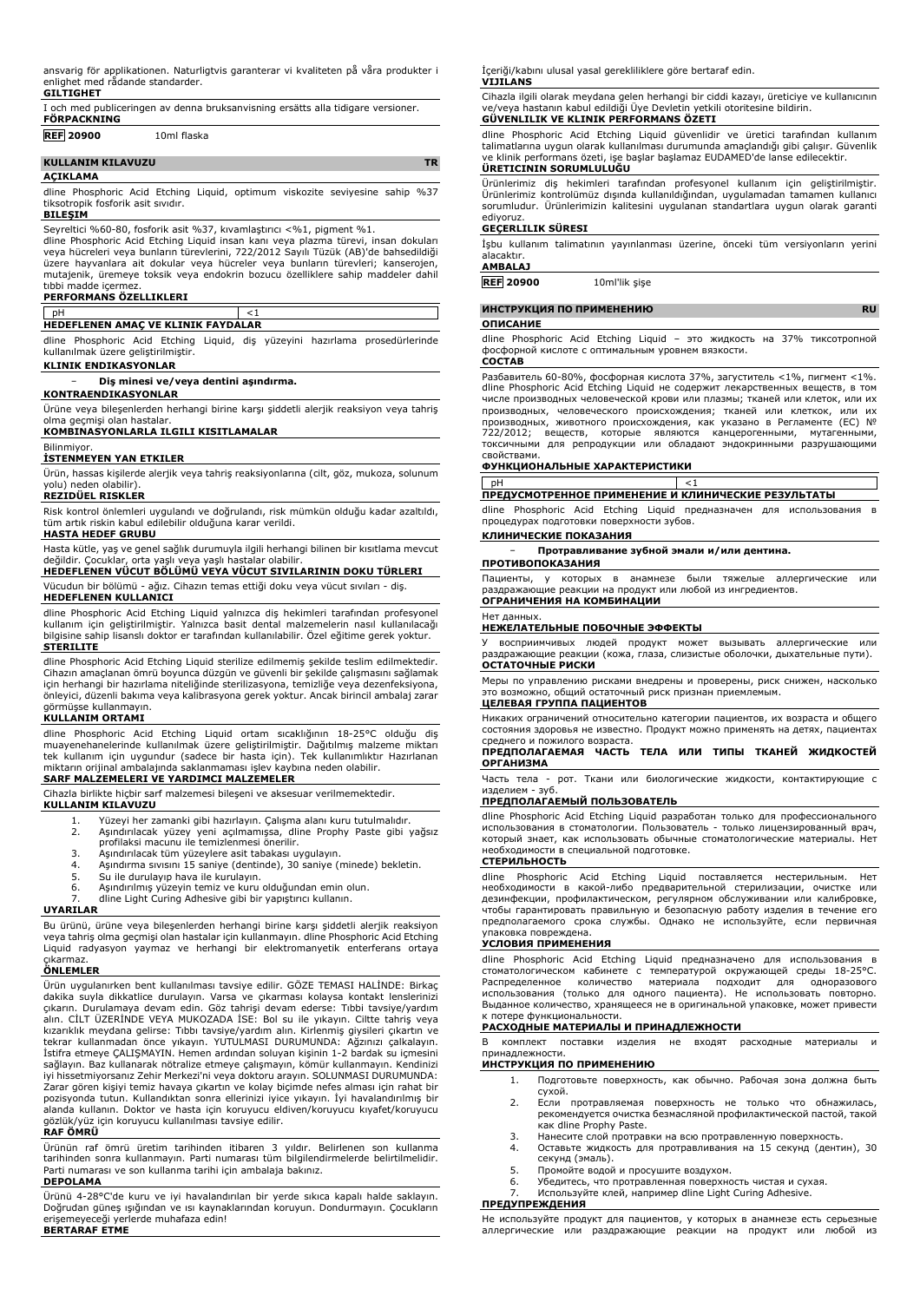ansvarig för applikationen. Naturligtvis garanterar vi kvaliteten på våra produkter i enlighet med rådande standarder.

|  | GILTIGHET |  |  |  |
|--|-----------|--|--|--|
|  |           |  |  |  |

|                    | I och med publiceringen av denna bruksanvisning ersätts alla tidigare versioner. |
|--------------------|----------------------------------------------------------------------------------|
| <b>FÖRPACKNING</b> |                                                                                  |
| <b>REF 20900</b>   | 10ml flaska                                                                      |

## **KULLANIM KILAVUZU TR AÇIKLAMA**

dline Phosphoric Acid Etching Liquid, optimum viskozite seviyesine sahip %37 tiksotropik fosforik asit sıvıdır.

### **BILEŞIM**

Seyreltici %60-80, fosforik asit %37, kıvamlaştırıcı <%1, pigment %1. dline Phosphoric Acid Etching Liquid insan kanı veya plazma türevi, insan dokuları veya hücreleri veya bunların türevlerini, 722/2012 Sayılı Tüzük (AB)'de bahsedildiği üzere hayvanlara ait dokular veya hücreler veya bunların türevleri; kanserojen, mutajenik, üremeye toksik veya endokrin bozucu özelliklere sahip maddeler dahil tıbbi madde içermez.

### **PERFORMANS ÖZELLIKLERI**

 $pH$   $<1$ **HEDEFLENEN AMAÇ VE KLINIK FAYDALAR**

dline Phosphoric Acid Etching Liquid, diş yüzeyini hazırlama prosedürlerinde kullanılmak üzere geliştirilmiştir.

## **KLINIK ENDIKASYONLAR**

− **Diş minesi ve/veya dentini aşındırma.**

## **KONTRAENDIKASYONLAR**

Ürüne veya bileşenlerden herhangi birine karşı şiddetli alerjik reaksiyon veya tahriş olma geçmişi olan hastalar.

**KOMBINASYONLARLA ILGILI KISITLAMALAR**

## **Bilinmiyor**

**İSTENMEYEN YAN ETKILER** Ürün, hassas kişilerde alerjik veya tahriş reaksiyonlarına (cilt, göz, mukoza, solunum

### yolu) neden olabilir). **REZIDÜEL RISKLER**

Risk kontrol önlemleri uygulandı ve doğrulandı, risk mümkün olduğu kadar azaltıldı,

tüm artık riskin kabul edilebilir olduğuna karar verildi. **HASTA HEDEF GRUBU**

Hasta kütle, yaş ve genel sağlık durumuyla ilgili herhangi bilinen bir kısıtlama mevcut değildir. Çocuklar, orta yaşlı veya yaşlı hastalar olabilir.

**HEDEFLENEN VÜCUT BÖLÜMÜ VEYA VÜCUT SIVILARININ DOKU TÜRLERI**

### Vücudun bir bölümü - ağız. Cihazın temas ettiği doku veya vücut sıvıları - diş.

**HEDEFLENEN KULLANICI**

dline Phosphoric Acid Etching Liquid yalnızca diş hekimleri tarafından profesyonel kullanım için geliştirilmiştir. Yalnızca basit dental malzemelerin nasıl kullanılacağı bilgisine sahip lisanslı doktor er tarafından kullanılabilir. Özel eğitime gerek yoktur. **STERILITE**

dline Phosphoric Acid Etching Liquid sterilize edilmemiş şekilde teslim edilmektedir. Cihazın amaçlanan ömrü boyunca düzgün ve güvenli bir şekilde çalışmasını sağlamak için herhangi bir hazırlama niteliğinde sterilizasyona, temizliğe veya dezenfeksiyona, önleyici, düzenli bakıma veya kalibrasyona gerek yoktur. Ancak birincil ambalaj zarar görmüşse kullanmayın.

## **KULLANIM ORTAMI**

dline Phosphoric Acid Etching Liquid ortam sıcaklığının 18-25°C olduğu diş<br>muayenehanelerinde kullanılmak üzere geliştirilmiştir. Dağıtılmış malzeme miktarı<br>tek kullanım için uygundur (sadece bir hasta için). Tek kullanıml miktarın orijinal ambalajında saklanmaması işlev kaybına neden olabilir.

## **SARF MALZEMELERI VE YARDIMCI MALZEMELER**

Cihazla birlikte hiçbir sarf malzemesi bileşeni ve aksesuar verilmemektedir.

## **KULLANIM KILAVUZU**

- 1. Yüzeyi her zamanki gibi hazırlayın. Çalışma alanı kuru tutulmalıdır.<br>2. Aşındırılacak yüzey yeni açılmamışsa, dline Prophy Paste gibi yağsız<br> profilaksi macunu ile temizlenmesi önerilir.
- 
- 
- 3. Aşındırılacak tüm yüzeylere asit tabakası uygulayın. 4. Aşındırma sıvısını 15 saniye (dentinde), 30 saniye (minede) bekletin.
- 5. Su ile durulayıp hava ile kurulayın.<br>5. Su ile durulayıp hava ile kurulayın.<br>6. Aşındırılmış yüzeyin temiz ve kuru
- 6. Aşındırılmış yüzeyin temiz ve kuru olduğundan emin olun.
- dline Light Curing Adhesive gibi bir yapıştırıcı kullanın.

## **UYARILAR**

Bu ürünü, ürüne veya bileşenlerden herhangi birine karşı şiddetli alerjik reaksiyon veya tahriş olma geçmişi olan hastalar için kullanmayın. dline Phosphoric Acid Etching Liquid radyasyon yaymaz ve herhangi bir elektromanyetik enterferans ortaya

# çıkarmaz. **ÖNLEMLER**

Ürün uygulanırken bent kullanılması tavsiye edilir. GÖZE TEMASI HALİNDE: Birkaç dakika suyla dikkatlice durulayın. Varsa ve çıkarması kolaysa kontakt lenslerinizi<br>çıkarın. Durulamaya devam edin. Göz tahrişi devam ederse: Tıbbi tavsiye/yardım<br>alın. CİLT ÜZERİNDE VEYA MUKOZADA İSE: Bol su ile yıkayın. C kızarıklık meydana gelirse: Tıbbı tavsiye/yardım alın. Kirlenmiş giysileri çıkartın ve tekrar kullanmadan önce yıkayın. YUTULMASI DURUMUNDA: Ağzınızı çalkalayın. İstifra etmeye ÇALIŞMAYIN. Hemen ardından soluyan kişinin 1-2 bardak su içmesini sağlayın. Baz kullanarak nötralize etmeye çalışmayın, kömür kullanmayın. Kendinizi iyi hissetmiyorsanız Zehir Merkezi'ni veya doktoru arayın. SOLUNMASI DURUMUNDA: Zarar gören kişiyi temiz havaya çıkartın ve kolay biçimde nefes alması için rahat bir<br>pozisyonda tutun. Kullandıktan sonra ellerinizi iyice yıkayın. İyi havalandırılmış bir<br>alanda kullanın. Doktor ve hasta için koruyucu el gözlük/yüz için koruyucu kullanılması tavsiye edilir.

### **RAF ÖMRÜ**

Ürünün raf ömrü üretim tarihinden itibaren 3 yıldır. Belirlenen son kullanma tarihinden sonra kullanmayın. Parti numarası tüm bilgilendirmelerde belirtilmelidir. Parti numarası ve son kullanma tarihi için ambalaja bakınız.

### **DEPOLAMA**

Ürünü 4-28°C'de kuru ve iyi havalandırılan bir yerde sıkıca kapalı halde saklayın. Doğrudan güneş ışığından ve ısı kaynaklarından koruyun. Dondurmayın. Çocukların erişemeyeceği yerlerde muhafaza edin! **BERTARAF ETME**

İçeriği/kabını ulusal yasal gerekliliklere göre bertaraf edin. **VIJILANS**

Cihazla ilgili olarak meydana gelen herhangi bir ciddi kazayı, üreticiye ve kullanıcının ve/veya hastanın kabul edildiği Üye Devletin yetkili otoritesine bildirin. **GÜVENLILIK VE KLINIK PERFORMANS ÖZETI**

dline Phosphoric Acid Etching Liquid güvenlidir ve üretici tarafından kullanım talimatlarına uygun olarak kullanılması durumunda amaçlandığı gibi çalışır. Güvenlik ve klinik performans özeti, işe başlar başlamaz EUDAMED'de lanse edilecektir.

## **ÜRETICININ SORUMLULUĞU**

Ürünlerimiz diş hekimleri tarafından profesyonel kullanım için geliştirilmiştir. Ürünlerimiz kontrolümüz dışında kullanıldığından, uygulamadan tamamen kullanıcı sorumludur. Ürünlerimizin kalitesini uygulanan standartlara uygun olarak garanti ediyoruz.

## **GEÇERLILIK SÜRESI**

İşbu kullanım talimatının yayınlanması üzerine, önceki tüm versiyonların yerini alacaktır. **AMBALAJ**

**REF 20900** 10ml'lik şişe

## **ИНСТРУКЦИЯ ПО ПРИМЕНЕНИЮ RU**

### **ОПИСАНИЕ**

dline Phosphoric Acid Etching Liquid – это жидкость на 37% тиксотропной фосфорной кислоте с оптимальным уровнем вязкости. **СОСТАВ**

Разбавитель 60-80%, фосфорная кислота 37%, загуститель <1%, пигмент <1%. dline Phosphoric Acid Etching Liquid не содержит лекарственных веществ, в том числе производных человеческой крови или плазмы; тканей или клеток, или их производных, человеческого происхождения; тканей или клеткок, или их<br>производных, животного происхождения, как указано в Регламенте (ЕС) №<br>722/2012; веществ, которые являются канцерогенными, мутагенными,<br>токсичными свойствами.

## **ФУНКЦИОНАЛЬНЫЕ ХАРАКТЕРИСТИКИ**

pH <1 **ПРЕДУСМОТРЕННОЕ ПРИМЕНЕНИЕ И КЛИНИЧЕСКИЕ РЕЗУЛЬТАТЫ**

dline Phosphoric Acid Etching Liquid предназначен для использования в процедурах подготовки поверхности зубов.

## **КЛИНИЧЕСКИЕ ПОКАЗАНИЯ**

− **Протравливание зубной эмали и/или дентина.**

## **ПРОТИВОПОКАЗАНИЯ**

Пациенты, у которых в анамнезе были тяжелые аллергические или раздражающие реакции на продукт или любой из ингредиентов. **ОГРАНИЧЕНИЯ НА КОМБИНАЦИИ**

## Нет данных.

## **НЕЖЕЛАТЕЛЬНЫЕ ПОБОЧНЫЕ ЭФФЕКТЫ**

У восприимчивых людей продукт может вызывать аллергические или раздражающие реакции (кожа, глаза, слизистые оболочки, дыхательные пути). **ОСТАТОЧНЫЕ РИСКИ**

Меры по управлению рисками внедрены и проверены, риск снижен, насколько это возможно, общий остаточный риск признан приемлемым.

## **ЦЕЛЕВАЯ ГРУППА ПАЦИЕНТОВ**

Никаких ограничений относительно категории пациентов, их возраста и общего состояния здоровья не известно. Продукт можно применять на детях, пациентах среднего и пожилого возраста.

## **ПРЕДПОЛАГАЕМАЯ ЧАСТЬ ТЕЛА ИЛИ ТИПЫ ТКАНЕЙ ЖИДКОСТЕЙ ОРГАНИЗМА**

Часть тела - рот. Ткани или биологические жидкости, контактирующие с изделием - зуб.

## **ПРЕДПОЛАГАЕМЫЙ ПОЛЬЗОВАТЕЛЬ**

dline Phosphoric Acid Etching Liquid разработан только для профессионального использования в стоматологии. Пользователь - только лицензированный врач, который знает, как использовать обычные стоматологические материалы. Нет .<br>ходимости в специальной подготовке.

## **СТЕРИЛЬНОСТЬ**

dline Phosphoric Acid Etching Liquid поставляется нестерильным. необходимости в какой-либо предварительной стерилизации, очистке или<br>дезинфекции, профилактическом, регулярном обслуживании или калибровке,<br>чтобы гарантировать правильную и безопасную работу изделия в течение его предполагаемого срока службы. Однако не используйте, если первичная

# упаковка повреждена. **УСЛОВИЯ ПРИМЕНЕНИЯ**

dline Phosphoric Acid Etching Liquid предназначено для использования в<br>стоматологическом кабинете с температурой окружающей среды 18-25°C.<br>Распределенное количество материала подходит для одноразового использования (только для одного пациента). Не использовать повторно. Выданное количество, хранящееся не в оригинальной упаковке, может привести к потере функциональности.

## **РАСХОДНЫЕ МАТЕРИАЛЫ И ПРИНАДЛЕЖНОСТИ**

В комплект поставки изделия не входят расходные материалы и принадлежност

## **ИНСТРУКЦИЯ ПО ПРИМЕНЕНИЮ**

- 1. Подготовьте поверхность, как обычно. Рабочая зона должна быть сухой.
- 2. Если протравляемая поверхность не только что обнажилась, рекомендуется очистка безмасляной профилактической пастой, такой как dline Prophy Paste.
- 3. Нанесите слой протравки на всю протравленную поверхность. 4. Оставьте жидкость для протравливания на 15 секунд (дентин), 30
- секунд (эмаль).
- 5. Промойте водой и просушите воздухом. 6. Убедитесь, что протравленная поверхность чистая и сухая.
- Используйте клей, например dline Light Curing Adhesive.

## **ПРЕДУПРЕЖДЕНИЯ**

Не используйте продукт для пациентов, у которых в анамнезе есть серьезные аллергические или раздражающие реакции на продукт или любой из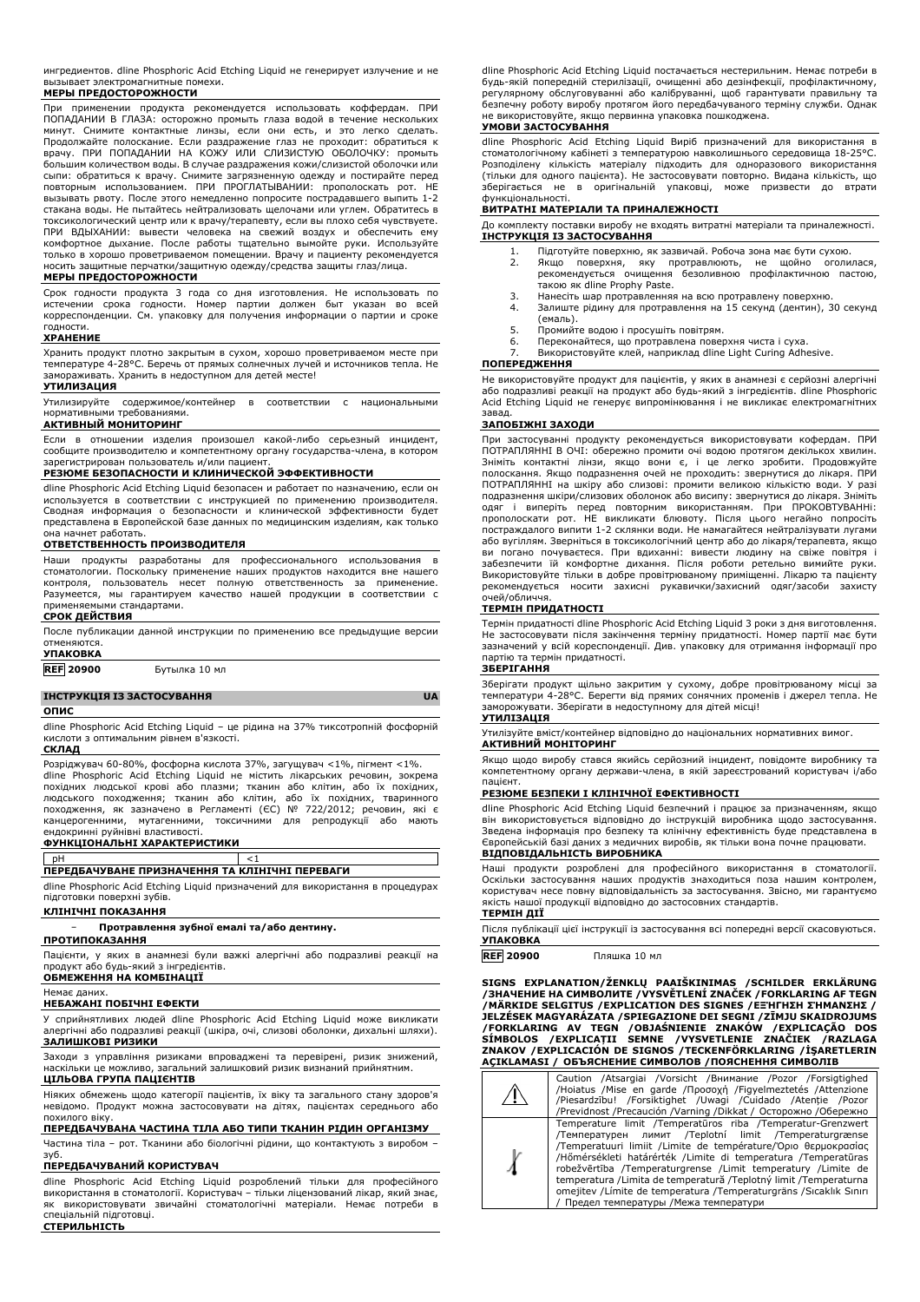ингредиентов. dline Phosphoric Acid Etching Liquid не генерирует излучение и не вызывает электромагнитные помехи. **МЕРЫ ПРЕДОСТОРОЖНОСТИ**

При применении продукта рекомендуется использовать коффердам. ПРИ ПОПАДАНИИ В ГЛАЗА: осторожно промыть глаза водой в течение нескольких минут. Снимите контактные линзы, если они есть, и это легко сделать. Продолжайте полоскание. Если раздражение глаз не проходит: обратиться к врачу. ПРИ ПОПАДАНИИ НА КОЖУ ИЛИ СЛИЗИСТУЮ ОБОЛОЧКУ: промыть большим количеством воды. В случае раздражения кожи/слизистой оболочки или сыпи: обратиться к врачу. Снимите загрязненную одежду и постирайте перед повторным использованием. ПРИ ПРОГЛАТЫВАНИИ: прополоскать рот. НЕ вызывать рвоту. После этого немедленно попросите пострадавшего выпить 1-2 стакана воды. Не пытайтесь нейтрализовать щелочами или углем. Обратитесь в токсикологический центр или к врачу/терапевту, если вы плохо себя чувствуете. ПРИ ВДЫХАНИИ: вывести человека на свежий воздух и обеспечить ему комфортное дыхание. После работы тщательно вымойте руки. Используйте только в хорошо проветриваемом помещении. Врачу и пациенту рекомендуется носить защитные перчатки/защитную одежду/средства защиты глаз/лица.

## **МЕРЫ ПРЕДОСТОРОЖНОСТИ**

Срок годности продукта 3 года со дня изготовления. Не использовать по истечении срока годности. Номер партии должен быт указан во всей корреспонденции. См. упаковку для получения информации о партии и сроке годности.

### **ХРАНЕНИЕ**

Хранить продукт плотно закрытым в сухом, хорошо проветриваемом месте при температуре 4-28°C. Беречь от прямых солнечных лучей и источников тепла. Не замораживать. Хранить в недоступном для детей месте!

## **УТИЛИЗАЦИЯ**

Утилизируйте содержимое/контейнер в соответствии с национальными нормативными требованиями.

## **АКТИВНЫЙ МОНИТОРИНГ**

Если в отношении изделия произошел какой-либо серьезный инцидент, сообщите производителю и компетентному органу государства-члена, в котором зарегистрирован пользователь и/или пациент.

## **РЕЗЮМЕ БЕЗОПАСНОСТИ И КЛИНИЧЕСКОЙ ЭФФЕКТИВНОСТИ**

dline Phosphoric Acid Etching Liquid безопасен и работает по назначению, если он используется в соответствии с инструкцией по применению производителя. Сводная информация о безопасности и клинической эффективности будет представлена в Европейской базе данных по медицинским изделиям, как только она начнет работать.

### **ОТВЕТСТВЕННОСТЬ ПРОИЗВОДИТЕЛЯ**

Наши продукты разработаны для профессионального использования стоматологии. Поскольку применение наших продуктов находится вне нашего контроля, пользователь несет полную ответственность за применение. Разумеется, мы гарантируем качество нашей продукции в соответствии с применяемыми стандартами.

### **СРОК ДЕЙСТВИЯ**

После публикации данной инструкции по применению все предыдущие версии отменяются.

## **УПАКОВКА**

**REF 20900** Бутылка 10 мл

## **ІНСТРУКЦІЯ ІЗ ЗАСТОСУВАННЯ UA**

## **ОПИС**

dline Phosphoric Acid Etching Liquid – це рідина на 37% тиксотропній фосфорній кислоти з оптимальним рівнем в'язкості.

## **СКЛАД**

Розріджувач 60-80%, фосфорна кислота 37%, загущувач <1%, пігмент <1%. dline Phosphoric Acid Etching Liquid не містить лікарських речовин, зокрема похідних людської крові або плазми; тканин або клітин, або їх похідних,<br>людського походження; тканин або клітин, або їх похідних, тваринного<br>походження, як зазначено в Регламенті (ЄС) № 722/2012; речовин, які є<br>канцероген ендокринні руйнівні властивості. **ФУНКЦІОНАЛЬНІ ХАРАКТЕРИСТИКИ**

# $p$ H  $\left| \left| \right| \right|$   $\left| \right|$

**ПЕРЕДБАЧУВАНЕ ПРИЗНАЧЕННЯ ТА КЛІНІЧНІ ПЕРЕВАГИ**

dline Phosphoric Acid Etching Liquid призначений для використання в процедурах підготовки поверхні зубів.

### **КЛІНІЧНІ ПОКАЗАННЯ**

− **Протравлення зубної емалі та/або дентину.**

## **ПРОТИПОКАЗАННЯ**

Пацієнти, у яких в анамнезі були важкі алергічні або подразливі реакції на продукт або будь-який з інгредієнтів. **ОБМЕЖЕННЯ НА КОМБІНАЦІЇ**

## Немає даних.

**НЕБАЖАНІ ПОБІЧНІ ЕФЕКТИ**

У сприйнятливих людей dline Phosphoric Acid Etching Liquid може викликати алергічні або подразливі реакції (шкіра, очі, слизові оболонки, дихальні шляхи). **ЗАЛИШКОВІ РИЗИКИ**

Заходи з управління ризиками впроваджені та перевірені, ризик знижений, наскільки це можливо, загальний залишковий ризик визнаний прийнятним. **ЦІЛЬОВА ГРУПА ПАЦІЄНТІВ**

Ніяких обмежень щодо категорії пацієнтів, їх віку та загального стану здоров'я невідомо. Продукт можна застосовувати на дітях, пацієнтах середнього або похилого віку.

## **ПЕРЕДБАЧУВАНА ЧАСТИНА ТІЛА АБО ТИПИ ТКАНИН РІДИН ОРГАНІЗМУ**

Частина тіла – рот. Тканини або біологічні рідини, що контактують з виробом – зуб.

## **ПЕРЕДБАЧУВАНИЙ КОРИСТУВАЧ**

dline Phosphoric Acid Etching Liquid розроблений тільки для професійного використання в стоматології. Користувач – тільки ліцензований лікар, який знає, як використовувати звичайні стоматологічні матеріали. Немає потреби в спеціальній підготовці. **СТЕРИЛЬНІСТЬ**

dline Phosphoric Acid Etching Liquid постачається нестерильним. Немає потреби в будь-якій попередній стерилізації, очищенні або дезінфекції, профілактичному, регулярному обслуговуванні або калібруванні, щоб гарантувати правильну та безпечну роботу виробу протягом його передбачуваного терміну служби. Однак не використовуйте, якщо первинна упаковка пошкоджена.

## **УМОВИ ЗАСТОСУВАННЯ**

dline Phosphoric Acid Etching Liquid Виріб призначений для використання в стоматологічному кабінеті з температурою навколишнього середовища 18-25°C. Розподілену кількість матеріалу підходить для одноразового використання (тільки для одного пацієнта). Не застосовувати повторно. Видана кількість, що зберігається не в оригінальній упаковці, може призвести до втрати функціональності.

## **ВИТРАТНІ МАТЕРІАЛИ ТА ПРИНАЛЕЖНОСТІ**

До комплекту поставки виробу не входять витратні матеріали та приналежності. **ІНСТРУКЦІЯ ІЗ ЗАСТОСУВАННЯ**

- 1. Підготуйте поверхню, як зазвичай. Робоча зона має бути сухою.<br>2. Якщо поверхня, яку протравлюють, не щойно оголи
- 2. Якщо поверхня, яку протравлюють, не щойно оголилася, рекомендується очищення безоливною профілактичною пастою, такою як dline Prophy Paste.
- 3. Нанесіть шар протравленняя на всю протравлену поверхню.
- 4. Залиште рідину для протравлення на 15 секунд (дентин), 30 секунд (емаль).
- 
- 5. Промийте водою і просушіть повітрям.<br>6. Переконайтеся, що протравлена повер<br>7. Використовуйте клей, наприклад dline 6. Переконайтеся, що протравлена поверхня чиста і суха. 7. Використовуйте клей, наприклад dline Light Curing Adhesive.
- **ПОПЕРЕДЖЕННЯ**

Не використовуйте продукт для пацієнтів, у яких в анамнезі є серйозні алергічні або подразливі реакції на продукт або будь-який з інгредієнтів. dline Phosphoric Acid Etching Liquid не генерує випромінювання і не викликає електромагнітних завад.

### **ЗАПОБІЖНІ ЗАХОДИ**

При застосуванні продукту рекомендується використовувати кофердам. ПРИ ПОТРАПЛЯННІ В ОЧІ: обережно промити очі водою протягом декількох хвилин. Зніміть контактні лінзи, якщо вони є, і це легко зробити. Продовжуйте полоскання. Якщо подразнення очей не проходить: звернутися до лікаря. ПРИ ПОТРАПЛЯННІ на шкіру або слизові: промити великою кількістю води. У разі подразнення шкіри/слизових оболонок або висипу: звернутися до лікаря. Зніміть одяг і виперіть перед повторним використанням. При ПРОКОВТУВАННі: прополоскати рот. НЕ викликати блювоту. Після цього негайно попросіть постраждалого випити 1-2 склянки води. Не намагайтеся нейтралізувати лугами або вугіллям. Зверніться в токсикологічний центр або до лікаря/терапевта, якщо ви погано почуваєтеся. При вдиханні: вивести людину на свіже повітря і забезпечити їй комфортне дихання. Після роботи ретельно вимийте руки. Використовуйте тільки в добре провітрюваному приміщенні. Лікарю та пацієнту рекомендується носити захисні рукавички/захисний одяг/засоби захисту .<br>очей/обличча

### **ТЕРМІН ПРИДАТНОСТІ**

Термін придатності dline Phosphoric Acid Etching Liquid 3 роки з дня виготовлення. Не застосовувати після закінчення терміну придатності. Номер партії має бути зазначений у всій кореспонденції. Див. упаковку для отримання інформації про партію та термін придатності.

## **ЗБЕРІГАННЯ**

Зберігати продукт щільно закритим у сухому, добре провітрюваному місці за температури 4-28°C. Берегти від прямих сонячних променів і джерел тепла. Не заморожувати. Зберігати в недоступному для дітей місці! **УТИЛІЗАЦІЯ**

Утилізуйте вміст/контейнер відповідно до національних нормативних вимог. **АКТИВНИЙ МОНІТОРИНГ**

Якщо щодо виробу стався якийсь серйозний інцидент, повідомте виробнику та компетентному органу держави-члена, в якій зареєстрований користувач і/або пацієнт.

## **РЕЗЮМЕ БЕЗПЕКИ І КЛІНІЧНОЇ ЕФЕКТИВНОСТІ**

dline Phosphoric Acid Etching Liquid безпечний і працює за призначенням, якщо він використовується відповідно до інструкцій виробника щодо застосування. Зведена інформація про безпеку та клінічну ефективність буде представлена в Європейській базі даних з медичних виробів, як тільки вона почне працювати. **ВІДПОВІДАЛЬНІСТЬ ВИРОБНИКА**

Наші продукти розроблені для професійного використання в стоматології. Оскільки застосування наших продуктів знаходиться поза нашим контролем, користувач несе повну відповідальність за застосування. Звісно, ми гарантуємо якість нашої продукції відповідно до застосовних стандартів.

## **ТЕРМІН ДІЇ**

Після публікації цієї інструкції із застосування всі попередні версії скасовуються. **УПАКОВКА**

**REF 20900** Пляшка 10 мл

SIGNS EXPLANATION/ZENKLŲ PAAISKINIMAS /SCHILDER ERKLARUNG<br>/3HAЧEHИE HA CИMBOЛИTE /VYSVĚTLENÍ ZNAČEK /FORKLARING AFTEGN<br>/MÄRKIDE SELGITUS /EXPLICATION DES SIGNES /EΞ'HΓHΣH ZHMANΣHΣ /<br>JELZÉSEK MAGYARÁZATA /SPIEGAZIONE DEI SE /FORKLARING AV TEGN /OBJASNIENIE ZNAKOW /EXPLICAÇAO DOS<br>SÍMBOLOS /EXPLICAȚII SEMNE /VYSVETLENIE ZNAČIEK /RAZLAGA<br>ZNAKOV /EXPLICACIÓN DE SIGNOS /TECKENFÖRKLARING /İŞARETLERIN **AÇIKLAMASI / ОБЪЯСНЕНИЕ СИМВОЛОВ /ПОЯСНЕННЯ СИМВОЛІВ**

| 7 I V | Caution /Atsargiai /Vorsicht /Внимание /Pozor /Forsigtighed<br>/Hoiatus /Mise en garde /Προσοχή /Figyelmeztetés /Attenzione<br>/Piesardzību! /Forsiktighet /Uwagi /Cuidado /Atentie /Pozor<br>/Previdnost /Precaución /Varning /Dikkat / Осторожно /Обережно                                                                                                                                                                                                                                                |
|-------|-------------------------------------------------------------------------------------------------------------------------------------------------------------------------------------------------------------------------------------------------------------------------------------------------------------------------------------------------------------------------------------------------------------------------------------------------------------------------------------------------------------|
|       | Temperature limit /Temperatūros riba /Temperatur-Grenzwert<br>/Температурен лимит /Teplotní limit /Temperaturgrænse<br>Temperatuuri limiit /Limite de température/Όριο θερμοκρασίας<br>/Hőmérsékleti határérték /Limite di temperatura /Temperatūras<br>robežvērtība /Temperaturgrense /Limit temperatury /Limite de<br>temperatura / Limita de temperatură / Teplotný limit / Temperaturna<br>omejitev / Límite de temperatura / Temperaturgräns / Sıcaklık Sınırı<br>Предел температуры /Межа температури |